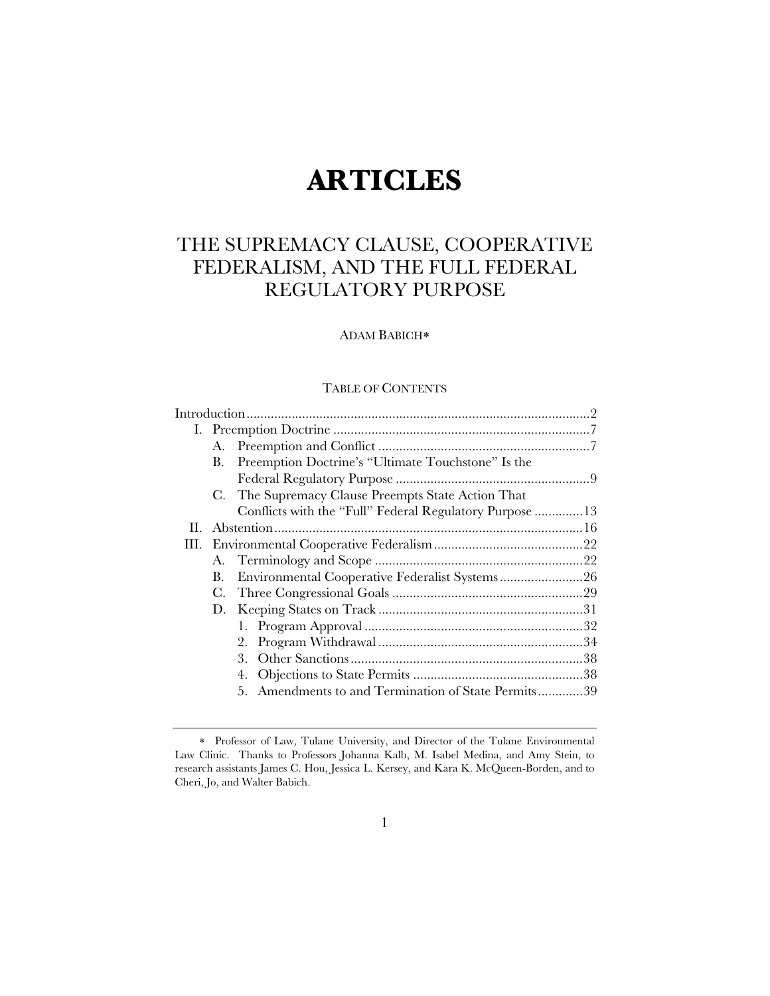# **ARTICLES**

# THE SUPREMACY CLAUSE, COOPERATIVE FEDERALISM, AND THE FULL FEDERAL REGULATORY PURPOSE

# ADAM BABICH

# TABLE OF CONTENTS

|      | В. | Preemption Doctrine's "Ultimate Touchstone" Is the       |  |  |
|------|----|----------------------------------------------------------|--|--|
|      |    |                                                          |  |  |
|      |    | C. The Supremacy Clause Preempts State Action That       |  |  |
|      |    | Conflicts with the "Full" Federal Regulatory Purpose  13 |  |  |
| Н. - |    |                                                          |  |  |
| Ш.   |    |                                                          |  |  |
|      |    |                                                          |  |  |
|      | В. |                                                          |  |  |
|      | C. |                                                          |  |  |
|      |    |                                                          |  |  |
|      |    |                                                          |  |  |
|      |    |                                                          |  |  |
|      |    | 3.                                                       |  |  |
|      |    | 4.                                                       |  |  |
|      |    | 5. Amendments to and Termination of State Permits39      |  |  |

Professor of Law, Tulane University, and Director of the Tulane Environmental Law Clinic. Thanks to Professors Johanna Kalb, M. Isabel Medina, and Amy Stein, to research assistants James C. Hou, Jessica L. Kersey, and Kara K. McQueen-Borden, and to Cheri, Jo, and Walter Babich.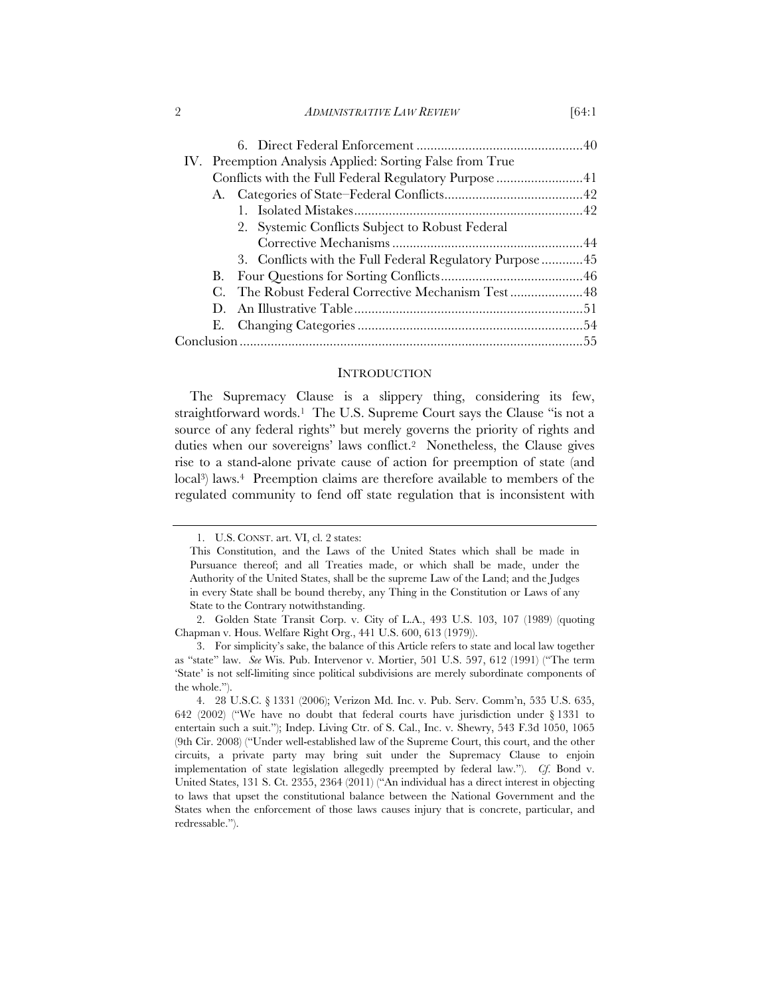#### 2 *ADMINISTRATIVE LAW REVIEW* [64:1]

|             | IV. Preemption Analysis Applied: Sorting False from True |  |  |  |
|-------------|----------------------------------------------------------|--|--|--|
|             |                                                          |  |  |  |
|             |                                                          |  |  |  |
|             |                                                          |  |  |  |
|             | 2. Systemic Conflicts Subject to Robust Federal          |  |  |  |
|             |                                                          |  |  |  |
|             |                                                          |  |  |  |
| B.          |                                                          |  |  |  |
| C.          |                                                          |  |  |  |
| $D_{\rm c}$ |                                                          |  |  |  |
|             |                                                          |  |  |  |
|             |                                                          |  |  |  |
|             |                                                          |  |  |  |

## **INTRODUCTION**

The Supremacy Clause is a slippery thing, considering its few, straightforward words.<sup>1</sup> The U.S. Supreme Court says the Clause "is not a source of any federal rights" but merely governs the priority of rights and duties when our sovereigns' laws conflict.2 Nonetheless, the Clause gives rise to a stand-alone private cause of action for preemption of state (and local<sup>3</sup>) laws.<sup>4</sup> Preemption claims are therefore available to members of the regulated community to fend off state regulation that is inconsistent with

<sup>1.</sup> U.S. CONST. art. VI, cl. 2 states:

This Constitution, and the Laws of the United States which shall be made in Pursuance thereof; and all Treaties made, or which shall be made, under the Authority of the United States, shall be the supreme Law of the Land; and the Judges in every State shall be bound thereby, any Thing in the Constitution or Laws of any State to the Contrary notwithstanding.

<sup>2.</sup> Golden State Transit Corp. v. City of L.A., 493 U.S. 103, 107 (1989) (quoting Chapman v. Hous. Welfare Right Org., 441 U.S. 600, 613 (1979)).

<sup>3.</sup> For simplicity's sake, the balance of this Article refers to state and local law together as "state" law. *See* Wis. Pub. Intervenor v. Mortier, 501 U.S. 597, 612 (1991) ("The term 'State' is not self-limiting since political subdivisions are merely subordinate components of the whole.").

<sup>4. 28</sup> U.S.C. § 1331 (2006); Verizon Md. Inc. v. Pub. Serv. Comm'n, 535 U.S. 635, 642 (2002) ("We have no doubt that federal courts have jurisdiction under § 1331 to entertain such a suit."); Indep. Living Ctr. of S. Cal., Inc. v. Shewry, 543 F.3d 1050, 1065 (9th Cir. 2008) ("Under well-established law of the Supreme Court, this court, and the other circuits, a private party may bring suit under the Supremacy Clause to enjoin implementation of state legislation allegedly preempted by federal law."). *Cf*. Bond v. United States, 131 S. Ct. 2355, 2364 (2011) ("An individual has a direct interest in objecting to laws that upset the constitutional balance between the National Government and the States when the enforcement of those laws causes injury that is concrete, particular, and redressable.").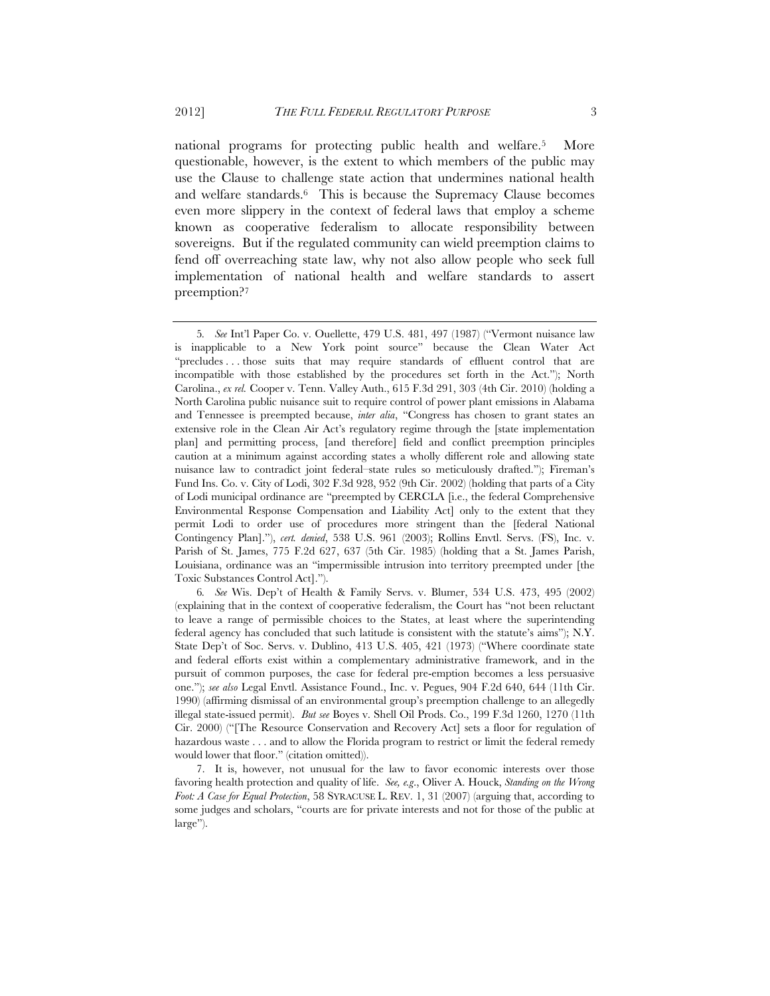national programs for protecting public health and welfare.5 More questionable, however, is the extent to which members of the public may use the Clause to challenge state action that undermines national health and welfare standards.6 This is because the Supremacy Clause becomes even more slippery in the context of federal laws that employ a scheme known as cooperative federalism to allocate responsibility between sovereigns. But if the regulated community can wield preemption claims to fend off overreaching state law, why not also allow people who seek full implementation of national health and welfare standards to assert preemption?7

6*. See* Wis. Dep't of Health & Family Servs. v. Blumer, 534 U.S. 473, 495 (2002) (explaining that in the context of cooperative federalism, the Court has "not been reluctant to leave a range of permissible choices to the States, at least where the superintending federal agency has concluded that such latitude is consistent with the statute's aims"); N.Y. State Dep't of Soc. Servs. v. Dublino, 413 U.S. 405, 421 (1973) ("Where coordinate state and federal efforts exist within a complementary administrative framework, and in the pursuit of common purposes, the case for federal pre-emption becomes a less persuasive one."); *see also* Legal Envtl. Assistance Found., Inc. v. Pegues, 904 F.2d 640, 644 (11th Cir. 1990) (affirming dismissal of an environmental group's preemption challenge to an allegedly illegal state-issued permit). *But see* Boyes v. Shell Oil Prods. Co., 199 F.3d 1260, 1270 (11th Cir. 2000) ("[The Resource Conservation and Recovery Act] sets a floor for regulation of hazardous waste . . . and to allow the Florida program to restrict or limit the federal remedy would lower that floor." (citation omitted)).

7. It is, however, not unusual for the law to favor economic interests over those favoring health protection and quality of life. *See, e.g*., Oliver A. Houck, *Standing on the Wrong Foot: A Case for Equal Protection*, 58 SYRACUSE L. REV. 1, 31 (2007) (arguing that, according to some judges and scholars, "courts are for private interests and not for those of the public at large").

<sup>5</sup>*. See* Int'l Paper Co. v. Ouellette, 479 U.S. 481, 497 (1987) ("Vermont nuisance law is inapplicable to a New York point source" because the Clean Water Act "precludes . . . those suits that may require standards of effluent control that are incompatible with those established by the procedures set forth in the Act."); North Carolina., *ex rel.* Cooper v. Tenn. Valley Auth., 615 F.3d 291, 303 (4th Cir. 2010) (holding a North Carolina public nuisance suit to require control of power plant emissions in Alabama and Tennessee is preempted because, *inter alia*, "Congress has chosen to grant states an extensive role in the Clean Air Act's regulatory regime through the [state implementation plan] and permitting process, [and therefore] field and conflict preemption principles caution at a minimum against according states a wholly different role and allowing state nuisance law to contradict joint federal–state rules so meticulously drafted."); Fireman's Fund Ins. Co. v. City of Lodi, 302 F.3d 928, 952 (9th Cir. 2002) (holding that parts of a City of Lodi municipal ordinance are "preempted by CERCLA [i.e., the federal Comprehensive Environmental Response Compensation and Liability Act] only to the extent that they permit Lodi to order use of procedures more stringent than the [federal National Contingency Plan]."), *cert. denied*, 538 U.S. 961 (2003); Rollins Envtl. Servs. (FS), Inc. v. Parish of St. James, 775 F.2d 627, 637 (5th Cir. 1985) (holding that a St. James Parish, Louisiana, ordinance was an "impermissible intrusion into territory preempted under [the Toxic Substances Control Act].").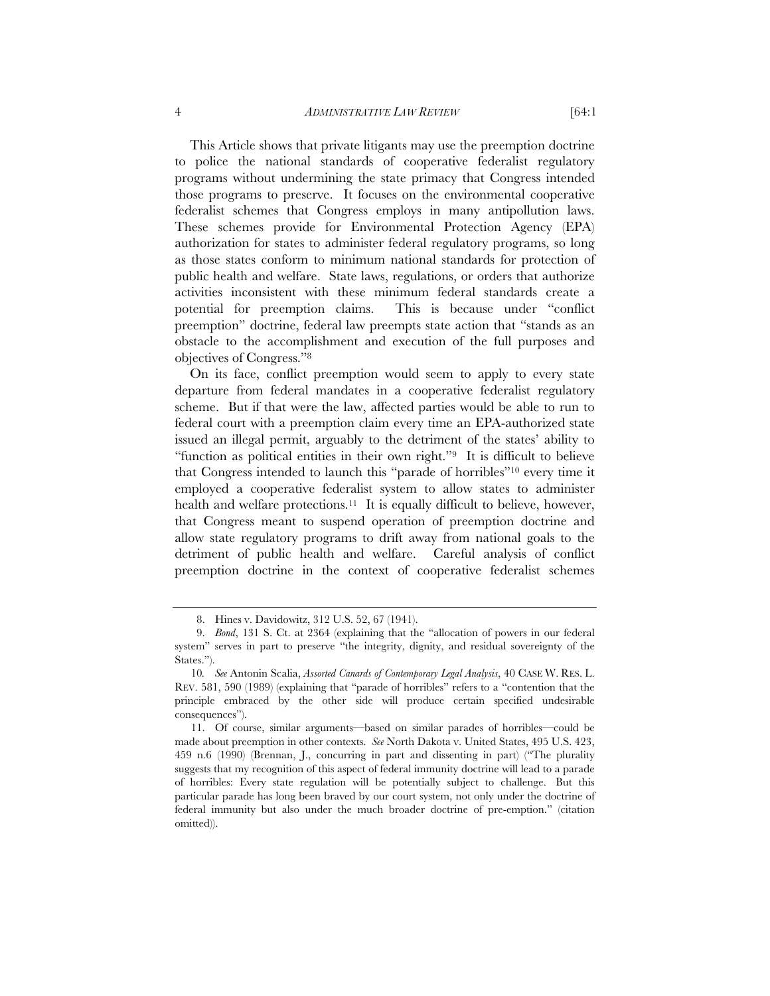This Article shows that private litigants may use the preemption doctrine to police the national standards of cooperative federalist regulatory programs without undermining the state primacy that Congress intended those programs to preserve. It focuses on the environmental cooperative federalist schemes that Congress employs in many antipollution laws. These schemes provide for Environmental Protection Agency (EPA) authorization for states to administer federal regulatory programs, so long as those states conform to minimum national standards for protection of public health and welfare. State laws, regulations, or orders that authorize activities inconsistent with these minimum federal standards create a potential for preemption claims. This is because under "conflict preemption" doctrine, federal law preempts state action that "stands as an obstacle to the accomplishment and execution of the full purposes and objectives of Congress."8

On its face, conflict preemption would seem to apply to every state departure from federal mandates in a cooperative federalist regulatory scheme. But if that were the law, affected parties would be able to run to federal court with a preemption claim every time an EPA-authorized state issued an illegal permit, arguably to the detriment of the states' ability to "function as political entities in their own right."9 It is difficult to believe that Congress intended to launch this "parade of horribles"10 every time it employed a cooperative federalist system to allow states to administer health and welfare protections.<sup>11</sup> It is equally difficult to believe, however, that Congress meant to suspend operation of preemption doctrine and allow state regulatory programs to drift away from national goals to the detriment of public health and welfare. Careful analysis of conflict preemption doctrine in the context of cooperative federalist schemes

<sup>8.</sup> Hines v. Davidowitz, 312 U.S. 52, 67 (1941).

<sup>9.</sup> *Bond*, 131 S. Ct. at 2364 (explaining that the "allocation of powers in our federal system" serves in part to preserve "the integrity, dignity, and residual sovereignty of the States.").

<sup>10</sup>*. See* Antonin Scalia, *Assorted Canards of Contemporary Legal Analysis*, 40 CASE W. RES. L. REV. 581, 590 (1989) (explaining that "parade of horribles" refers to a "contention that the principle embraced by the other side will produce certain specified undesirable consequences").

<sup>11.</sup> Of course, similar arguments—based on similar parades of horribles—could be made about preemption in other contexts. *See* North Dakota v. United States, 495 U.S. 423, 459 n.6 (1990) (Brennan, J., concurring in part and dissenting in part) ("The plurality suggests that my recognition of this aspect of federal immunity doctrine will lead to a parade of horribles: Every state regulation will be potentially subject to challenge. But this particular parade has long been braved by our court system, not only under the doctrine of federal immunity but also under the much broader doctrine of pre-emption." (citation omitted)).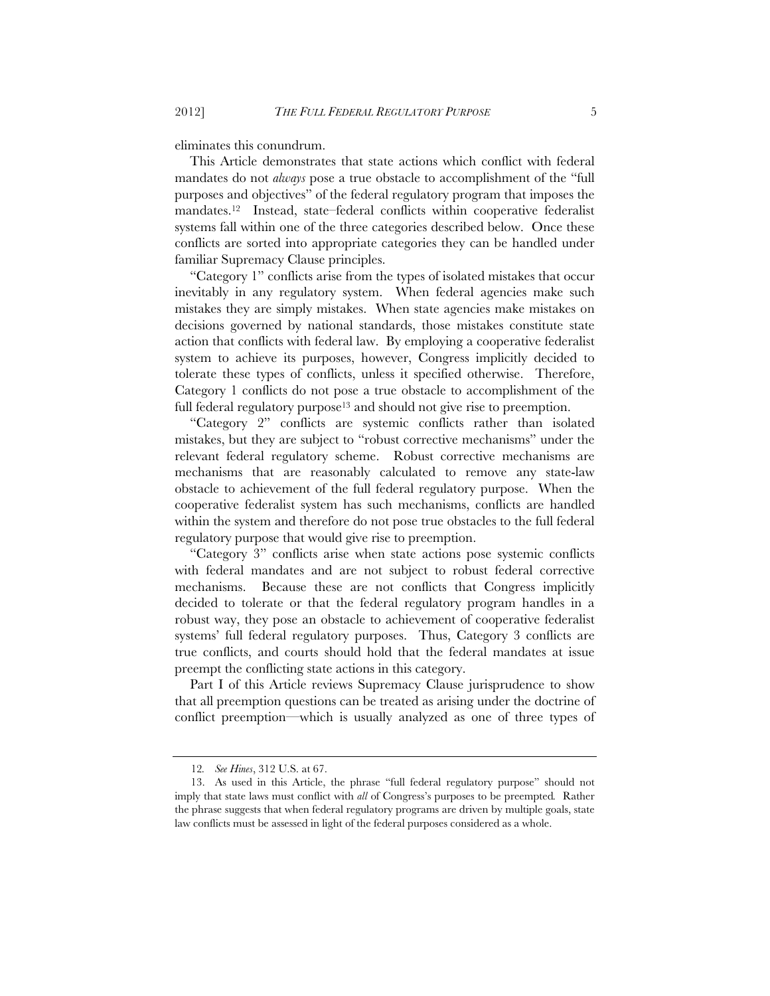eliminates this conundrum.

This Article demonstrates that state actions which conflict with federal mandates do not *always* pose a true obstacle to accomplishment of the "full purposes and objectives" of the federal regulatory program that imposes the mandates.12 Instead, state–federal conflicts within cooperative federalist systems fall within one of the three categories described below. Once these conflicts are sorted into appropriate categories they can be handled under familiar Supremacy Clause principles.

"Category 1" conflicts arise from the types of isolated mistakes that occur inevitably in any regulatory system. When federal agencies make such mistakes they are simply mistakes. When state agencies make mistakes on decisions governed by national standards, those mistakes constitute state action that conflicts with federal law. By employing a cooperative federalist system to achieve its purposes, however, Congress implicitly decided to tolerate these types of conflicts, unless it specified otherwise. Therefore, Category 1 conflicts do not pose a true obstacle to accomplishment of the full federal regulatory purpose<sup>13</sup> and should not give rise to preemption.

"Category 2" conflicts are systemic conflicts rather than isolated mistakes, but they are subject to "robust corrective mechanisms" under the relevant federal regulatory scheme. Robust corrective mechanisms are mechanisms that are reasonably calculated to remove any state-law obstacle to achievement of the full federal regulatory purpose. When the cooperative federalist system has such mechanisms, conflicts are handled within the system and therefore do not pose true obstacles to the full federal regulatory purpose that would give rise to preemption.

"Category 3" conflicts arise when state actions pose systemic conflicts with federal mandates and are not subject to robust federal corrective mechanisms. Because these are not conflicts that Congress implicitly decided to tolerate or that the federal regulatory program handles in a robust way, they pose an obstacle to achievement of cooperative federalist systems' full federal regulatory purposes. Thus, Category 3 conflicts are true conflicts, and courts should hold that the federal mandates at issue preempt the conflicting state actions in this category.

Part I of this Article reviews Supremacy Clause jurisprudence to show that all preemption questions can be treated as arising under the doctrine of conflict preemption—which is usually analyzed as one of three types of

<sup>12</sup>*. See Hines*, 312 U.S. at 67.

<sup>13.</sup> As used in this Article, the phrase "full federal regulatory purpose" should not imply that state laws must conflict with *all* of Congress's purposes to be preempted*.* Rather the phrase suggests that when federal regulatory programs are driven by multiple goals, state law conflicts must be assessed in light of the federal purposes considered as a whole.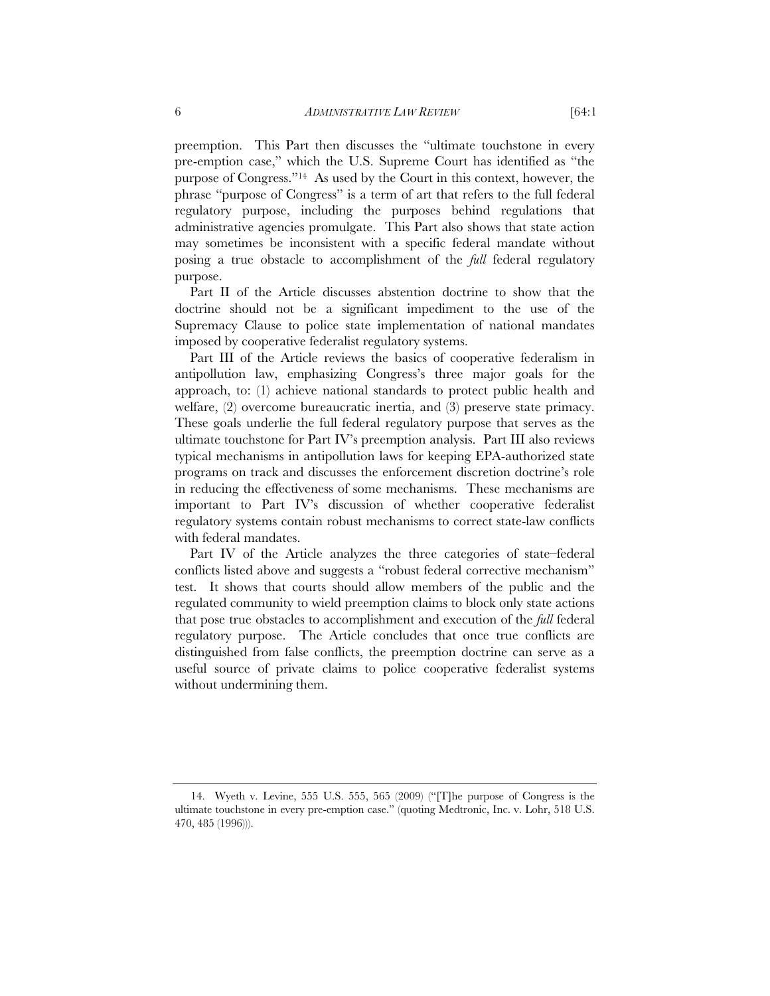preemption. This Part then discusses the "ultimate touchstone in every pre-emption case," which the U.S. Supreme Court has identified as "the purpose of Congress."14 As used by the Court in this context, however, the phrase "purpose of Congress" is a term of art that refers to the full federal regulatory purpose, including the purposes behind regulations that administrative agencies promulgate. This Part also shows that state action may sometimes be inconsistent with a specific federal mandate without posing a true obstacle to accomplishment of the *full* federal regulatory purpose.

Part II of the Article discusses abstention doctrine to show that the doctrine should not be a significant impediment to the use of the Supremacy Clause to police state implementation of national mandates imposed by cooperative federalist regulatory systems.

Part III of the Article reviews the basics of cooperative federalism in antipollution law, emphasizing Congress's three major goals for the approach, to: (1) achieve national standards to protect public health and welfare, (2) overcome bureaucratic inertia, and (3) preserve state primacy. These goals underlie the full federal regulatory purpose that serves as the ultimate touchstone for Part IV's preemption analysis. Part III also reviews typical mechanisms in antipollution laws for keeping EPA-authorized state programs on track and discusses the enforcement discretion doctrine's role in reducing the effectiveness of some mechanisms. These mechanisms are important to Part IV's discussion of whether cooperative federalist regulatory systems contain robust mechanisms to correct state-law conflicts with federal mandates.

Part IV of the Article analyzes the three categories of state–federal conflicts listed above and suggests a "robust federal corrective mechanism" test. It shows that courts should allow members of the public and the regulated community to wield preemption claims to block only state actions that pose true obstacles to accomplishment and execution of the *full* federal regulatory purpose. The Article concludes that once true conflicts are distinguished from false conflicts, the preemption doctrine can serve as a useful source of private claims to police cooperative federalist systems without undermining them.

<sup>14.</sup> Wyeth v. Levine, 555 U.S. 555, 565 (2009) ("[T]he purpose of Congress is the ultimate touchstone in every pre-emption case." (quoting Medtronic, Inc. v. Lohr, 518 U.S. 470, 485 (1996))).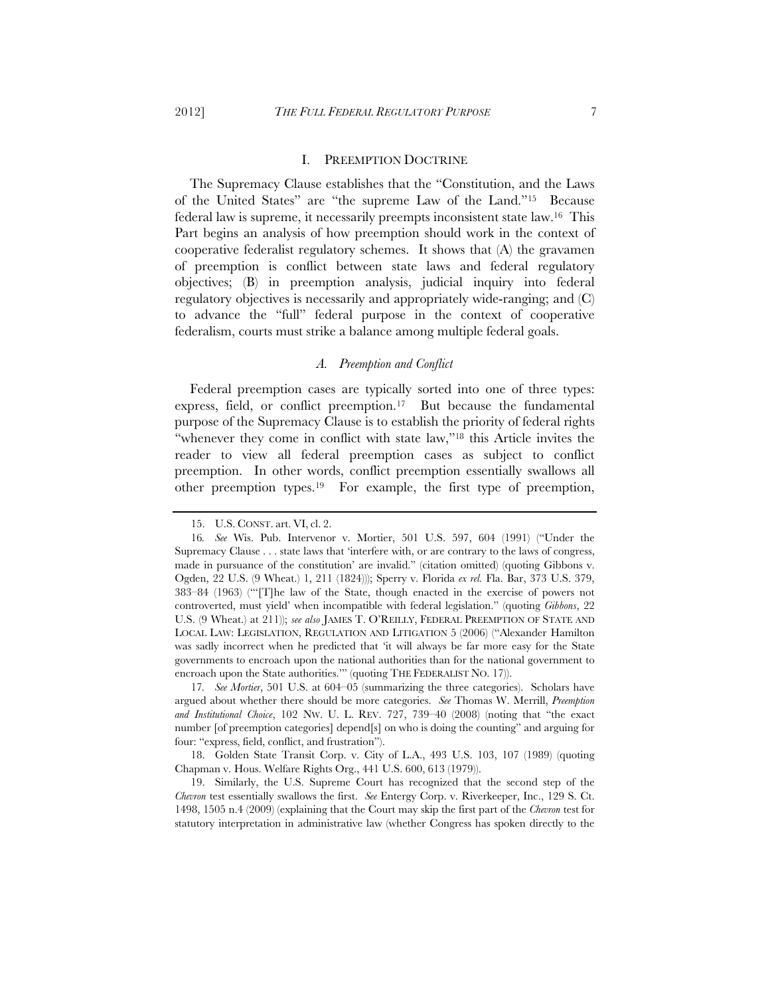#### I. PREEMPTION DOCTRINE

The Supremacy Clause establishes that the "Constitution, and the Laws of the United States" are "the supreme Law of the Land."15 Because federal law is supreme, it necessarily preempts inconsistent state law.16 This Part begins an analysis of how preemption should work in the context of cooperative federalist regulatory schemes. It shows that (A) the gravamen of preemption is conflict between state laws and federal regulatory objectives; (B) in preemption analysis, judicial inquiry into federal regulatory objectives is necessarily and appropriately wide-ranging; and (C) to advance the "full" federal purpose in the context of cooperative federalism, courts must strike a balance among multiple federal goals.

#### *A. Preemption and Conflict*

Federal preemption cases are typically sorted into one of three types: express, field, or conflict preemption.<sup>17</sup> But because the fundamental purpose of the Supremacy Clause is to establish the priority of federal rights "whenever they come in conflict with state law,"18 this Article invites the reader to view all federal preemption cases as subject to conflict preemption. In other words, conflict preemption essentially swallows all other preemption types.19 For example, the first type of preemption,

17*. See Mortier*, 501 U.S. at 604–05 (summarizing the three categories). Scholars have argued about whether there should be more categories. *See* Thomas W. Merrill, *Preemption and Institutional Choice*, 102 NW. U. L. REV. 727, 739–40 (2008) (noting that "the exact number [of preemption categories] depend[s] on who is doing the counting" and arguing for four: "express, field, conflict, and frustration").

18. Golden State Transit Corp. v. City of L.A., 493 U.S. 103, 107 (1989) (quoting Chapman v. Hous. Welfare Rights Org., 441 U.S. 600, 613 (1979)).

19. Similarly, the U.S. Supreme Court has recognized that the second step of the *Chevron* test essentially swallows the first. *See* Entergy Corp. v. Riverkeeper, Inc., 129 S. Ct. 1498, 1505 n.4 (2009) (explaining that the Court may skip the first part of the *Chevron* test for statutory interpretation in administrative law (whether Congress has spoken directly to the

<sup>15.</sup> U.S. CONST. art. VI, cl. 2.

<sup>16</sup>*. See* Wis. Pub. Intervenor v. Mortier, 501 U.S. 597, 604 (1991) ("Under the Supremacy Clause . . . state laws that 'interfere with, or are contrary to the laws of congress, made in pursuance of the constitution' are invalid." (citation omitted) (quoting Gibbons v. Ogden, 22 U.S. (9 Wheat.) 1, 211 (1824))); Sperry v. Florida *ex rel.* Fla. Bar, 373 U.S. 379, 383–84 (1963) ("'[T]he law of the State, though enacted in the exercise of powers not controverted, must yield' when incompatible with federal legislation." (quoting *Gibbons*, 22 U.S. (9 Wheat.) at 211)); *see also* JAMES T. O'REILLY, FEDERAL PREEMPTION OF STATE AND LOCAL LAW: LEGISLATION, REGULATION AND LITIGATION 5 (2006) ("Alexander Hamilton was sadly incorrect when he predicted that 'it will always be far more easy for the State governments to encroach upon the national authorities than for the national government to encroach upon the State authorities." (quoting THE FEDERALIST NO. 17).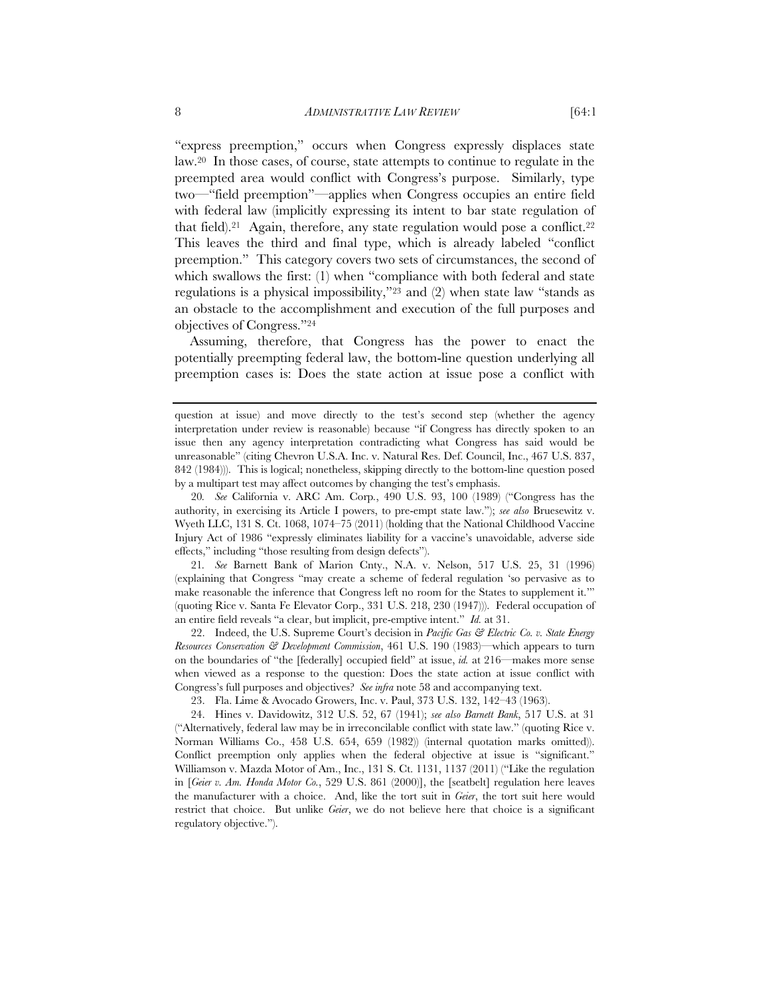"express preemption," occurs when Congress expressly displaces state law.20 In those cases, of course, state attempts to continue to regulate in the preempted area would conflict with Congress's purpose. Similarly, type two—"field preemption"—applies when Congress occupies an entire field with federal law (implicitly expressing its intent to bar state regulation of that field).<sup>21</sup> Again, therefore, any state regulation would pose a conflict.<sup>22</sup> This leaves the third and final type, which is already labeled "conflict preemption." This category covers two sets of circumstances, the second of which swallows the first: (1) when "compliance with both federal and state regulations is a physical impossibility,"23 and (2) when state law "stands as an obstacle to the accomplishment and execution of the full purposes and objectives of Congress."24

Assuming, therefore, that Congress has the power to enact the potentially preempting federal law, the bottom-line question underlying all preemption cases is: Does the state action at issue pose a conflict with

20*. See* California v. ARC Am. Corp*.*, 490 U.S. 93, 100 (1989) ("Congress has the authority, in exercising its Article I powers, to pre-empt state law."); *see also* Bruesewitz v. Wyeth LLC, 131 S. Ct. 1068, 1074–75 (2011) (holding that the National Childhood Vaccine Injury Act of 1986 "expressly eliminates liability for a vaccine's unavoidable, adverse side effects," including "those resulting from design defects").

21*. See* Barnett Bank of Marion Cnty., N.A. v. Nelson, 517 U.S. 25, 31 (1996) (explaining that Congress "may create a scheme of federal regulation 'so pervasive as to make reasonable the inference that Congress left no room for the States to supplement it.'" (quoting Rice v. Santa Fe Elevator Corp., 331 U.S. 218, 230 (1947))). Federal occupation of an entire field reveals "a clear, but implicit, pre-emptive intent." *Id.* at 31.

22. Indeed, the U.S. Supreme Court's decision in *Pacific Gas & Electric Co. v. State Energy Resources Conservation & Development Commission*, 461 U.S. 190 (1983)—which appears to turn on the boundaries of "the [federally] occupied field" at issue, *id.* at 216—makes more sense when viewed as a response to the question: Does the state action at issue conflict with Congress's full purposes and objectives? *See infra* note 58 and accompanying text.

23. Fla. Lime & Avocado Growers, Inc. v. Paul, 373 U.S. 132, 142–43 (1963).

question at issue) and move directly to the test's second step (whether the agency interpretation under review is reasonable) because "if Congress has directly spoken to an issue then any agency interpretation contradicting what Congress has said would be unreasonable" (citing Chevron U.S.A. Inc. v. Natural Res. Def. Council, Inc., 467 U.S. 837, 842 (1984))). This is logical; nonetheless, skipping directly to the bottom-line question posed by a multipart test may affect outcomes by changing the test's emphasis.

<sup>24.</sup> Hines v. Davidowitz, 312 U.S. 52, 67 (1941); *see also Barnett Bank*, 517 U.S. at 31 ("Alternatively, federal law may be in irreconcilable conflict with state law." (quoting Rice v. Norman Williams Co., 458 U.S. 654, 659 (1982)) (internal quotation marks omitted)). Conflict preemption only applies when the federal objective at issue is "significant." Williamson v. Mazda Motor of Am., Inc., 131 S. Ct. 1131, 1137 (2011) ("Like the regulation in [*Geier v. Am. Honda Motor Co.*, 529 U.S. 861 (2000)], the [seatbelt] regulation here leaves the manufacturer with a choice. And, like the tort suit in *Geier*, the tort suit here would restrict that choice. But unlike *Geier*, we do not believe here that choice is a significant regulatory objective.").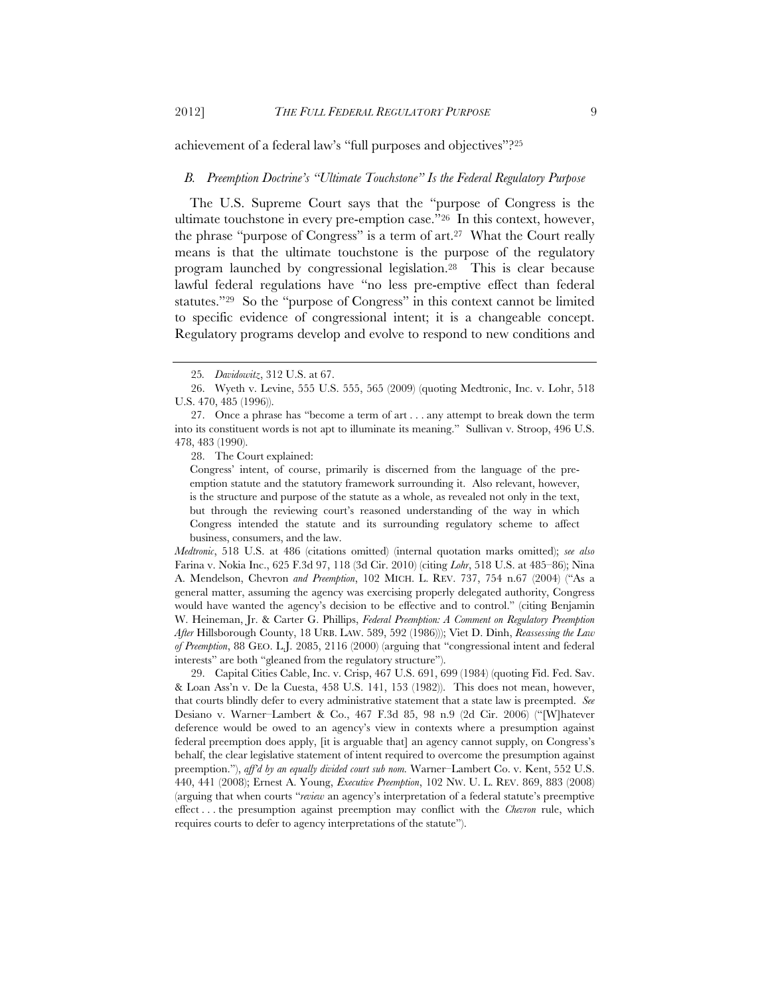achievement of a federal law's "full purposes and objectives"?25

#### *B. Preemption Doctrine's "Ultimate Touchstone" Is the Federal Regulatory Purpose*

The U.S. Supreme Court says that the "purpose of Congress is the ultimate touchstone in every pre-emption case."26 In this context, however, the phrase "purpose of Congress" is a term of art.27 What the Court really means is that the ultimate touchstone is the purpose of the regulatory program launched by congressional legislation.28 This is clear because lawful federal regulations have "no less pre-emptive effect than federal statutes."29 So the "purpose of Congress" in this context cannot be limited to specific evidence of congressional intent; it is a changeable concept. Regulatory programs develop and evolve to respond to new conditions and

28. The Court explained:

*Medtronic*, 518 U.S. at 486 (citations omitted) (internal quotation marks omitted); *see also* Farina v. Nokia Inc., 625 F.3d 97, 118 (3d Cir. 2010) (citing *Lohr*, 518 U.S. at 485–86); Nina A. Mendelson, Chevron *and Preemption*, 102 MICH. L. REV. 737, 754 n.67 (2004) ("As a general matter, assuming the agency was exercising properly delegated authority, Congress would have wanted the agency's decision to be effective and to control." (citing Benjamin W. Heineman, Jr. & Carter G. Phillips, *Federal Preemption: A Comment on Regulatory Preemption After* Hillsborough County, 18 URB. LAW. 589, 592 (1986))); Viet D. Dinh, *Reassessing the Law of Preemption*, 88 GEO. L.J. 2085, 2116 (2000) (arguing that "congressional intent and federal interests" are both "gleaned from the regulatory structure").

29. Capital Cities Cable, Inc. v. Crisp, 467 U.S. 691, 699 (1984) (quoting Fid. Fed. Sav. & Loan Ass'n v. De la Cuesta, 458 U.S. 141, 153 (1982)). This does not mean, however, that courts blindly defer to every administrative statement that a state law is preempted. *See* Desiano v. Warner–Lambert & Co., 467 F.3d 85, 98 n.9 (2d Cir. 2006) ("[W]hatever deference would be owed to an agency's view in contexts where a presumption against federal preemption does apply, [it is arguable that] an agency cannot supply, on Congress's behalf, the clear legislative statement of intent required to overcome the presumption against preemption."), *aff'd by an equally divided court sub nom.* Warner–Lambert Co. v. Kent, 552 U.S. 440, 441 (2008); Ernest A. Young, *Executive Preemption*, 102 NW. U. L. REV. 869, 883 (2008) (arguing that when courts "*review* an agency's interpretation of a federal statute's preemptive effect . . . the presumption against preemption may conflict with the *Chevron* rule, which requires courts to defer to agency interpretations of the statute").

<sup>25</sup>*. Davidowitz*, 312 U.S. at 67.

<sup>26.</sup> Wyeth v. Levine, 555 U.S. 555, 565 (2009) (quoting Medtronic, Inc. v. Lohr, 518 U.S. 470, 485 (1996)).

<sup>27.</sup> Once a phrase has "become a term of art . . . any attempt to break down the term into its constituent words is not apt to illuminate its meaning." Sullivan v. Stroop, 496 U.S. 478, 483 (1990).

Congress' intent, of course, primarily is discerned from the language of the preemption statute and the statutory framework surrounding it. Also relevant, however, is the structure and purpose of the statute as a whole, as revealed not only in the text, but through the reviewing court's reasoned understanding of the way in which Congress intended the statute and its surrounding regulatory scheme to affect business, consumers, and the law.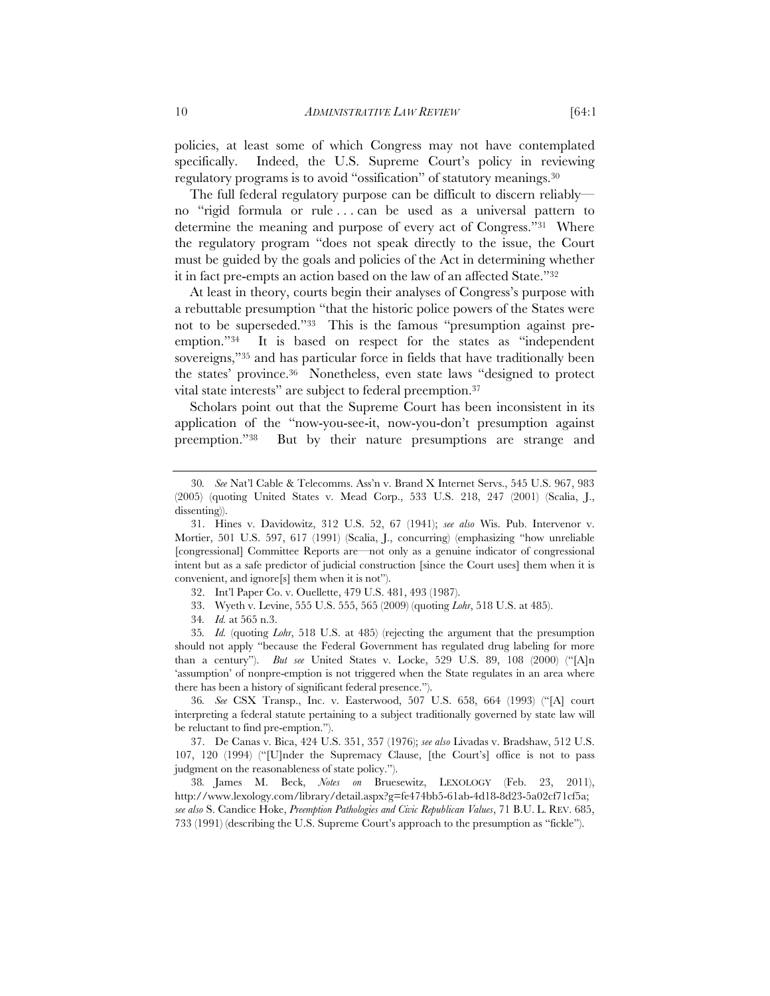policies, at least some of which Congress may not have contemplated specifically. Indeed, the U.S. Supreme Court's policy in reviewing regulatory programs is to avoid "ossification" of statutory meanings.30

The full federal regulatory purpose can be difficult to discern reliably no "rigid formula or rule . . . can be used as a universal pattern to determine the meaning and purpose of every act of Congress."31 Where the regulatory program "does not speak directly to the issue, the Court must be guided by the goals and policies of the Act in determining whether it in fact pre-empts an action based on the law of an affected State."32

At least in theory, courts begin their analyses of Congress's purpose with a rebuttable presumption "that the historic police powers of the States were not to be superseded."33 This is the famous "presumption against preemption."34 It is based on respect for the states as "independent sovereigns,"35 and has particular force in fields that have traditionally been the states' province.36 Nonetheless, even state laws "designed to protect vital state interests" are subject to federal preemption.37

Scholars point out that the Supreme Court has been inconsistent in its application of the "now-you-see-it, now-you-don't presumption against preemption."38 But by their nature presumptions are strange and

33. Wyeth v. Levine, 555 U.S. 555, 565 (2009) (quoting *Lohr*, 518 U.S. at 485).

34*. Id.* at 565 n.3.

35*. Id.* (quoting *Lohr*, 518 U.S. at 485) (rejecting the argument that the presumption should not apply "because the Federal Government has regulated drug labeling for more than a century"). *But see* United States v. Locke, 529 U.S. 89, 108 (2000) ("[A]n 'assumption' of nonpre-emption is not triggered when the State regulates in an area where there has been a history of significant federal presence.").

36*. See* CSX Transp., Inc. v. Easterwood, 507 U.S. 658, 664 (1993) ("[A] court interpreting a federal statute pertaining to a subject traditionally governed by state law will be reluctant to find pre-emption.").

37. De Canas v. Bica, 424 U.S. 351, 357 (1976); *see also* Livadas v. Bradshaw, 512 U.S. 107, 120 (1994) ("[U]nder the Supremacy Clause, [the Court's] office is not to pass judgment on the reasonableness of state policy.").

38*.* James M. Beck, *Notes on* Bruesewitz, LEXOLOGY (Feb. 23, 2011), http://www.lexology.com/library/detail.aspx?g=fe474bb5-61ab-4d18-8d23-5a02cf71cf5a; *see also* S. Candice Hoke, *Preemption Pathologies and Civic Republican Values*, 71 B.U. L. REV. 685, 733 (1991) (describing the U.S. Supreme Court's approach to the presumption as "fickle").

<sup>30</sup>*. See* Nat'l Cable & Telecomms. Ass'n v. Brand X Internet Servs., 545 U.S. 967, 983 (2005) (quoting United States v. Mead Corp., 533 U.S. 218, 247 (2001) (Scalia, J., dissenting)).

<sup>31.</sup> Hines v. Davidowitz, 312 U.S. 52, 67 (1941); *see also* Wis. Pub. Intervenor v. Mortier, 501 U.S. 597, 617 (1991) (Scalia, J., concurring) (emphasizing "how unreliable [congressional] Committee Reports are—not only as a genuine indicator of congressional intent but as a safe predictor of judicial construction [since the Court uses] them when it is convenient, and ignore[s] them when it is not").

<sup>32.</sup> Int'l Paper Co. v. Ouellette, 479 U.S. 481, 493 (1987).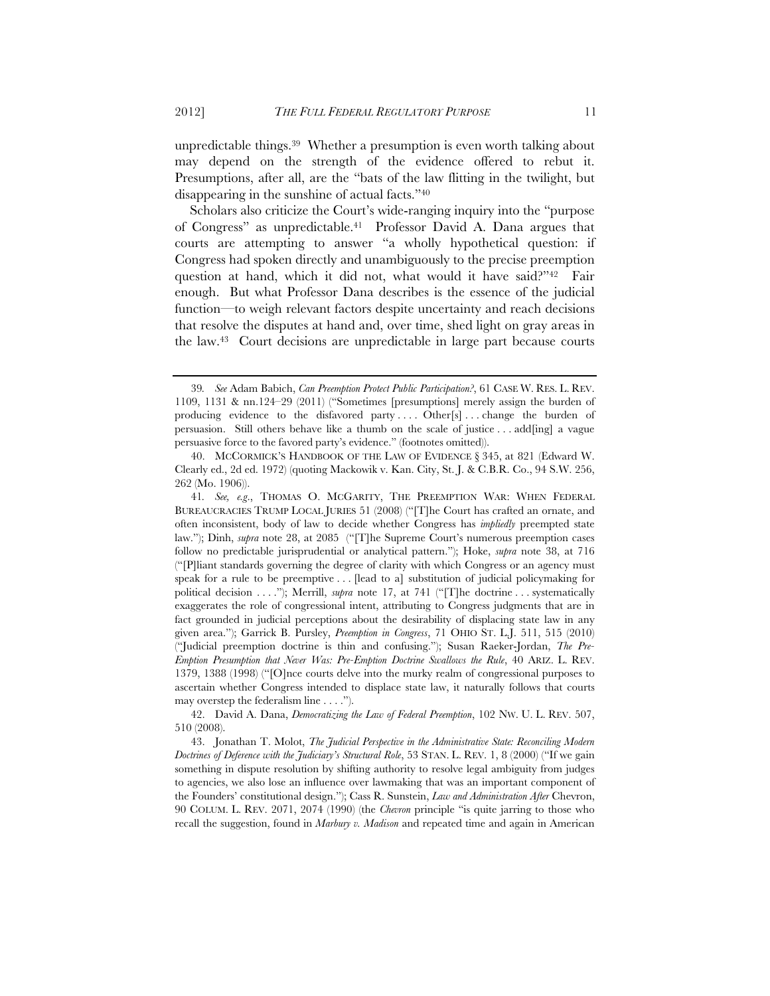unpredictable things.39 Whether a presumption is even worth talking about may depend on the strength of the evidence offered to rebut it. Presumptions, after all, are the "bats of the law flitting in the twilight, but disappearing in the sunshine of actual facts."40

Scholars also criticize the Court's wide-ranging inquiry into the "purpose of Congress" as unpredictable.41 Professor David A. Dana argues that courts are attempting to answer "a wholly hypothetical question: if Congress had spoken directly and unambiguously to the precise preemption question at hand, which it did not, what would it have said?"<sup>42</sup> Fair enough. But what Professor Dana describes is the essence of the judicial function—to weigh relevant factors despite uncertainty and reach decisions that resolve the disputes at hand and, over time, shed light on gray areas in the law.43 Court decisions are unpredictable in large part because courts

42. David A. Dana, *Democratizing the Law of Federal Preemption*, 102 NW. U. L. REV. 507, 510 (2008).

43. Jonathan T. Molot, *The Judicial Perspective in the Administrative State: Reconciling Modern Doctrines of Deference with the Judiciary's Structural Role*, 53 STAN. L. REV. 1, 8 (2000) ("If we gain something in dispute resolution by shifting authority to resolve legal ambiguity from judges to agencies, we also lose an influence over lawmaking that was an important component of the Founders' constitutional design."); Cass R. Sunstein, *Law and Administration After* Chevron, 90 COLUM. L. REV. 2071, 2074 (1990) (the *Chevron* principle "is quite jarring to those who recall the suggestion, found in *Marbury v. Madison* and repeated time and again in American

<sup>39</sup>*. See* Adam Babich, *Can Preemption Protect Public Participation?*, 61 CASE W. RES. L. REV. 1109, 1131 & nn.124–29 (2011) ("Sometimes [presumptions] merely assign the burden of producing evidence to the disfavored party .... Other[s] ... change the burden of persuasion. Still others behave like a thumb on the scale of justice . . . add[ing] a vague persuasive force to the favored party's evidence." (footnotes omitted)).

<sup>40.</sup> MCCORMICK'S HANDBOOK OF THE LAW OF EVIDENCE § 345, at 821 (Edward W. Clearly ed., 2d ed. 1972) (quoting Mackowik v. Kan. City, St. J. & C.B.R. Co., 94 S.W. 256, 262 (Mo. 1906)).

<sup>41</sup>*. See, e.g*., THOMAS O. MCGARITY, THE PREEMPTION WAR: WHEN FEDERAL BUREAUCRACIES TRUMP LOCAL JURIES 51 (2008) ("[T]he Court has crafted an ornate, and often inconsistent, body of law to decide whether Congress has *impliedly* preempted state law."); Dinh, *supra* note 28, at 2085 ("[T]he Supreme Court's numerous preemption cases follow no predictable jurisprudential or analytical pattern."); Hoke, *supra* note 38, at 716 ("[P]liant standards governing the degree of clarity with which Congress or an agency must speak for a rule to be preemptive . . . [lead to a] substitution of judicial policymaking for political decision . . . ."); Merrill, *supra* note 17, at 741 ("[T]he doctrine . . . systematically exaggerates the role of congressional intent, attributing to Congress judgments that are in fact grounded in judicial perceptions about the desirability of displacing state law in any given area."); Garrick B. Pursley, *Preemption in Congress*, 71 OHIO ST. L.J. 511, 515 (2010) ("Judicial preemption doctrine is thin and confusing."); Susan Raeker-Jordan, *The Pre-Emption Presumption that Never Was: Pre-Emption Doctrine Swallows the Rule*, 40 ARIZ. L. REV. 1379, 1388 (1998) ("[O]nce courts delve into the murky realm of congressional purposes to ascertain whether Congress intended to displace state law, it naturally follows that courts may overstep the federalism line . . . .").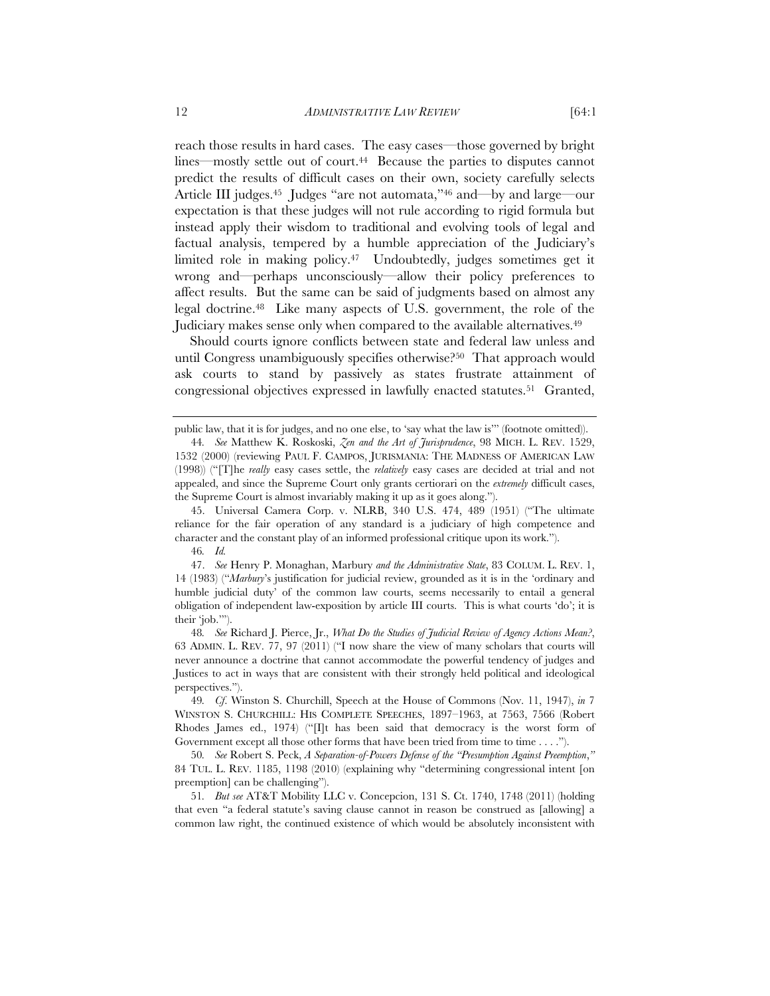reach those results in hard cases. The easy cases—those governed by bright lines—mostly settle out of court.44 Because the parties to disputes cannot predict the results of difficult cases on their own, society carefully selects Article III judges.<sup>45</sup> Judges "are not automata,"<sup>46</sup> and—by and large—our expectation is that these judges will not rule according to rigid formula but instead apply their wisdom to traditional and evolving tools of legal and factual analysis, tempered by a humble appreciation of the Judiciary's limited role in making policy.<sup>47</sup> Undoubtedly, judges sometimes get it wrong and—perhaps unconsciously—allow their policy preferences to

affect results. But the same can be said of judgments based on almost any legal doctrine.48 Like many aspects of U.S. government, the role of the Judiciary makes sense only when compared to the available alternatives.49 Should courts ignore conflicts between state and federal law unless and

until Congress unambiguously specifies otherwise?<sup>50</sup> That approach would ask courts to stand by passively as states frustrate attainment of congressional objectives expressed in lawfully enacted statutes.51 Granted,

45. Universal Camera Corp. v. NLRB, 340 U.S. 474, 489 (1951) ("The ultimate reliance for the fair operation of any standard is a judiciary of high competence and character and the constant play of an informed professional critique upon its work.").

46*. Id.*

47. *See* Henry P. Monaghan, Marbury *and the Administrative State*, 83 COLUM. L. REV. 1, 14 (1983) ("*Marbury*'s justification for judicial review, grounded as it is in the 'ordinary and humble judicial duty' of the common law courts, seems necessarily to entail a general obligation of independent law-exposition by article III courts. This is what courts 'do'; it is their 'job.'").

48*. See* Richard J. Pierce, Jr., *What Do the Studies of Judicial Review of Agency Actions Mean?*, 63 ADMIN. L. REV. 77, 97 (2011) ("I now share the view of many scholars that courts will never announce a doctrine that cannot accommodate the powerful tendency of judges and Justices to act in ways that are consistent with their strongly held political and ideological perspectives.").

49*. Cf*. Winston S. Churchill, Speech at the House of Commons (Nov. 11, 1947), *in* 7 WINSTON S. CHURCHILL: HIS COMPLETE SPEECHES, 1897–1963, at 7563, 7566 (Robert Rhodes James ed., 1974) ("[I]t has been said that democracy is the worst form of Government except all those other forms that have been tried from time to time . . . .").

50*. See* Robert S. Peck, *A Separation-of-Powers Defense of the "Presumption Against Preemption*,*"* 84 TUL. L. REV. 1185, 1198 (2010) (explaining why "determining congressional intent [on preemption] can be challenging").

51*. But see* AT&T Mobility LLC v. Concepcion, 131 S. Ct. 1740, 1748 (2011) (holding that even "a federal statute's saving clause cannot in reason be construed as [allowing] a common law right, the continued existence of which would be absolutely inconsistent with

public law, that it is for judges, and no one else, to 'say what the law is'" (footnote omitted)).

<sup>44</sup>*. See* Matthew K. Roskoski, *Zen and the Art of Jurisprudence*, 98 MICH. L. REV. 1529, 1532 (2000) (reviewing PAUL F. CAMPOS, JURISMANIA: THE MADNESS OF AMERICAN LAW (1998)) ("[T]he *really* easy cases settle, the *relatively* easy cases are decided at trial and not appealed, and since the Supreme Court only grants certiorari on the *extremely* difficult cases, the Supreme Court is almost invariably making it up as it goes along.").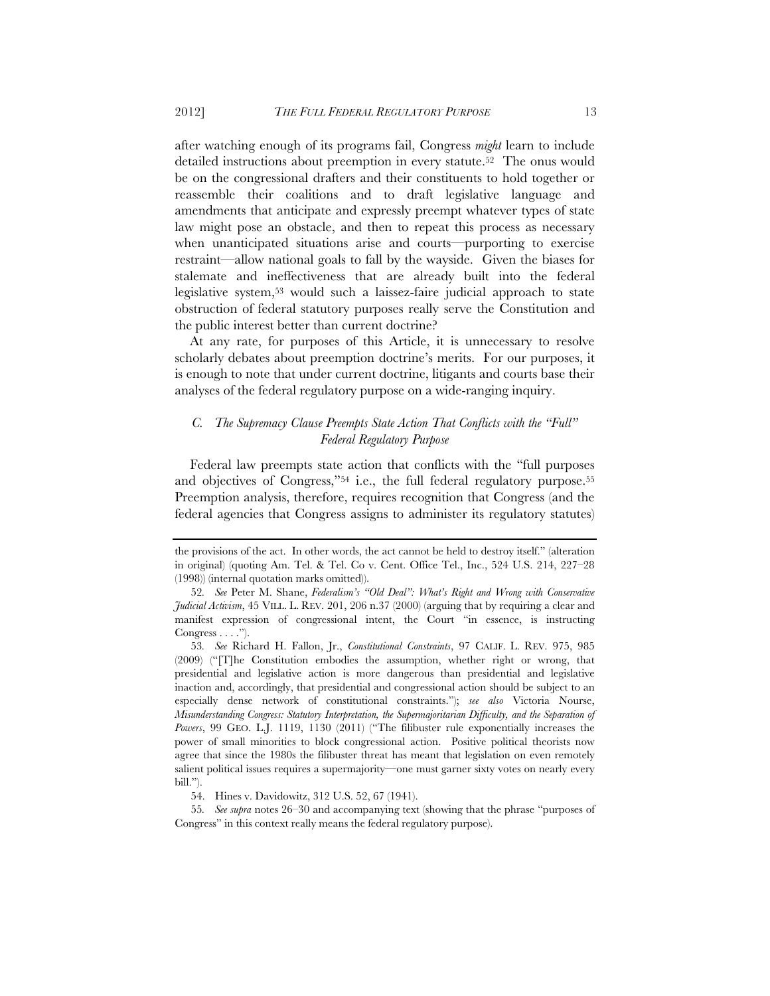after watching enough of its programs fail, Congress *might* learn to include detailed instructions about preemption in every statute.52 The onus would be on the congressional drafters and their constituents to hold together or reassemble their coalitions and to draft legislative language and amendments that anticipate and expressly preempt whatever types of state law might pose an obstacle, and then to repeat this process as necessary when unanticipated situations arise and courts—purporting to exercise restraint—allow national goals to fall by the wayside. Given the biases for stalemate and ineffectiveness that are already built into the federal legislative system,53 would such a laissez-faire judicial approach to state obstruction of federal statutory purposes really serve the Constitution and the public interest better than current doctrine?

At any rate, for purposes of this Article, it is unnecessary to resolve scholarly debates about preemption doctrine's merits. For our purposes, it is enough to note that under current doctrine, litigants and courts base their analyses of the federal regulatory purpose on a wide-ranging inquiry.

# *C. The Supremacy Clause Preempts State Action That Conflicts with the "Full" Federal Regulatory Purpose*

Federal law preempts state action that conflicts with the "full purposes and objectives of Congress,"<sup>54</sup> i.e., the full federal regulatory purpose.<sup>55</sup> Preemption analysis, therefore, requires recognition that Congress (and the federal agencies that Congress assigns to administer its regulatory statutes)

the provisions of the act. In other words, the act cannot be held to destroy itself." (alteration in original) (quoting Am. Tel. & Tel. Co v. Cent. Office Tel., Inc., 524 U.S. 214, 227–28 (1998)) (internal quotation marks omitted)).

<sup>52</sup>*. See* Peter M. Shane, *Federalism's "Old Deal": What's Right and Wrong with Conservative Judicial Activism*, 45 VILL. L. REV. 201, 206 n.37 (2000) (arguing that by requiring a clear and manifest expression of congressional intent, the Court "in essence, is instructing Congress  $\dots$ .").

<sup>53</sup>*. See* Richard H. Fallon, Jr., *Constitutional Constraints*, 97 CALIF. L. REV. 975, 985 (2009) ("[T]he Constitution embodies the assumption, whether right or wrong, that presidential and legislative action is more dangerous than presidential and legislative inaction and, accordingly, that presidential and congressional action should be subject to an especially dense network of constitutional constraints."); *see also* Victoria Nourse, *Misunderstanding Congress: Statutory Interpretation, the Supermajoritarian Difficulty, and the Separation of Powers*, 99 GEO. L.J. 1119, 1130 (2011) ("The filibuster rule exponentially increases the power of small minorities to block congressional action. Positive political theorists now agree that since the 1980s the filibuster threat has meant that legislation on even remotely salient political issues requires a supermajority—one must garner sixty votes on nearly every bill.").

<sup>54.</sup> Hines v. Davidowitz, 312 U.S. 52, 67 (1941).

<sup>55</sup>*. See supra* notes 26–30 and accompanying text (showing that the phrase "purposes of Congress" in this context really means the federal regulatory purpose).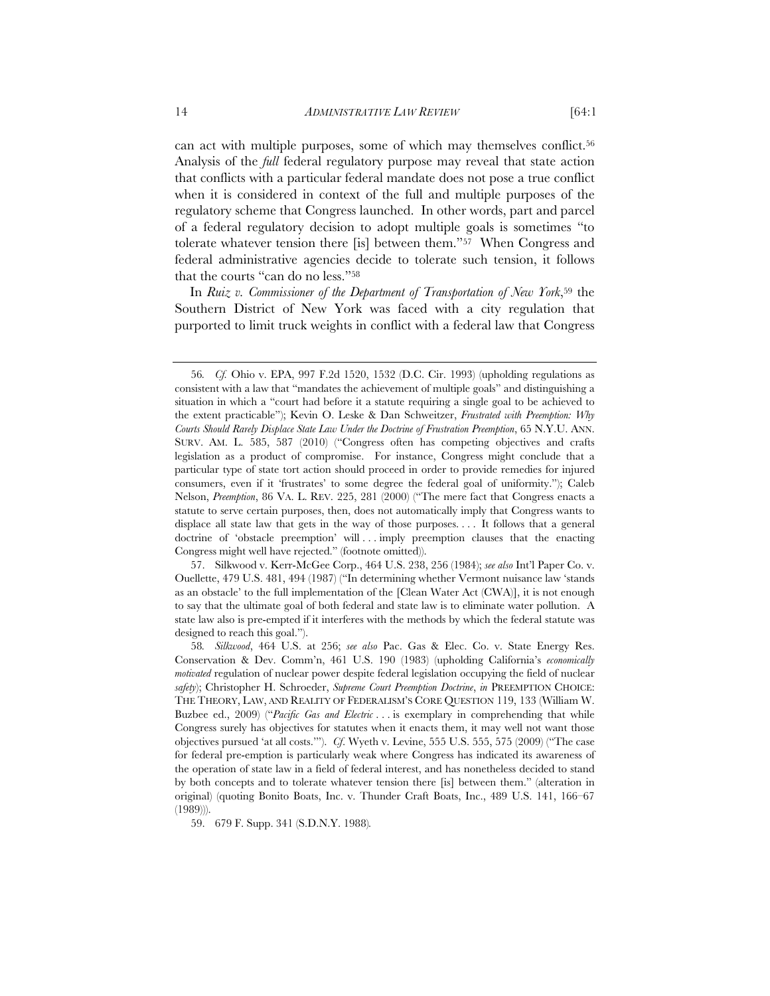can act with multiple purposes, some of which may themselves conflict.<sup>56</sup> Analysis of the *full* federal regulatory purpose may reveal that state action that conflicts with a particular federal mandate does not pose a true conflict when it is considered in context of the full and multiple purposes of the regulatory scheme that Congress launched. In other words, part and parcel of a federal regulatory decision to adopt multiple goals is sometimes "to tolerate whatever tension there [is] between them."57 When Congress and federal administrative agencies decide to tolerate such tension, it follows that the courts "can do no less."58

In *Ruiz v. Commissioner of the Department of Transportation of New York*,<sup>59</sup> the Southern District of New York was faced with a city regulation that purported to limit truck weights in conflict with a federal law that Congress

57. Silkwood v. Kerr-McGee Corp., 464 U.S. 238, 256 (1984); *see also* Int'l Paper Co. v. Ouellette, 479 U.S. 481, 494 (1987) ("In determining whether Vermont nuisance law 'stands as an obstacle' to the full implementation of the [Clean Water Act (CWA)], it is not enough to say that the ultimate goal of both federal and state law is to eliminate water pollution. A state law also is pre-empted if it interferes with the methods by which the federal statute was designed to reach this goal.").

59. 679 F. Supp. 341 (S.D.N.Y. 1988)*.*

<sup>56</sup>*. Cf.* Ohio v. EPA, 997 F.2d 1520, 1532 (D.C. Cir. 1993) (upholding regulations as consistent with a law that "mandates the achievement of multiple goals" and distinguishing a situation in which a "court had before it a statute requiring a single goal to be achieved to the extent practicable"); Kevin O. Leske & Dan Schweitzer, *Frustrated with Preemption: Why Courts Should Rarely Displace State Law Under the Doctrine of Frustration Preemption*, 65 N.Y.U. ANN. SURV. AM. L. 585, 587 (2010) ("Congress often has competing objectives and crafts legislation as a product of compromise. For instance, Congress might conclude that a particular type of state tort action should proceed in order to provide remedies for injured consumers, even if it 'frustrates' to some degree the federal goal of uniformity."); Caleb Nelson, *Preemption*, 86 VA. L. REV. 225, 281 (2000) ("The mere fact that Congress enacts a statute to serve certain purposes, then, does not automatically imply that Congress wants to displace all state law that gets in the way of those purposes. . . . It follows that a general doctrine of 'obstacle preemption' will . . . imply preemption clauses that the enacting Congress might well have rejected." (footnote omitted)).

<sup>58</sup>*. Silkwood*, 464 U.S. at 256; *see also* Pac. Gas & Elec. Co. v. State Energy Res. Conservation & Dev. Comm'n, 461 U.S. 190 (1983) (upholding California's *economically motivated* regulation of nuclear power despite federal legislation occupying the field of nuclear *safety*); Christopher H. Schroeder, *Supreme Court Preemption Doctrine*, *in* PREEMPTION CHOICE: THE THEORY, LAW, AND REALITY OF FEDERALISM'S CORE QUESTION 119, 133 (William W. Buzbee ed., 2009) *("Pacific Gas and Electric* ... is exemplary in comprehending that while Congress surely has objectives for statutes when it enacts them, it may well not want those objectives pursued 'at all costs.'"). *Cf*. Wyeth v. Levine, 555 U.S. 555, 575 (2009) ("The case for federal pre-emption is particularly weak where Congress has indicated its awareness of the operation of state law in a field of federal interest, and has nonetheless decided to stand by both concepts and to tolerate whatever tension there [is] between them." (alteration in original) (quoting Bonito Boats, Inc. v. Thunder Craft Boats, Inc., 489 U.S. 141, 166–67 (1989))).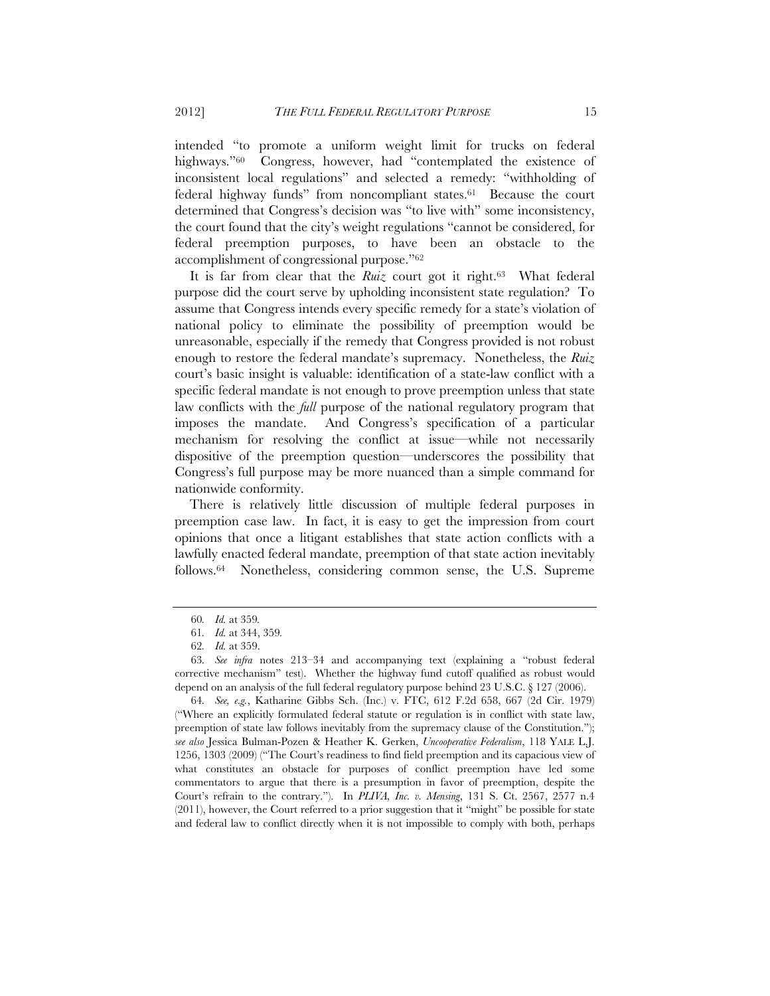intended "to promote a uniform weight limit for trucks on federal highways."<sup>60</sup> Congress, however, had "contemplated the existence of inconsistent local regulations" and selected a remedy: "withholding of federal highway funds" from noncompliant states.61 Because the court determined that Congress's decision was "to live with" some inconsistency, the court found that the city's weight regulations "cannot be considered, for federal preemption purposes, to have been an obstacle to the accomplishment of congressional purpose."62

It is far from clear that the *Ruiz* court got it right.<sup>63</sup> What federal purpose did the court serve by upholding inconsistent state regulation? To assume that Congress intends every specific remedy for a state's violation of national policy to eliminate the possibility of preemption would be unreasonable, especially if the remedy that Congress provided is not robust enough to restore the federal mandate's supremacy. Nonetheless, the *Ruiz* court's basic insight is valuable: identification of a state-law conflict with a specific federal mandate is not enough to prove preemption unless that state law conflicts with the *full* purpose of the national regulatory program that imposes the mandate. And Congress's specification of a particular mechanism for resolving the conflict at issue—while not necessarily dispositive of the preemption question—underscores the possibility that Congress's full purpose may be more nuanced than a simple command for nationwide conformity.

There is relatively little discussion of multiple federal purposes in preemption case law. In fact, it is easy to get the impression from court opinions that once a litigant establishes that state action conflicts with a lawfully enacted federal mandate, preemption of that state action inevitably follows.64 Nonetheless, considering common sense, the U.S. Supreme

<sup>60</sup>*. Id.* at 359*.*

<sup>61</sup>*. Id.* at 344, 359*.*

<sup>62</sup>*. Id.* at 359.

<sup>63</sup>*. See infra* notes 213–34 and accompanying text (explaining a "robust federal corrective mechanism" test). Whether the highway fund cutoff qualified as robust would depend on an analysis of the full federal regulatory purpose behind 23 U.S.C. § 127 (2006).

<sup>64</sup>*. See, e.g.*, Katharine Gibbs Sch. (Inc.) v. FTC, 612 F.2d 658, 667 (2d Cir. 1979) ("Where an explicitly formulated federal statute or regulation is in conflict with state law, preemption of state law follows inevitably from the supremacy clause of the Constitution."); *see also* Jessica Bulman-Pozen & Heather K. Gerken, *Uncooperative Federalism*, 118 YALE L.J. 1256, 1303 (2009) ("The Court's readiness to find field preemption and its capacious view of what constitutes an obstacle for purposes of conflict preemption have led some commentators to argue that there is a presumption in favor of preemption, despite the Court's refrain to the contrary."). In *PLIVA, Inc. v. Mensing*, 131 S. Ct. 2567, 2577 n.4 (2011), however, the Court referred to a prior suggestion that it "might" be possible for state and federal law to conflict directly when it is not impossible to comply with both, perhaps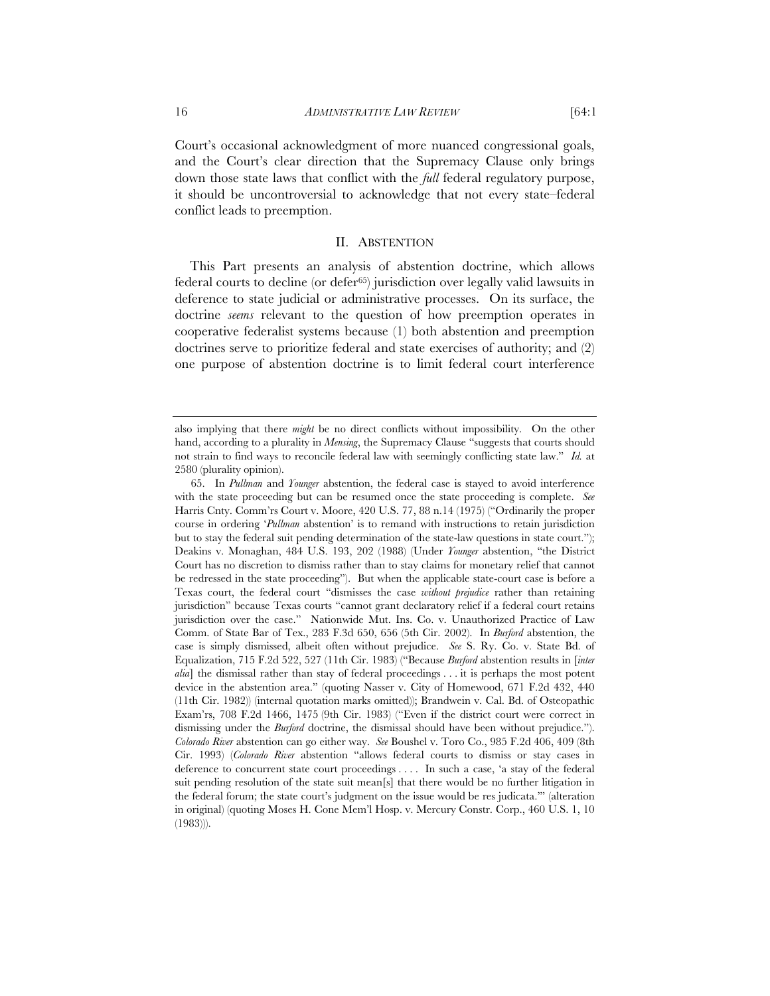Court's occasional acknowledgment of more nuanced congressional goals, and the Court's clear direction that the Supremacy Clause only brings down those state laws that conflict with the *full* federal regulatory purpose, it should be uncontroversial to acknowledge that not every state–federal conflict leads to preemption.

#### II. ABSTENTION

This Part presents an analysis of abstention doctrine, which allows federal courts to decline (or defer65) jurisdiction over legally valid lawsuits in deference to state judicial or administrative processes. On its surface, the doctrine *seems* relevant to the question of how preemption operates in cooperative federalist systems because (1) both abstention and preemption doctrines serve to prioritize federal and state exercises of authority; and (2) one purpose of abstention doctrine is to limit federal court interference

also implying that there *might* be no direct conflicts without impossibility. On the other hand, according to a plurality in *Mensing*, the Supremacy Clause "suggests that courts should not strain to find ways to reconcile federal law with seemingly conflicting state law." *Id.* at 2580 (plurality opinion).

<sup>65.</sup> In *Pullman* and *Younger* abstention, the federal case is stayed to avoid interference with the state proceeding but can be resumed once the state proceeding is complete. *See* Harris Cnty. Comm'rs Court v. Moore, 420 U.S. 77, 88 n.14 (1975) ("Ordinarily the proper course in ordering '*Pullman* abstention' is to remand with instructions to retain jurisdiction but to stay the federal suit pending determination of the state-law questions in state court."); Deakins v. Monaghan, 484 U.S. 193, 202 (1988) (Under *Younger* abstention, "the District Court has no discretion to dismiss rather than to stay claims for monetary relief that cannot be redressed in the state proceeding"). But when the applicable state-court case is before a Texas court, the federal court "dismisses the case *without prejudice* rather than retaining jurisdiction" because Texas courts "cannot grant declaratory relief if a federal court retains jurisdiction over the case." Nationwide Mut. Ins. Co. v. Unauthorized Practice of Law Comm. of State Bar of Tex., 283 F.3d 650, 656 (5th Cir. 2002). In *Burford* abstention, the case is simply dismissed, albeit often without prejudice. *See* S. Ry. Co. v. State Bd. of Equalization, 715 F.2d 522, 527 (11th Cir. 1983) ("Because *Burford* abstention results in [*inter alia*] the dismissal rather than stay of federal proceedings . . . it is perhaps the most potent device in the abstention area." (quoting Nasser v. City of Homewood, 671 F.2d 432, 440 (11th Cir. 1982)) (internal quotation marks omitted)); Brandwein v. Cal. Bd. of Osteopathic Exam'rs, 708 F.2d 1466, 1475 (9th Cir. 1983) ("Even if the district court were correct in dismissing under the *Burford* doctrine, the dismissal should have been without prejudice."). *Colorado River* abstention can go either way. *See* Boushel v. Toro Co., 985 F.2d 406, 409 (8th Cir. 1993) (*Colorado River* abstention "allows federal courts to dismiss or stay cases in deference to concurrent state court proceedings . . . . In such a case, 'a stay of the federal suit pending resolution of the state suit mean[s] that there would be no further litigation in the federal forum; the state court's judgment on the issue would be res judicata.'" (alteration in original) (quoting Moses H. Cone Mem'l Hosp. v. Mercury Constr. Corp., 460 U.S. 1, 10 (1983))).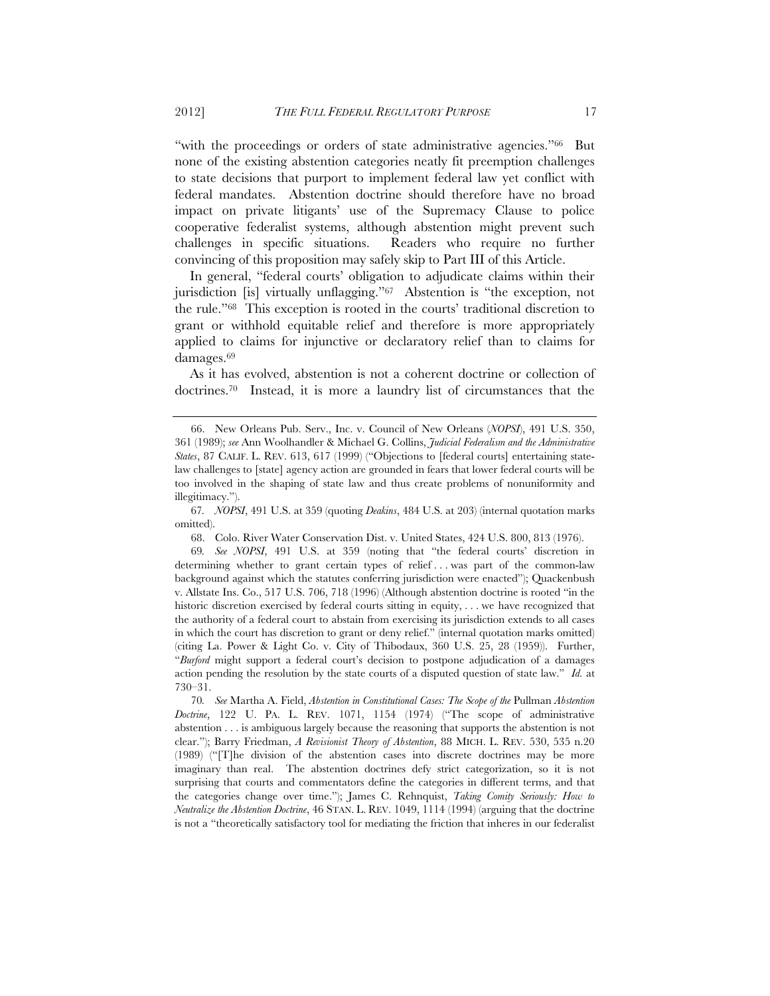"with the proceedings or orders of state administrative agencies."66 But none of the existing abstention categories neatly fit preemption challenges to state decisions that purport to implement federal law yet conflict with federal mandates. Abstention doctrine should therefore have no broad impact on private litigants' use of the Supremacy Clause to police cooperative federalist systems, although abstention might prevent such challenges in specific situations. Readers who require no further convincing of this proposition may safely skip to Part III of this Article.

In general, "federal courts' obligation to adjudicate claims within their jurisdiction [is] virtually unflagging."67 Abstention is "the exception, not the rule."68 This exception is rooted in the courts' traditional discretion to grant or withhold equitable relief and therefore is more appropriately applied to claims for injunctive or declaratory relief than to claims for damages.69

As it has evolved, abstention is not a coherent doctrine or collection of doctrines.70 Instead, it is more a laundry list of circumstances that the

67*. NOPSI*, 491 U.S. at 359 (quoting *Deakins*, 484 U.S. at 203) (internal quotation marks omitted).

68. Colo. River Water Conservation Dist. v. United States, 424 U.S. 800, 813 (1976).

69*. See NOPSI*, 491 U.S. at 359 (noting that "the federal courts' discretion in determining whether to grant certain types of relief . . . was part of the common-law background against which the statutes conferring jurisdiction were enacted"); Quackenbush v. Allstate Ins. Co., 517 U.S. 706, 718 (1996) (Although abstention doctrine is rooted "in the historic discretion exercised by federal courts sitting in equity, ... we have recognized that the authority of a federal court to abstain from exercising its jurisdiction extends to all cases in which the court has discretion to grant or deny relief." (internal quotation marks omitted) (citing La. Power & Light Co. v. City of Thibodaux, 360 U.S. 25, 28 (1959)). Further, "*Burford* might support a federal court's decision to postpone adjudication of a damages action pending the resolution by the state courts of a disputed question of state law." *Id.* at 730–31.

70*. See* Martha A. Field, *Abstention in Constitutional Cases: The Scope of the* Pullman *Abstention Doctrine*, 122 U. PA. L. REV. 1071, 1154 (1974) ("The scope of administrative abstention . . . is ambiguous largely because the reasoning that supports the abstention is not clear."); Barry Friedman, *A Revisionist Theory of Abstention*, 88 MICH. L. REV. 530, 535 n.20 (1989) ("[T]he division of the abstention cases into discrete doctrines may be more imaginary than real. The abstention doctrines defy strict categorization, so it is not surprising that courts and commentators define the categories in different terms, and that the categories change over time."); James C. Rehnquist, *Taking Comity Seriously: How to Neutralize the Abstention Doctrine*, 46 STAN. L. REV. 1049, 1114 (1994) (arguing that the doctrine is not a "theoretically satisfactory tool for mediating the friction that inheres in our federalist

<sup>66.</sup> New Orleans Pub. Serv., Inc. v. Council of New Orleans (*NOPSI*), 491 U.S. 350, 361 (1989); *see* Ann Woolhandler & Michael G. Collins, *Judicial Federalism and the Administrative States*, 87 CALIF. L. REV. 613, 617 (1999) ("Objections to [federal courts] entertaining statelaw challenges to [state] agency action are grounded in fears that lower federal courts will be too involved in the shaping of state law and thus create problems of nonuniformity and illegitimacy.").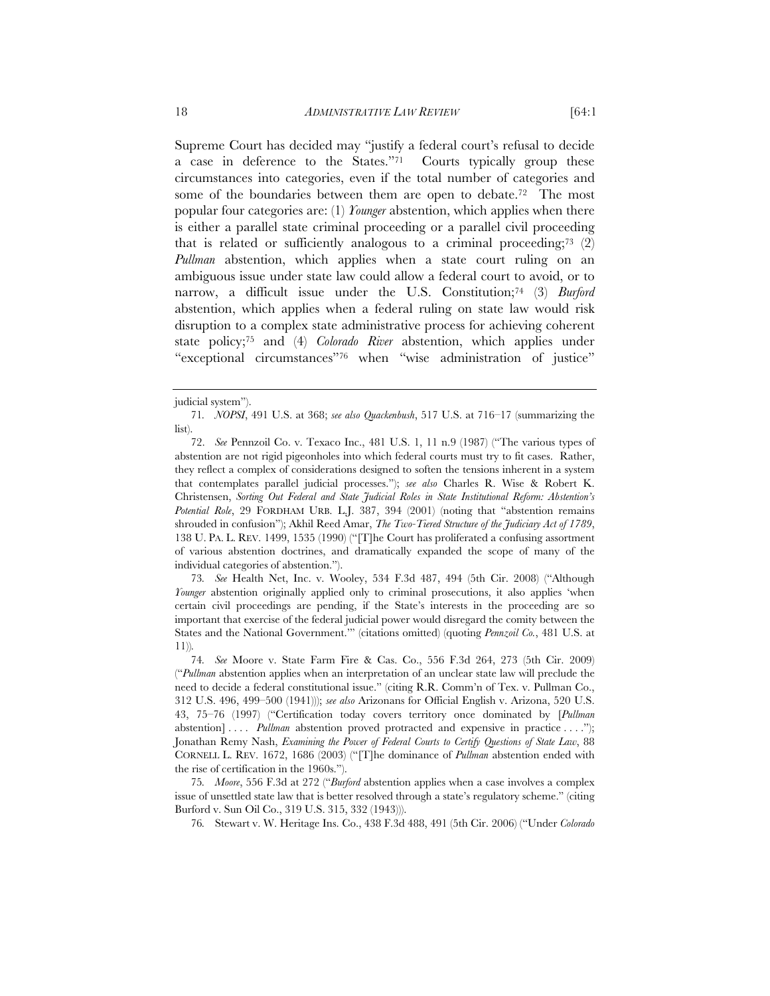Supreme Court has decided may "justify a federal court's refusal to decide a case in deference to the States."71 Courts typically group these circumstances into categories, even if the total number of categories and some of the boundaries between them are open to debate.<sup>72</sup> The most popular four categories are: (1) *Younger* abstention, which applies when there is either a parallel state criminal proceeding or a parallel civil proceeding that is related or sufficiently analogous to a criminal proceeding;<sup>73</sup> (2) *Pullman* abstention, which applies when a state court ruling on an ambiguous issue under state law could allow a federal court to avoid, or to narrow, a difficult issue under the U.S. Constitution;<sup>74</sup> (3) *Burford* abstention, which applies when a federal ruling on state law would risk disruption to a complex state administrative process for achieving coherent state policy;75 and (4) *Colorado River* abstention, which applies under "exceptional circumstances"76 when "wise administration of justice"

73*. See* Health Net, Inc. v. Wooley, 534 F.3d 487, 494 (5th Cir. 2008) ("Although *Younger* abstention originally applied only to criminal prosecutions, it also applies 'when certain civil proceedings are pending, if the State's interests in the proceeding are so important that exercise of the federal judicial power would disregard the comity between the States and the National Government.'" (citations omitted) (quoting *Pennzoil Co.*, 481 U.S. at 11))*.*

74*. See* Moore v. State Farm Fire & Cas. Co., 556 F.3d 264, 273 (5th Cir. 2009) ("*Pullman* abstention applies when an interpretation of an unclear state law will preclude the need to decide a federal constitutional issue." (citing R.R. Comm'n of Tex. v. Pullman Co., 312 U.S. 496, 499–500 (1941))); *see also* Arizonans for Official English v. Arizona, 520 U.S. 43, 75–76 (1997) ("Certification today covers territory once dominated by [*Pullman* abstention] . . . . *Pullman* abstention proved protracted and expensive in practice . . . ."); Jonathan Remy Nash, *Examining the Power of Federal Courts to Certify Questions of State Law*, 88 CORNELL L. REV. 1672, 1686 (2003) ("[T]he dominance of *Pullman* abstention ended with the rise of certification in the 1960s.").

75*. Moore*, 556 F.3d at 272 ("*Burford* abstention applies when a case involves a complex issue of unsettled state law that is better resolved through a state's regulatory scheme." (citing Burford v. Sun Oil Co., 319 U.S. 315, 332 (1943))).

76*.* Stewart v. W. Heritage Ins. Co., 438 F.3d 488, 491 (5th Cir. 2006) ("Under *Colorado*

judicial system").

<sup>71</sup>*. NOPSI*, 491 U.S. at 368; *see also Quackenbush*, 517 U.S. at 716–17 (summarizing the list).

<sup>72.</sup> *See* Pennzoil Co. v. Texaco Inc., 481 U.S. 1, 11 n.9 (1987) ("The various types of abstention are not rigid pigeonholes into which federal courts must try to fit cases. Rather, they reflect a complex of considerations designed to soften the tensions inherent in a system that contemplates parallel judicial processes."); *see also* Charles R. Wise & Robert K. Christensen, *Sorting Out Federal and State Judicial Roles in State Institutional Reform: Abstention's Potential Role*, 29 FORDHAM URB. L.J. 387, 394 (2001) (noting that "abstention remains shrouded in confusion"); Akhil Reed Amar, *The Two-Tiered Structure of the Judiciary Act of 1789*, 138 U. PA. L. REV. 1499, 1535 (1990) ("[T]he Court has proliferated a confusing assortment of various abstention doctrines, and dramatically expanded the scope of many of the individual categories of abstention.").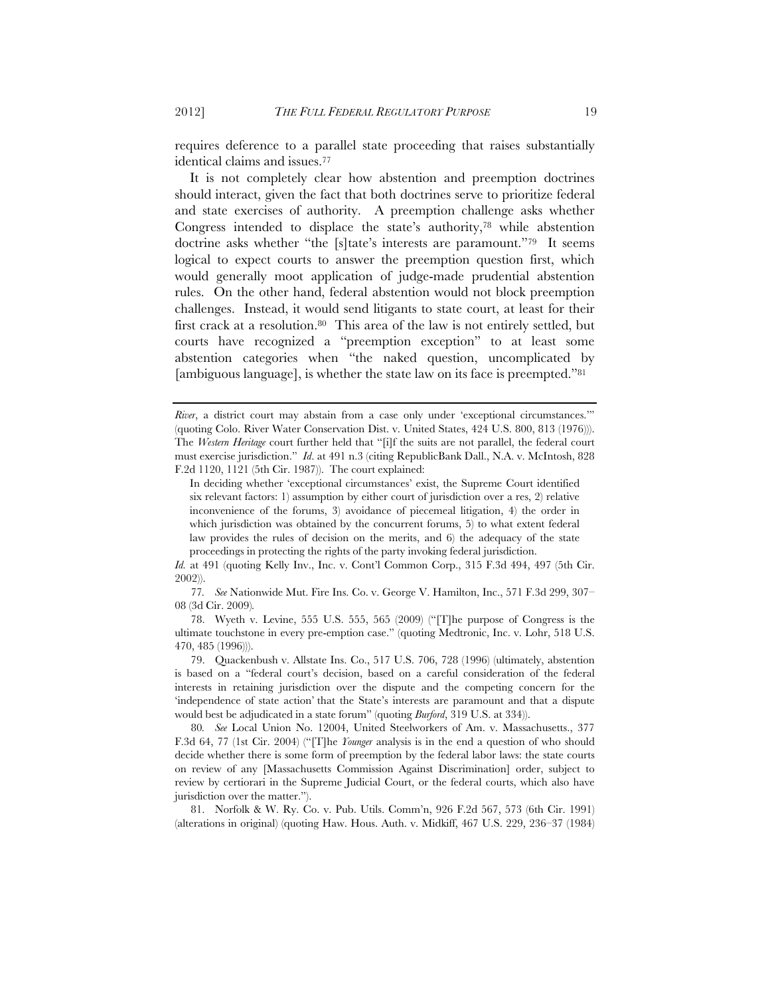requires deference to a parallel state proceeding that raises substantially identical claims and issues.77

It is not completely clear how abstention and preemption doctrines should interact, given the fact that both doctrines serve to prioritize federal and state exercises of authority. A preemption challenge asks whether Congress intended to displace the state's authority,78 while abstention doctrine asks whether "the [s]tate's interests are paramount."79 It seems logical to expect courts to answer the preemption question first, which would generally moot application of judge-made prudential abstention rules. On the other hand, federal abstention would not block preemption challenges. Instead, it would send litigants to state court, at least for their first crack at a resolution.80 This area of the law is not entirely settled, but courts have recognized a "preemption exception" to at least some abstention categories when "the naked question, uncomplicated by [ambiguous language], is whether the state law on its face is preempted."81

*Id.* at 491 (quoting Kelly Inv., Inc. v. Cont'l Common Corp., 315 F.3d 494, 497 (5th Cir. 2002)).

77*. See* Nationwide Mut. Fire Ins. Co. v. George V. Hamilton, Inc., 571 F.3d 299, 307– 08 (3d Cir. 2009)*.*

78. Wyeth v. Levine, 555 U.S. 555, 565 (2009) ("[T]he purpose of Congress is the ultimate touchstone in every pre-emption case." (quoting Medtronic, Inc. v. Lohr, 518 U.S. 470, 485 (1996))).

79. Quackenbush v. Allstate Ins. Co., 517 U.S. 706, 728 (1996) (ultimately, abstention is based on a "federal court's decision, based on a careful consideration of the federal interests in retaining jurisdiction over the dispute and the competing concern for the 'independence of state action' that the State's interests are paramount and that a dispute would best be adjudicated in a state forum" (quoting *Burford*, 319 U.S. at 334)).

80*. See* Local Union No. 12004, United Steelworkers of Am. v. Massachusetts., 377 F.3d 64, 77 (1st Cir. 2004) ("[T]he *Younger* analysis is in the end a question of who should decide whether there is some form of preemption by the federal labor laws: the state courts on review of any [Massachusetts Commission Against Discrimination] order, subject to review by certiorari in the Supreme Judicial Court, or the federal courts, which also have jurisdiction over the matter.").

81. Norfolk & W. Ry. Co. v. Pub. Utils. Comm'n, 926 F.2d 567, 573 (6th Cir. 1991) (alterations in original) (quoting Haw. Hous. Auth. v. Midkiff, 467 U.S. 229, 236–37 (1984)

*River*, a district court may abstain from a case only under 'exceptional circumstances.'" (quoting Colo. River Water Conservation Dist. v. United States, 424 U.S. 800, 813 (1976))). The *Western Heritage* court further held that "[i]f the suits are not parallel, the federal court must exercise jurisdiction." *Id*. at 491 n.3 (citing RepublicBank Dall., N.A. v. McIntosh, 828 F.2d 1120, 1121 (5th Cir. 1987)). The court explained:

In deciding whether 'exceptional circumstances' exist, the Supreme Court identified six relevant factors: 1) assumption by either court of jurisdiction over a res, 2) relative inconvenience of the forums, 3) avoidance of piecemeal litigation, 4) the order in which jurisdiction was obtained by the concurrent forums, 5) to what extent federal law provides the rules of decision on the merits, and 6) the adequacy of the state proceedings in protecting the rights of the party invoking federal jurisdiction.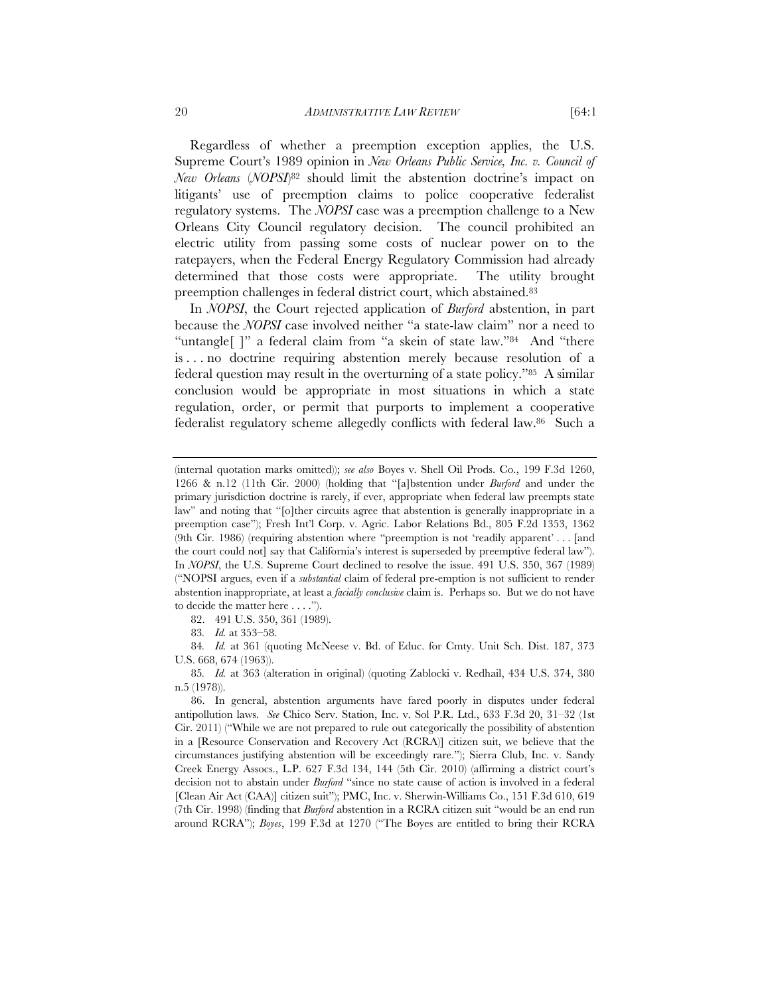Regardless of whether a preemption exception applies, the U.S. Supreme Court's 1989 opinion in *New Orleans Public Service, Inc. v. Council of New Orleans* (*NOPSI*)82 should limit the abstention doctrine's impact on litigants' use of preemption claims to police cooperative federalist regulatory systems. The *NOPSI* case was a preemption challenge to a New Orleans City Council regulatory decision. The council prohibited an electric utility from passing some costs of nuclear power on to the ratepayers, when the Federal Energy Regulatory Commission had already determined that those costs were appropriate. The utility brought preemption challenges in federal district court, which abstained.83

In *NOPSI*, the Court rejected application of *Burford* abstention, in part because the *NOPSI* case involved neither "a state-law claim" nor a need to "untangle[ ]" a federal claim from "a skein of state law."84 And "there is . . . no doctrine requiring abstention merely because resolution of a federal question may result in the overturning of a state policy."85 A similar conclusion would be appropriate in most situations in which a state regulation, order, or permit that purports to implement a cooperative federalist regulatory scheme allegedly conflicts with federal law.86 Such a

84*. Id.* at 361 (quoting McNeese v. Bd. of Educ. for Cmty. Unit Sch. Dist. 187, 373 U.S. 668, 674 (1963)).

<sup>(</sup>internal quotation marks omitted)); *see also* Boyes v. Shell Oil Prods. Co., 199 F.3d 1260, 1266 & n.12 (11th Cir. 2000) (holding that "[a]bstention under *Burford* and under the primary jurisdiction doctrine is rarely, if ever, appropriate when federal law preempts state law" and noting that "[o]ther circuits agree that abstention is generally inappropriate in a preemption case"); Fresh Int'l Corp. v. Agric. Labor Relations Bd., 805 F.2d 1353, 1362 (9th Cir. 1986) (requiring abstention where "preemption is not 'readily apparent' . . . [and the court could not] say that California's interest is superseded by preemptive federal law"). In *NOPSI*, the U.S. Supreme Court declined to resolve the issue. 491 U.S. 350, 367 (1989) ("NOPSI argues, even if a *substantial* claim of federal pre-emption is not sufficient to render abstention inappropriate, at least a *facially conclusive* claim is. Perhaps so. But we do not have to decide the matter here . . . .").

<sup>82. 491</sup> U.S. 350, 361 (1989).

<sup>83</sup>*. Id.* at 353–58.

<sup>85</sup>*. Id.* at 363 (alteration in original) (quoting Zablocki v. Redhail, 434 U.S. 374, 380 n.5 (1978)).

<sup>86.</sup> In general, abstention arguments have fared poorly in disputes under federal antipollution laws. *See* Chico Serv. Station, Inc. v. Sol P.R. Ltd., 633 F.3d 20, 31–32 (1st Cir. 2011) ("While we are not prepared to rule out categorically the possibility of abstention in a [Resource Conservation and Recovery Act (RCRA)] citizen suit, we believe that the circumstances justifying abstention will be exceedingly rare."); Sierra Club, Inc. v. Sandy Creek Energy Assocs., L.P. 627 F.3d 134, 144 (5th Cir. 2010) (affirming a district court's decision not to abstain under *Burford* "since no state cause of action is involved in a federal [Clean Air Act (CAA)] citizen suit"); PMC, Inc. v. Sherwin-Williams Co., 151 F.3d 610, 619 (7th Cir. 1998) (finding that *Burford* abstention in a RCRA citizen suit "would be an end run around RCRA"); *Boyes*, 199 F.3d at 1270 ("The Boyes are entitled to bring their RCRA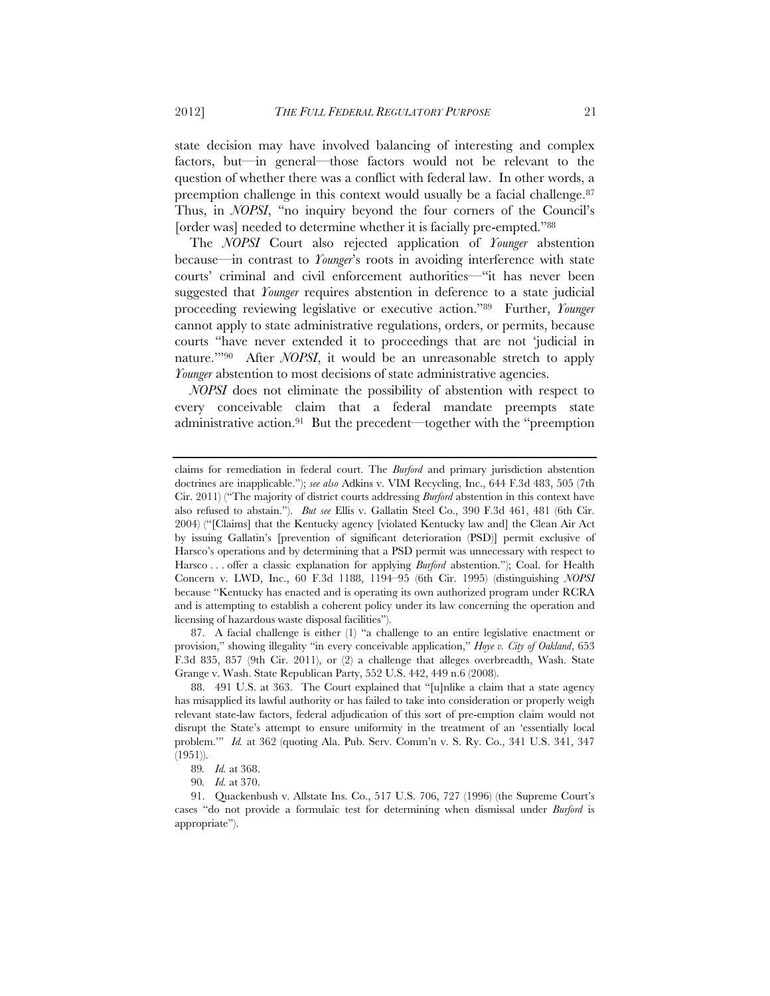state decision may have involved balancing of interesting and complex factors, but—in general—those factors would not be relevant to the question of whether there was a conflict with federal law. In other words, a preemption challenge in this context would usually be a facial challenge.<sup>87</sup> Thus, in *NOPSI*, "no inquiry beyond the four corners of the Council's [order was] needed to determine whether it is facially pre-empted."88

The *NOPSI* Court also rejected application of *Younger* abstention because—in contrast to *Younger*'s roots in avoiding interference with state courts' criminal and civil enforcement authorities—"it has never been suggested that *Younger* requires abstention in deference to a state judicial proceeding reviewing legislative or executive action."89 Further, *Younger* cannot apply to state administrative regulations, orders, or permits, because courts "have never extended it to proceedings that are not 'judicial in nature.'"90 After *NOPSI*, it would be an unreasonable stretch to apply *Younger* abstention to most decisions of state administrative agencies.

*NOPSI* does not eliminate the possibility of abstention with respect to every conceivable claim that a federal mandate preempts state administrative action.91 But the precedent—together with the "preemption

87. A facial challenge is either (1) "a challenge to an entire legislative enactment or provision," showing illegality "in every conceivable application," *Hoye v. City of Oakland*, 653 F.3d 835, 857 (9th Cir. 2011), or (2) a challenge that alleges overbreadth, Wash. State Grange v. Wash. State Republican Party, 552 U.S. 442, 449 n.6 (2008).

88. 491 U.S. at 363. The Court explained that "[u]nlike a claim that a state agency has misapplied its lawful authority or has failed to take into consideration or properly weigh relevant state-law factors, federal adjudication of this sort of pre-emption claim would not disrupt the State's attempt to ensure uniformity in the treatment of an 'essentially local problem.'" *Id.* at 362 (quoting Ala. Pub. Serv. Comm'n v. S. Ry. Co., 341 U.S. 341, 347 (1951)).

claims for remediation in federal court. The *Burford* and primary jurisdiction abstention doctrines are inapplicable."); *see also* Adkins v. VIM Recycling, Inc., 644 F.3d 483, 505 (7th Cir. 2011) ("The majority of district courts addressing *Burford* abstention in this context have also refused to abstain."). *But see* Ellis v. Gallatin Steel Co., 390 F.3d 461, 481 (6th Cir. 2004) ("[Claims] that the Kentucky agency [violated Kentucky law and] the Clean Air Act by issuing Gallatin's [prevention of significant deterioration (PSD)] permit exclusive of Harsco's operations and by determining that a PSD permit was unnecessary with respect to Harsco . . . offer a classic explanation for applying *Burford* abstention."); Coal. for Health Concern v. LWD, Inc., 60 F.3d 1188, 1194–95 (6th Cir. 1995) (distinguishing *NOPSI* because "Kentucky has enacted and is operating its own authorized program under RCRA and is attempting to establish a coherent policy under its law concerning the operation and licensing of hazardous waste disposal facilities").

<sup>89</sup>*. Id.* at 368.

<sup>90</sup>*. Id.* at 370.

<sup>91.</sup> Quackenbush v. Allstate Ins. Co., 517 U.S. 706, 727 (1996) (the Supreme Court's cases "do not provide a formulaic test for determining when dismissal under *Burford* is appropriate").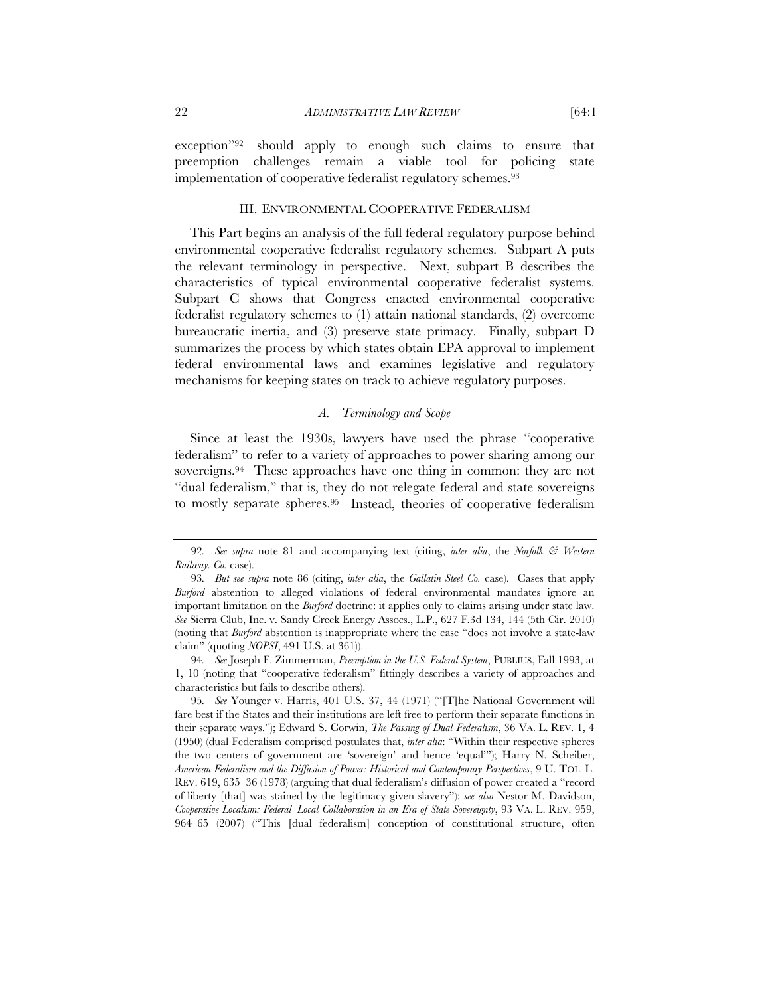exception"92—should apply to enough such claims to ensure that preemption challenges remain a viable tool for policing state implementation of cooperative federalist regulatory schemes.<sup>93</sup>

# III. ENVIRONMENTAL COOPERATIVE FEDERALISM

This Part begins an analysis of the full federal regulatory purpose behind environmental cooperative federalist regulatory schemes. Subpart A puts the relevant terminology in perspective. Next, subpart B describes the characteristics of typical environmental cooperative federalist systems. Subpart C shows that Congress enacted environmental cooperative federalist regulatory schemes to (1) attain national standards, (2) overcome bureaucratic inertia, and (3) preserve state primacy. Finally, subpart D summarizes the process by which states obtain EPA approval to implement federal environmental laws and examines legislative and regulatory mechanisms for keeping states on track to achieve regulatory purposes.

## *A. Terminology and Scope*

Since at least the 1930s, lawyers have used the phrase "cooperative federalism" to refer to a variety of approaches to power sharing among our sovereigns.94 These approaches have one thing in common: they are not "dual federalism," that is, they do not relegate federal and state sovereigns to mostly separate spheres.95 Instead, theories of cooperative federalism

<sup>92</sup>*. See supra* note 81 and accompanying text (citing, *inter alia*, the *Norfolk & Western Railway. Co.* case).

<sup>93</sup>*. But see supra* note 86 (citing, *inter alia*, the *Gallatin Steel Co.* case). Cases that apply *Burford* abstention to alleged violations of federal environmental mandates ignore an important limitation on the *Burford* doctrine: it applies only to claims arising under state law. *See* Sierra Club, Inc. v. Sandy Creek Energy Assocs., L.P., 627 F.3d 134, 144 (5th Cir. 2010) (noting that *Burford* abstention is inappropriate where the case "does not involve a state-law claim" (quoting *NOPSI*, 491 U.S. at 361)).

<sup>94</sup>*. See* Joseph F. Zimmerman, *Preemption in the U.S. Federal System*, PUBLIUS, Fall 1993, at 1, 10 (noting that "cooperative federalism" fittingly describes a variety of approaches and characteristics but fails to describe others).

<sup>95</sup>*. See* Younger v. Harris, 401 U.S. 37, 44 (1971) ("[T]he National Government will fare best if the States and their institutions are left free to perform their separate functions in their separate ways."); Edward S. Corwin, *The Passing of Dual Federalism*, 36 VA. L. REV. 1, 4 (1950) (dual Federalism comprised postulates that, *inter alia*: "Within their respective spheres the two centers of government are 'sovereign' and hence 'equal'"); Harry N. Scheiber, *American Federalism and the Diffusion of Power: Historical and Contemporary Perspectives*, 9 U. TOL. L. REV. 619, 635–36 (1978) (arguing that dual federalism's diffusion of power created a "record of liberty [that] was stained by the legitimacy given slavery"); *see also* Nestor M. Davidson, *Cooperative Localism: Federal–Local Collaboration in an Era of State Sovereignty*, 93 VA. L. REV. 959, 964–65 (2007) ("This [dual federalism] conception of constitutional structure, often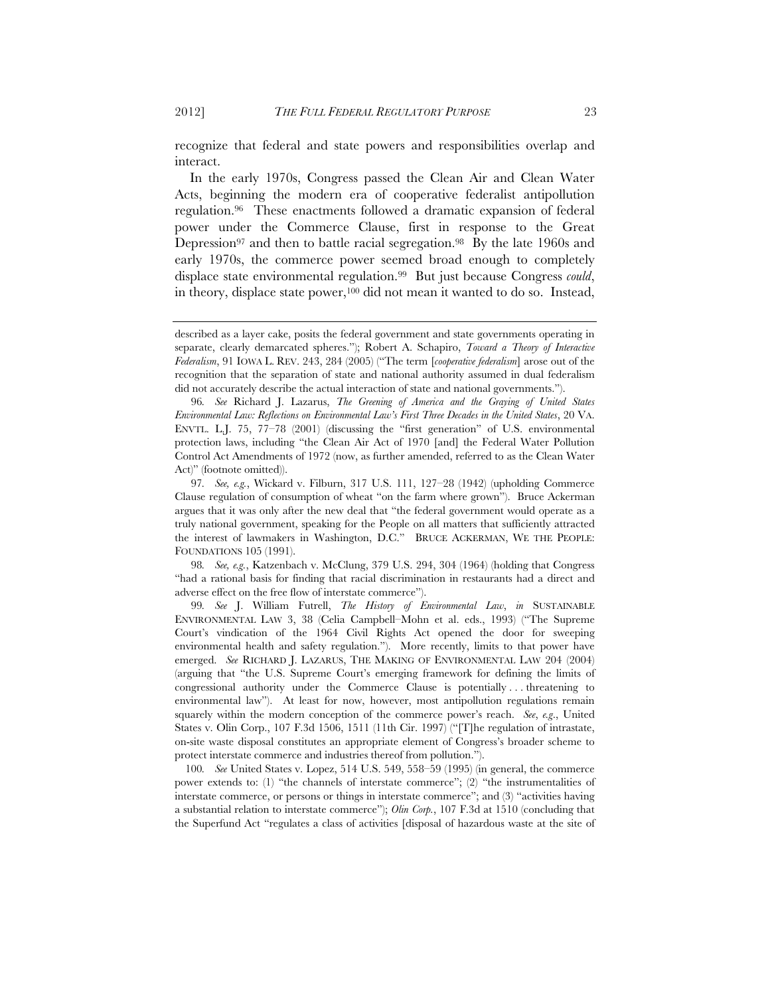recognize that federal and state powers and responsibilities overlap and interact.

In the early 1970s, Congress passed the Clean Air and Clean Water Acts, beginning the modern era of cooperative federalist antipollution regulation.96 These enactments followed a dramatic expansion of federal power under the Commerce Clause, first in response to the Great Depression<sup>97</sup> and then to battle racial segregation.<sup>98</sup> By the late 1960s and early 1970s, the commerce power seemed broad enough to completely displace state environmental regulation.99 But just because Congress *could*, in theory, displace state power,<sup>100</sup> did not mean it wanted to do so. Instead,

98*. See, e.g.*, Katzenbach v. McClung, 379 U.S. 294, 304 (1964) (holding that Congress "had a rational basis for finding that racial discrimination in restaurants had a direct and adverse effect on the free flow of interstate commerce").

99*. See* J. William Futrell, *The History of Environmental Law*, *in* SUSTAINABLE ENVIRONMENTAL LAW 3, 38 (Celia Campbell–Mohn et al. eds., 1993) ("The Supreme Court's vindication of the 1964 Civil Rights Act opened the door for sweeping environmental health and safety regulation."). More recently, limits to that power have emerged. *See* RICHARD J. LAZARUS, THE MAKING OF ENVIRONMENTAL LAW 204 (2004) (arguing that "the U.S. Supreme Court's emerging framework for defining the limits of congressional authority under the Commerce Clause is potentially . . . threatening to environmental law"). At least for now, however, most antipollution regulations remain squarely within the modern conception of the commerce power's reach. *See*, *e.g*., United States v. Olin Corp., 107 F.3d 1506, 1511 (11th Cir. 1997) ("[T]he regulation of intrastate, on-site waste disposal constitutes an appropriate element of Congress's broader scheme to protect interstate commerce and industries thereof from pollution.").

100*. See* United States v. Lopez, 514 U.S. 549, 558–59 (1995) (in general, the commerce power extends to: (1) "the channels of interstate commerce"; (2) "the instrumentalities of interstate commerce, or persons or things in interstate commerce"; and (3) "activities having a substantial relation to interstate commerce"); *Olin Corp.*, 107 F.3d at 1510 (concluding that the Superfund Act "regulates a class of activities [disposal of hazardous waste at the site of

described as a layer cake, posits the federal government and state governments operating in separate, clearly demarcated spheres."); Robert A. Schapiro, *Toward a Theory of Interactive Federalism*, 91 IOWA L. REV. 243, 284 (2005) ("The term [*cooperative federalism*] arose out of the recognition that the separation of state and national authority assumed in dual federalism did not accurately describe the actual interaction of state and national governments.").

<sup>96</sup>*. See* Richard J. Lazarus, *The Greening of America and the Graying of United States Environmental Law: Reflections on Environmental Law's First Three Decades in the United States*, 20 VA. ENVTL. L.J. 75, 77–78 (2001) (discussing the "first generation" of U.S. environmental protection laws, including "the Clean Air Act of 1970 [and] the Federal Water Pollution Control Act Amendments of 1972 (now, as further amended, referred to as the Clean Water Act)" (footnote omitted)).

<sup>97</sup>*. See, e.g.*, Wickard v. Filburn, 317 U.S. 111, 127–28 (1942) (upholding Commerce Clause regulation of consumption of wheat "on the farm where grown"). Bruce Ackerman argues that it was only after the new deal that "the federal government would operate as a truly national government, speaking for the People on all matters that sufficiently attracted the interest of lawmakers in Washington, D.C." BRUCE ACKERMAN, WE THE PEOPLE: FOUNDATIONS 105 (1991).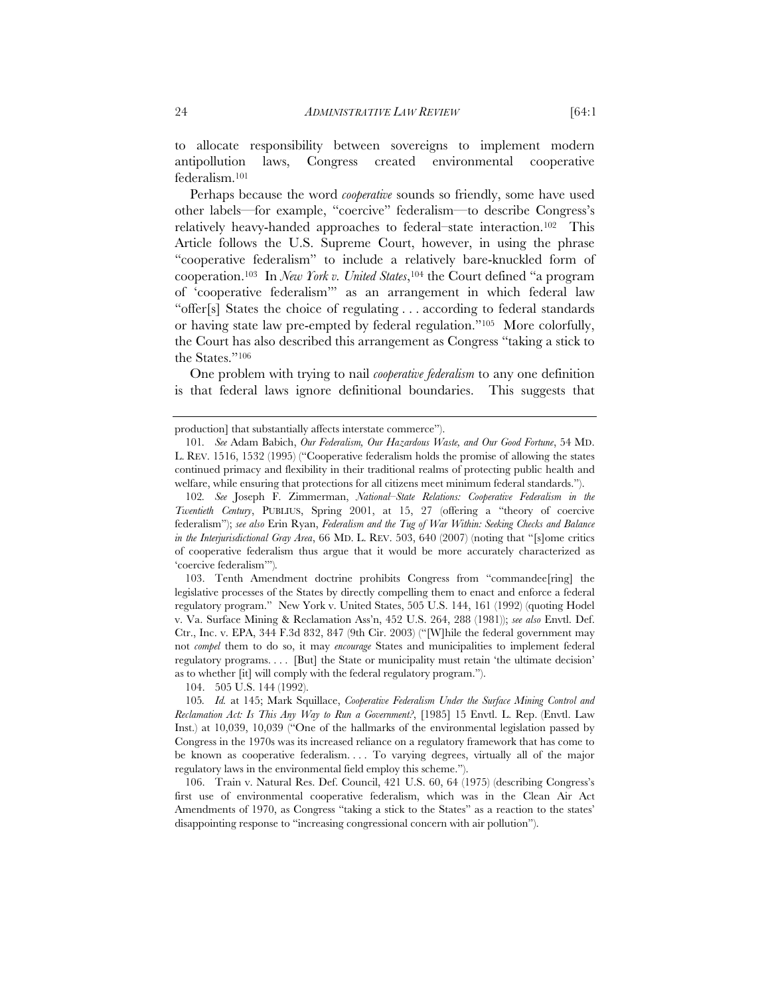to allocate responsibility between sovereigns to implement modern antipollution laws, Congress created environmental cooperative federalism.101

Perhaps because the word *cooperative* sounds so friendly, some have used other labels—for example, "coercive" federalism—to describe Congress's relatively heavy-handed approaches to federal–state interaction.102 This Article follows the U.S. Supreme Court, however, in using the phrase "cooperative federalism" to include a relatively bare-knuckled form of cooperation.103 In *New York v. United States*,104 the Court defined "a program of 'cooperative federalism'" as an arrangement in which federal law "offer[s] States the choice of regulating . . . according to federal standards or having state law pre-empted by federal regulation."105 More colorfully, the Court has also described this arrangement as Congress "taking a stick to the States."106

One problem with trying to nail *cooperative federalism* to any one definition is that federal laws ignore definitional boundaries. This suggests that

102*. See* Joseph F. Zimmerman, *National–State Relations: Cooperative Federalism in the Twentieth Century*, PUBLIUS, Spring 2001, at 15, 27 (offering a "theory of coercive federalism"); *see also* Erin Ryan, *Federalism and the Tug of War Within: Seeking Checks and Balance in the Interjurisdictional Gray Area*, 66 MD. L. REV. 503, 640 (2007) (noting that "[s]ome critics of cooperative federalism thus argue that it would be more accurately characterized as 'coercive federalism'")*.*

 103. Tenth Amendment doctrine prohibits Congress from "commandee[ring] the legislative processes of the States by directly compelling them to enact and enforce a federal regulatory program." New York v. United States, 505 U.S. 144, 161 (1992) (quoting Hodel v. Va. Surface Mining & Reclamation Ass'n, 452 U.S. 264, 288 (1981)); *see also* Envtl. Def. Ctr., Inc. v. EPA, 344 F.3d 832, 847 (9th Cir. 2003) ("[W]hile the federal government may not *compel* them to do so, it may *encourage* States and municipalities to implement federal regulatory programs. . . . [But] the State or municipality must retain 'the ultimate decision' as to whether [it] will comply with the federal regulatory program.").

104. 505 U.S. 144 (1992).

105*. Id.* at 145; Mark Squillace, *Cooperative Federalism Under the Surface Mining Control and Reclamation Act: Is This Any Way to Run a Government?*, [1985] 15 Envtl. L. Rep. (Envtl. Law Inst.) at 10,039, 10,039 ("One of the hallmarks of the environmental legislation passed by Congress in the 1970s was its increased reliance on a regulatory framework that has come to be known as cooperative federalism. . . . To varying degrees, virtually all of the major regulatory laws in the environmental field employ this scheme.").

106. Train v. Natural Res. Def. Council, 421 U.S. 60, 64 (1975) (describing Congress's first use of environmental cooperative federalism, which was in the Clean Air Act Amendments of 1970, as Congress "taking a stick to the States" as a reaction to the states' disappointing response to "increasing congressional concern with air pollution").

production] that substantially affects interstate commerce").

<sup>101</sup>*. See* Adam Babich, *Our Federalism, Our Hazardous Waste, and Our Good Fortune*, 54 MD. L. REV. 1516, 1532 (1995) ("Cooperative federalism holds the promise of allowing the states continued primacy and flexibility in their traditional realms of protecting public health and welfare, while ensuring that protections for all citizens meet minimum federal standards.").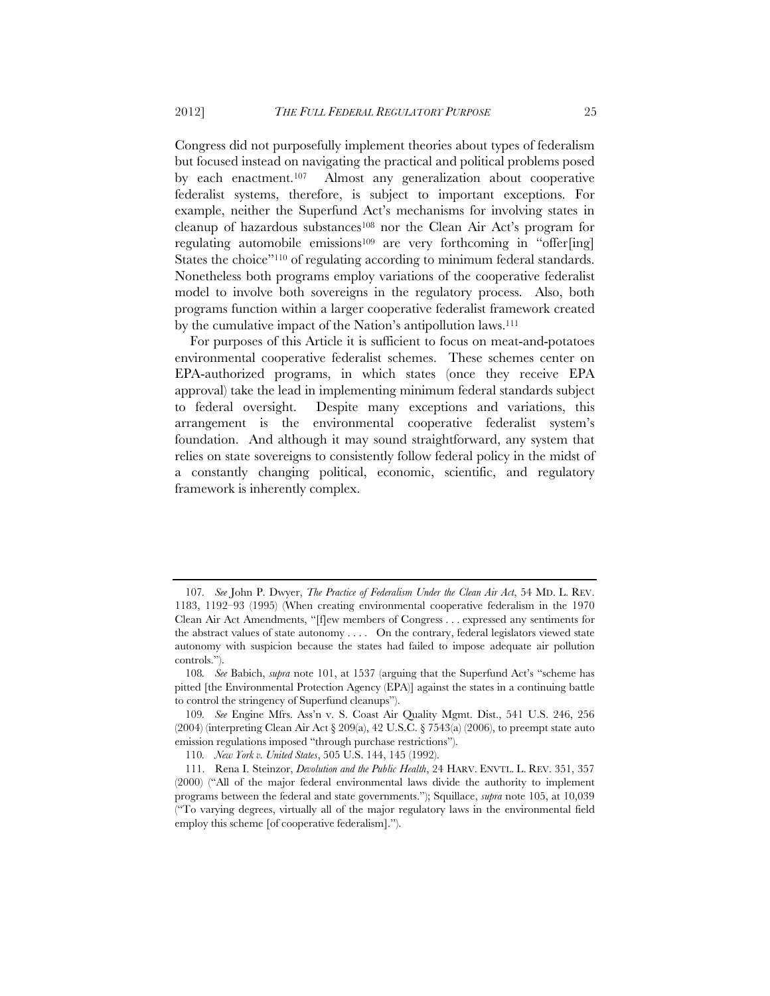Congress did not purposefully implement theories about types of federalism but focused instead on navigating the practical and political problems posed by each enactment.107 Almost any generalization about cooperative federalist systems, therefore, is subject to important exceptions. For example, neither the Superfund Act's mechanisms for involving states in cleanup of hazardous substances<sup>108</sup> nor the Clean Air Act's program for regulating automobile emissions<sup>109</sup> are very forthcoming in "offer[ing] States the choice"110 of regulating according to minimum federal standards. Nonetheless both programs employ variations of the cooperative federalist model to involve both sovereigns in the regulatory process. Also, both programs function within a larger cooperative federalist framework created by the cumulative impact of the Nation's antipollution laws.111

For purposes of this Article it is sufficient to focus on meat-and-potatoes environmental cooperative federalist schemes. These schemes center on EPA-authorized programs, in which states (once they receive EPA approval) take the lead in implementing minimum federal standards subject to federal oversight. Despite many exceptions and variations, this arrangement is the environmental cooperative federalist system's foundation. And although it may sound straightforward, any system that relies on state sovereigns to consistently follow federal policy in the midst of a constantly changing political, economic, scientific, and regulatory framework is inherently complex.

<sup>107</sup>*. See* John P. Dwyer, *The Practice of Federalism Under the Clean Air Act*, 54 MD. L. REV. 1183, 1192–93 (1995) (When creating environmental cooperative federalism in the 1970 Clean Air Act Amendments, "[f]ew members of Congress . . . expressed any sentiments for the abstract values of state autonomy . . . . On the contrary, federal legislators viewed state autonomy with suspicion because the states had failed to impose adequate air pollution controls.").

<sup>108</sup>*. See* Babich, *supra* note 101, at 1537 (arguing that the Superfund Act's "scheme has pitted [the Environmental Protection Agency (EPA)] against the states in a continuing battle to control the stringency of Superfund cleanups").

<sup>109</sup>*. See* Engine Mfrs. Ass'n v. S. Coast Air Quality Mgmt. Dist., 541 U.S. 246, 256 (2004) (interpreting Clean Air Act § 209(a), 42 U.S.C. § 7543(a) (2006), to preempt state auto emission regulations imposed "through purchase restrictions").

<sup>110</sup>*. New York v. United States*, 505 U.S. 144, 145 (1992).

 <sup>111.</sup> Rena I. Steinzor, *Devolution and the Public Health*, 24 HARV. ENVTL. L. REV. 351, 357 (2000) ("All of the major federal environmental laws divide the authority to implement programs between the federal and state governments."); Squillace, *supra* note 105, at 10,039 ("To varying degrees, virtually all of the major regulatory laws in the environmental field employ this scheme [of cooperative federalism].").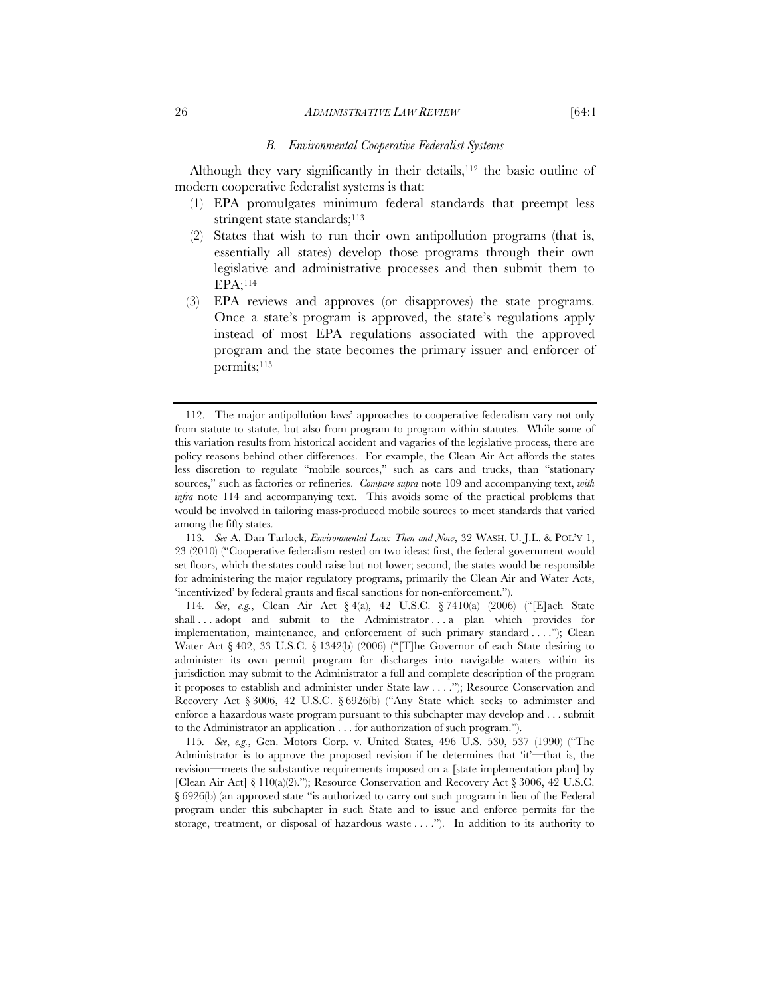#### 26 *ADMINISTRATIVE LAW REVIEW* [64:1

#### *B. Environmental Cooperative Federalist Systems*

Although they vary significantly in their details,<sup>112</sup> the basic outline of modern cooperative federalist systems is that:

- (1) EPA promulgates minimum federal standards that preempt less stringent state standards;<sup>113</sup>
- (2) States that wish to run their own antipollution programs (that is, essentially all states) develop those programs through their own legislative and administrative processes and then submit them to EPA;114
- (3) EPA reviews and approves (or disapproves) the state programs. Once a state's program is approved, the state's regulations apply instead of most EPA regulations associated with the approved program and the state becomes the primary issuer and enforcer of permits;<sup>115</sup>

113*. See* A. Dan Tarlock, *Environmental Law: Then and Now*, 32 WASH. U. J.L. & POL'Y 1, 23 (2010) ("Cooperative federalism rested on two ideas: first, the federal government would set floors, which the states could raise but not lower; second, the states would be responsible for administering the major regulatory programs, primarily the Clean Air and Water Acts, 'incentivized' by federal grants and fiscal sanctions for non-enforcement.").

114*. See*, *e.g.*, Clean Air Act § 4(a), 42 U.S.C. § 7410(a) (2006) ("[E]ach State shall ... adopt and submit to the Administrator ... a plan which provides for implementation, maintenance, and enforcement of such primary standard . . . ."); Clean Water Act  $\S 402$ , 33 U.S.C.  $\S 1342(b)$  (2006) ("The Governor of each State desiring to administer its own permit program for discharges into navigable waters within its jurisdiction may submit to the Administrator a full and complete description of the program it proposes to establish and administer under State law . . . ."); Resource Conservation and Recovery Act § 3006, 42 U.S.C. § 6926(b) ("Any State which seeks to administer and enforce a hazardous waste program pursuant to this subchapter may develop and . . . submit to the Administrator an application . . . for authorization of such program.").

115*. See*, *e.g.*, Gen. Motors Corp. v. United States, 496 U.S. 530, 537 (1990) ("The Administrator is to approve the proposed revision if he determines that 'it'—that is, the revision—meets the substantive requirements imposed on a [state implementation plan] by [Clean Air Act]  $\S 110(a)(2)$ ."); Resource Conservation and Recovery Act  $\S 3006$ , 42 U.S.C. § 6926(b) (an approved state "is authorized to carry out such program in lieu of the Federal program under this subchapter in such State and to issue and enforce permits for the storage, treatment, or disposal of hazardous waste . . . ."). In addition to its authority to

 <sup>112.</sup> The major antipollution laws' approaches to cooperative federalism vary not only from statute to statute, but also from program to program within statutes. While some of this variation results from historical accident and vagaries of the legislative process, there are policy reasons behind other differences. For example, the Clean Air Act affords the states less discretion to regulate "mobile sources," such as cars and trucks, than "stationary sources," such as factories or refineries. *Compare supra* note 109 and accompanying text, *with infra* note 114 and accompanying text. This avoids some of the practical problems that would be involved in tailoring mass-produced mobile sources to meet standards that varied among the fifty states.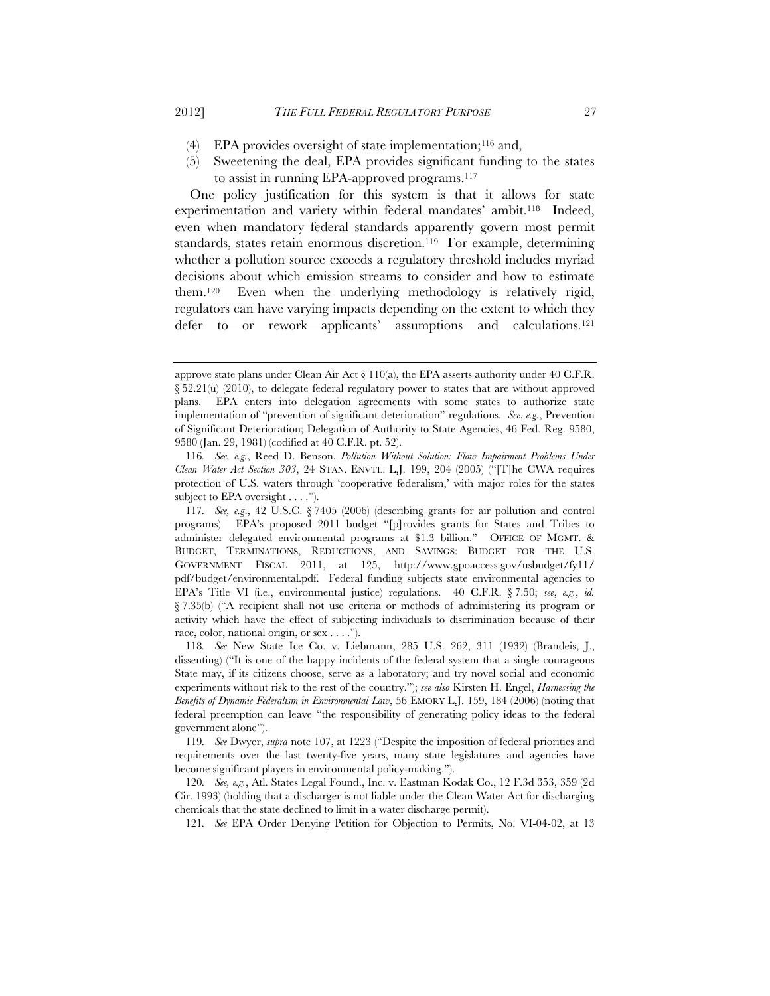- (4) EPA provides oversight of state implementation;<sup>116</sup> and,
- (5) Sweetening the deal, EPA provides significant funding to the states to assist in running EPA-approved programs.117

One policy justification for this system is that it allows for state experimentation and variety within federal mandates' ambit.<sup>118</sup> Indeed, even when mandatory federal standards apparently govern most permit standards, states retain enormous discretion.<sup>119</sup> For example, determining whether a pollution source exceeds a regulatory threshold includes myriad decisions about which emission streams to consider and how to estimate them.120 Even when the underlying methodology is relatively rigid, regulators can have varying impacts depending on the extent to which they defer to—or rework—applicants' assumptions and calculations.121

approve state plans under Clean Air Act  $\S 110(a)$ , the EPA asserts authority under 40 C.F.R.  $\S 52.21(u)$  (2010), to delegate federal regulatory power to states that are without approved plans. EPA enters into delegation agreements with some states to authorize state implementation of "prevention of significant deterioration" regulations. *See*, *e.g.*, Prevention of Significant Deterioration; Delegation of Authority to State Agencies, 46 Fed. Reg. 9580, 9580 (Jan. 29, 1981) (codified at 40 C.F.R. pt. 52).

<sup>116</sup>*. See, e.g.*, Reed D. Benson, *Pollution Without Solution: Flow Impairment Problems Under Clean Water Act Section 303*, 24 STAN. ENVTL. L.J. 199, 204 (2005) ("[T]he CWA requires protection of U.S. waters through 'cooperative federalism,' with major roles for the states subject to EPA oversight . . . .").

<sup>117</sup>*. See, e.g*., 42 U.S.C. § 7405 (2006) (describing grants for air pollution and control programs). EPA's proposed 2011 budget "[p]rovides grants for States and Tribes to administer delegated environmental programs at \$1.3 billion." OFFICE OF MGMT. & BUDGET, TERMINATIONS, REDUCTIONS, AND SAVINGS: BUDGET FOR THE U.S. GOVERNMENT FISCAL 2011, at 125, http://www.gpoaccess.gov/usbudget/fy11/ pdf/budget/environmental.pdf. Federal funding subjects state environmental agencies to EPA's Title VI (i.e., environmental justice) regulations. 40 C.F.R. § 7.50; *see*, *e.g.*, *id.* § 7.35(b) ("A recipient shall not use criteria or methods of administering its program or activity which have the effect of subjecting individuals to discrimination because of their race, color, national origin, or sex . . . .").

<sup>118</sup>*. See* New State Ice Co. v. Liebmann, 285 U.S. 262, 311 (1932) (Brandeis, J., dissenting) ("It is one of the happy incidents of the federal system that a single courageous State may, if its citizens choose, serve as a laboratory; and try novel social and economic experiments without risk to the rest of the country."); *see also* Kirsten H. Engel, *Harnessing the Benefits of Dynamic Federalism in Environmental Law*, 56 EMORY L.J. 159, 184 (2006) (noting that federal preemption can leave "the responsibility of generating policy ideas to the federal government alone").

<sup>119</sup>*. See* Dwyer, *supra* note 107, at 1223 ("Despite the imposition of federal priorities and requirements over the last twenty-five years, many state legislatures and agencies have become significant players in environmental policy-making.").

<sup>120</sup>*. See, e.g.*, Atl. States Legal Found., Inc. v. Eastman Kodak Co., 12 F.3d 353, 359 (2d Cir. 1993) (holding that a discharger is not liable under the Clean Water Act for discharging chemicals that the state declined to limit in a water discharge permit).

<sup>121</sup>*. See* EPA Order Denying Petition for Objection to Permits, No. VI-04-02, at 13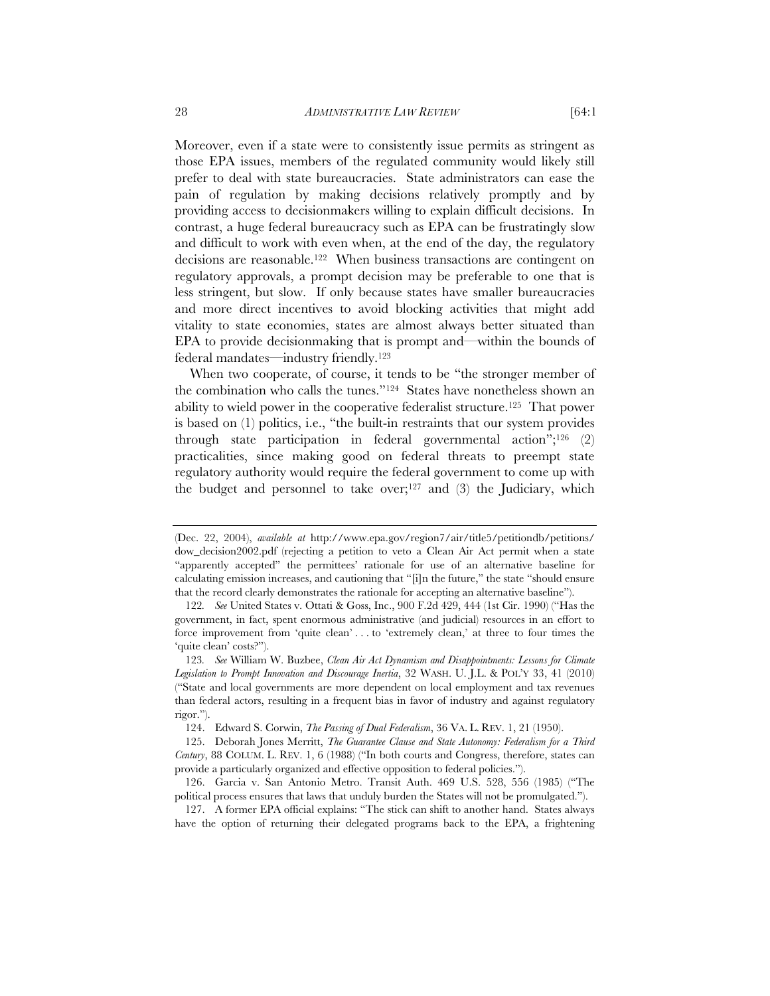Moreover, even if a state were to consistently issue permits as stringent as those EPA issues, members of the regulated community would likely still prefer to deal with state bureaucracies. State administrators can ease the pain of regulation by making decisions relatively promptly and by providing access to decisionmakers willing to explain difficult decisions. In contrast, a huge federal bureaucracy such as EPA can be frustratingly slow and difficult to work with even when, at the end of the day, the regulatory decisions are reasonable.122 When business transactions are contingent on regulatory approvals, a prompt decision may be preferable to one that is less stringent, but slow. If only because states have smaller bureaucracies and more direct incentives to avoid blocking activities that might add vitality to state economies, states are almost always better situated than EPA to provide decisionmaking that is prompt and—within the bounds of federal mandates—industry friendly.123

When two cooperate, of course, it tends to be "the stronger member of the combination who calls the tunes."124 States have nonetheless shown an ability to wield power in the cooperative federalist structure.125 That power is based on (1) politics, i.e., "the built-in restraints that our system provides through state participation in federal governmental action";<sup>126</sup>  $(2)$ practicalities, since making good on federal threats to preempt state regulatory authority would require the federal government to come up with the budget and personnel to take over;<sup>127</sup> and  $(3)$  the Judiciary, which

<sup>(</sup>Dec. 22, 2004), *available at* http://www.epa.gov/region7/air/title5/petitiondb/petitions/ dow\_decision2002.pdf (rejecting a petition to veto a Clean Air Act permit when a state "apparently accepted" the permittees' rationale for use of an alternative baseline for calculating emission increases, and cautioning that "[i]n the future," the state "should ensure that the record clearly demonstrates the rationale for accepting an alternative baseline").

<sup>122</sup>*. See* United States v. Ottati & Goss, Inc., 900 F.2d 429, 444 (1st Cir. 1990) ("Has the government, in fact, spent enormous administrative (and judicial) resources in an effort to force improvement from 'quite clean' . . . to 'extremely clean,' at three to four times the 'quite clean' costs?").

<sup>123</sup>*. See* William W. Buzbee, *Clean Air Act Dynamism and Disappointments: Lessons for Climate Legislation to Prompt Innovation and Discourage Inertia*, 32 WASH. U. J.L. & POL'Y 33, 41 (2010) ("State and local governments are more dependent on local employment and tax revenues than federal actors, resulting in a frequent bias in favor of industry and against regulatory rigor.").

 <sup>124.</sup> Edward S. Corwin, *The Passing of Dual Federalism*, 36 VA. L. REV. 1, 21 (1950).

 <sup>125.</sup> Deborah Jones Merritt, *The Guarantee Clause and State Autonomy: Federalism for a Third Century*, 88 COLUM. L. REV. 1, 6 (1988) ("In both courts and Congress, therefore, states can provide a particularly organized and effective opposition to federal policies.").

<sup>126.</sup> Garcia v. San Antonio Metro. Transit Auth. 469 U.S. 528, 556 (1985) ("The political process ensures that laws that unduly burden the States will not be promulgated.").

 <sup>127.</sup> A former EPA official explains: "The stick can shift to another hand. States always have the option of returning their delegated programs back to the EPA, a frightening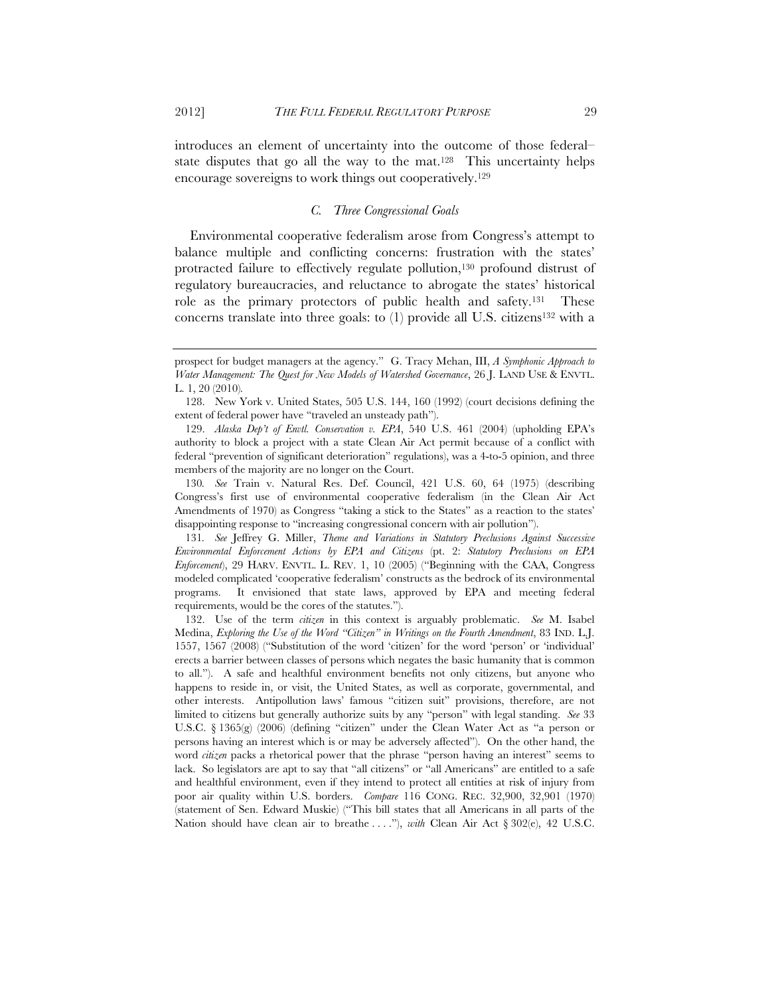introduces an element of uncertainty into the outcome of those federal– state disputes that go all the way to the mat.<sup>128</sup> This uncertainty helps encourage sovereigns to work things out cooperatively.129

# *C. Three Congressional Goals*

Environmental cooperative federalism arose from Congress's attempt to balance multiple and conflicting concerns: frustration with the states' protracted failure to effectively regulate pollution,130 profound distrust of regulatory bureaucracies, and reluctance to abrogate the states' historical role as the primary protectors of public health and safety.131 These concerns translate into three goals: to  $(1)$  provide all U.S. citizens<sup>132</sup> with a

130*. See* Train v. Natural Res. Def. Council, 421 U.S. 60, 64 (1975) (describing Congress's first use of environmental cooperative federalism (in the Clean Air Act Amendments of 1970) as Congress "taking a stick to the States" as a reaction to the states' disappointing response to "increasing congressional concern with air pollution").

131*. See* Jeffrey G. Miller, *Theme and Variations in Statutory Preclusions Against Successive Environmental Enforcement Actions by EPA and Citizens* (pt. 2: *Statutory Preclusions on EPA Enforcement*), 29 HARV. ENVTL. L. REV. 1, 10 (2005) ("Beginning with the CAA, Congress modeled complicated 'cooperative federalism' constructs as the bedrock of its environmental programs. It envisioned that state laws, approved by EPA and meeting federal requirements, would be the cores of the statutes.").

 132. Use of the term *citizen* in this context is arguably problematic. *See* M. Isabel Medina, *Exploring the Use of the Word "Citizen" in Writings on the Fourth Amendment*, 83 IND. L.J. 1557, 1567 (2008) ("Substitution of the word 'citizen' for the word 'person' or 'individual' erects a barrier between classes of persons which negates the basic humanity that is common to all."). A safe and healthful environment benefits not only citizens, but anyone who happens to reside in, or visit, the United States, as well as corporate, governmental, and other interests. Antipollution laws' famous "citizen suit" provisions, therefore, are not limited to citizens but generally authorize suits by any "person" with legal standing. *See* 33 U.S.C. § 1365(g) (2006) (defining "citizen" under the Clean Water Act as "a person or persons having an interest which is or may be adversely affected"). On the other hand, the word *citizen* packs a rhetorical power that the phrase "person having an interest" seems to lack. So legislators are apt to say that "all citizens" or "all Americans" are entitled to a safe and healthful environment, even if they intend to protect all entities at risk of injury from poor air quality within U.S. borders. *Compare* 116 CONG. REC. 32,900, 32,901 (1970) (statement of Sen. Edward Muskie) ("This bill states that all Americans in all parts of the Nation should have clean air to breathe ...."), *with* Clean Air Act § 302(e), 42 U.S.C.

prospect for budget managers at the agency." G. Tracy Mehan, III, *A Symphonic Approach to Water Management: The Quest for New Models of Watershed Governance*, 26 J. LAND USE & ENVTL. L. 1, 20 (2010)*.*

 <sup>128.</sup> New York v. United States, 505 U.S. 144, 160 (1992) (court decisions defining the extent of federal power have "traveled an unsteady path").

 <sup>129.</sup> *Alaska Dep't of Envtl. Conservation v. EPA*, 540 U.S. 461 (2004) (upholding EPA's authority to block a project with a state Clean Air Act permit because of a conflict with federal "prevention of significant deterioration" regulations), was a 4-to-5 opinion, and three members of the majority are no longer on the Court.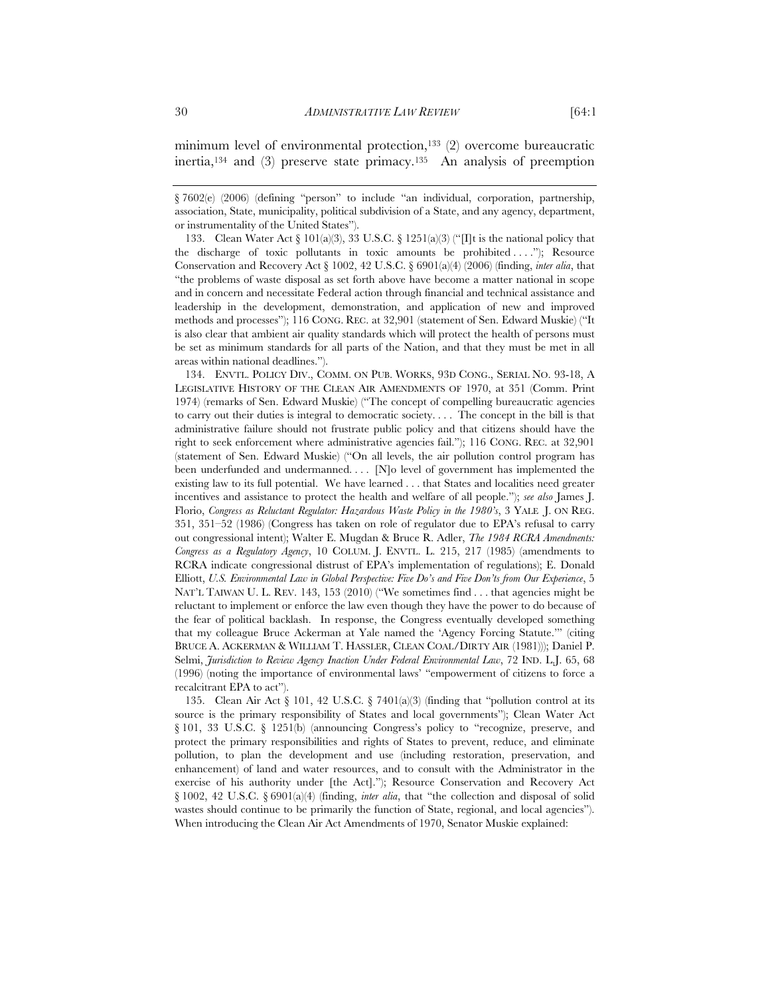minimum level of environmental protection,<sup>133</sup> (2) overcome bureaucratic inertia, $134$  and (3) preserve state primacy. $135$  An analysis of preemption

133. Clean Water Act  $\S 101(a)(3)$ , 33 U.S.C.  $\S 1251(a)(3)$  ("If is the national policy that the discharge of toxic pollutants in toxic amounts be prohibited ...."); Resource Conservation and Recovery Act § 1002, 42 U.S.C. § 6901(a)(4) (2006) (finding, *inter alia*, that "the problems of waste disposal as set forth above have become a matter national in scope and in concern and necessitate Federal action through financial and technical assistance and leadership in the development, demonstration, and application of new and improved methods and processes"); 116 CONG. REC. at 32,901 (statement of Sen. Edward Muskie) ("It is also clear that ambient air quality standards which will protect the health of persons must be set as minimum standards for all parts of the Nation, and that they must be met in all areas within national deadlines.").

 134. ENVTL. POLICY DIV., COMM. ON PUB. WORKS, 93D CONG., SERIAL NO. 93-18, A LEGISLATIVE HISTORY OF THE CLEAN AIR AMENDMENTS OF 1970, at 351 (Comm. Print 1974) (remarks of Sen. Edward Muskie) ("The concept of compelling bureaucratic agencies to carry out their duties is integral to democratic society. . . . The concept in the bill is that administrative failure should not frustrate public policy and that citizens should have the right to seek enforcement where administrative agencies fail."); 116 CONG. REC. at 32,901 (statement of Sen. Edward Muskie) ("On all levels, the air pollution control program has been underfunded and undermanned. . . . [N]o level of government has implemented the existing law to its full potential. We have learned . . . that States and localities need greater incentives and assistance to protect the health and welfare of all people."); *see also* James J. Florio, *Congress as Reluctant Regulator: Hazardous Waste Policy in the 1980's*, 3 YALE J. ON REG. 351, 351–52 (1986) (Congress has taken on role of regulator due to EPA's refusal to carry out congressional intent); Walter E. Mugdan & Bruce R. Adler, *The 1984 RCRA Amendments: Congress as a Regulatory Agency*, 10 COLUM. J. ENVTL. L. 215, 217 (1985) (amendments to RCRA indicate congressional distrust of EPA's implementation of regulations); E. Donald Elliott, *U.S. Environmental Law in Global Perspective: Five Do's and Five Don'ts from Our Experience*, 5 NAT'L TAIWAN U. L. REV. 143, 153 (2010) ("We sometimes find . . . that agencies might be reluctant to implement or enforce the law even though they have the power to do because of the fear of political backlash. In response, the Congress eventually developed something that my colleague Bruce Ackerman at Yale named the 'Agency Forcing Statute.'" (citing BRUCE A. ACKERMAN & WILLIAM T. HASSLER, CLEAN COAL/DIRTY AIR (1981))); Daniel P. Selmi, *Jurisdiction to Review Agency Inaction Under Federal Environmental Law*, 72 IND. L.J. 65, 68 (1996) (noting the importance of environmental laws' "empowerment of citizens to force a recalcitrant EPA to act").

135. Clean Air Act  $\S$  101, 42 U.S.C.  $\S$  7401(a)(3) (finding that "pollution control at its source is the primary responsibility of States and local governments"); Clean Water Act § 101, 33 U.S.C. § 1251(b) (announcing Congress's policy to "recognize, preserve, and protect the primary responsibilities and rights of States to prevent, reduce, and eliminate pollution, to plan the development and use (including restoration, preservation, and enhancement) of land and water resources, and to consult with the Administrator in the exercise of his authority under [the Act]."); Resource Conservation and Recovery Act § 1002, 42 U.S.C. § 6901(a)(4) (finding, *inter alia*, that "the collection and disposal of solid wastes should continue to be primarily the function of State, regional, and local agencies"). When introducing the Clean Air Act Amendments of 1970, Senator Muskie explained:

<sup>§ 7602(</sup>e) (2006) (defining "person" to include "an individual, corporation, partnership, association, State, municipality, political subdivision of a State, and any agency, department, or instrumentality of the United States").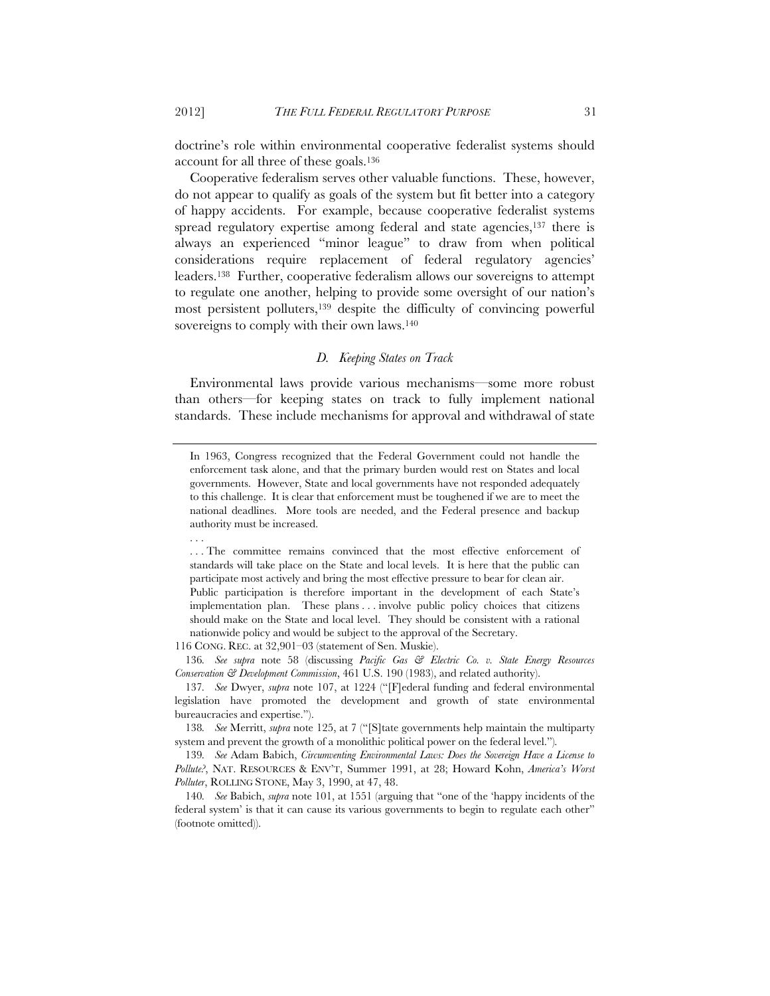doctrine's role within environmental cooperative federalist systems should account for all three of these goals.136

Cooperative federalism serves other valuable functions. These, however, do not appear to qualify as goals of the system but fit better into a category of happy accidents. For example, because cooperative federalist systems spread regulatory expertise among federal and state agencies,<sup>137</sup> there is always an experienced "minor league" to draw from when political considerations require replacement of federal regulatory agencies' leaders.138 Further, cooperative federalism allows our sovereigns to attempt to regulate one another, helping to provide some oversight of our nation's most persistent polluters,139 despite the difficulty of convincing powerful sovereigns to comply with their own laws.<sup>140</sup>

# *D. Keeping States on Track*

Environmental laws provide various mechanisms—some more robust than others—for keeping states on track to fully implement national standards. These include mechanisms for approval and withdrawal of state

116 CONG. REC. at 32,901–03 (statement of Sen. Muskie).

136*. See supra* note 58 (discussing *Pacific Gas & Electric Co. v. State Energy Resources Conservation & Development Commission*, 461 U.S. 190 (1983), and related authority).

. . .

In 1963, Congress recognized that the Federal Government could not handle the enforcement task alone, and that the primary burden would rest on States and local governments. However, State and local governments have not responded adequately to this challenge. It is clear that enforcement must be toughened if we are to meet the national deadlines. More tools are needed, and the Federal presence and backup authority must be increased.

<sup>. . .</sup> The committee remains convinced that the most effective enforcement of standards will take place on the State and local levels. It is here that the public can participate most actively and bring the most effective pressure to bear for clean air. Public participation is therefore important in the development of each State's

implementation plan. These plans . . . involve public policy choices that citizens should make on the State and local level. They should be consistent with a rational nationwide policy and would be subject to the approval of the Secretary.

<sup>137</sup>*. See* Dwyer, *supra* note 107, at 1224 ("[F]ederal funding and federal environmental legislation have promoted the development and growth of state environmental bureaucracies and expertise.").

<sup>138</sup>*. See* Merritt, *supra* note 125, at 7 ("[S]tate governments help maintain the multiparty system and prevent the growth of a monolithic political power on the federal level.")*.*

<sup>139</sup>*. See* Adam Babich, *Circumventing Environmental Laws: Does the Sovereign Have a License to Pollute?*, NAT. RESOURCES & ENV'T, Summer 1991, at 28; Howard Kohn, *America's Worst Polluter*, ROLLING STONE, May 3, 1990, at 47, 48.

<sup>140</sup>*. See* Babich, *supra* note 101, at 1551 (arguing that "one of the 'happy incidents of the federal system' is that it can cause its various governments to begin to regulate each other" (footnote omitted)).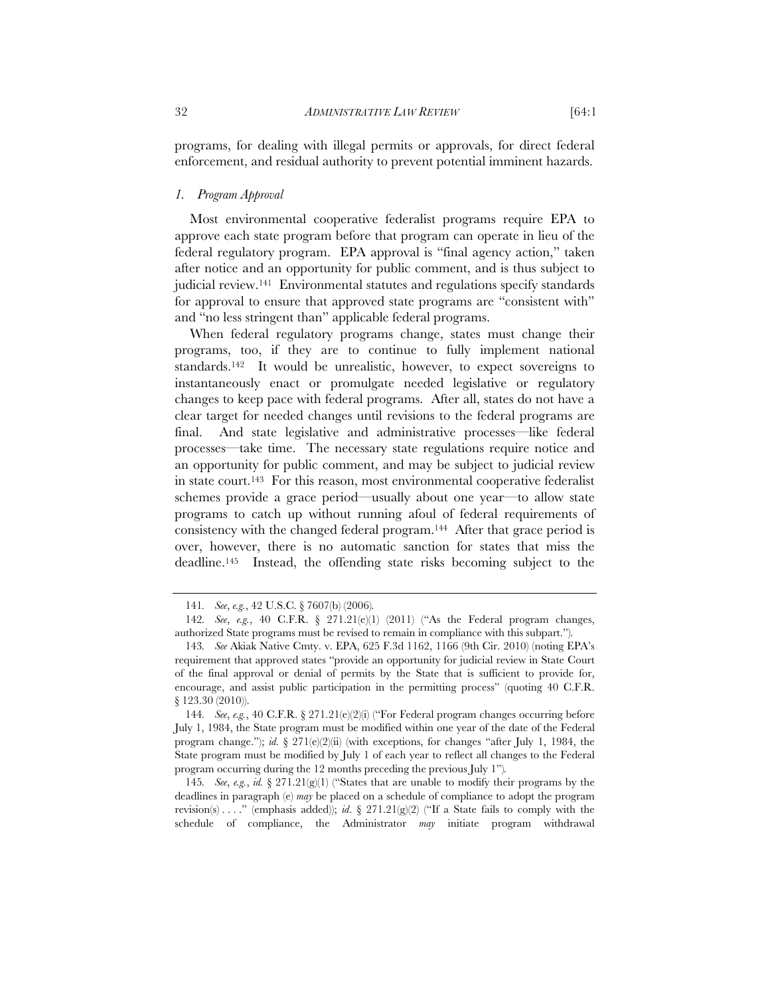programs, for dealing with illegal permits or approvals, for direct federal enforcement, and residual authority to prevent potential imminent hazards.

## *1. Program Approval*

Most environmental cooperative federalist programs require EPA to approve each state program before that program can operate in lieu of the federal regulatory program. EPA approval is "final agency action," taken after notice and an opportunity for public comment, and is thus subject to judicial review.141 Environmental statutes and regulations specify standards for approval to ensure that approved state programs are "consistent with" and "no less stringent than" applicable federal programs.

When federal regulatory programs change, states must change their programs, too, if they are to continue to fully implement national standards.142 It would be unrealistic, however, to expect sovereigns to instantaneously enact or promulgate needed legislative or regulatory changes to keep pace with federal programs. After all, states do not have a clear target for needed changes until revisions to the federal programs are final. And state legislative and administrative processes—like federal processes—take time. The necessary state regulations require notice and an opportunity for public comment, and may be subject to judicial review in state court.143 For this reason, most environmental cooperative federalist schemes provide a grace period—usually about one year—to allow state programs to catch up without running afoul of federal requirements of consistency with the changed federal program.144 After that grace period is over, however, there is no automatic sanction for states that miss the deadline.145 Instead, the offending state risks becoming subject to the

<sup>141</sup>*. See*, *e.g.*, 42 U.S.C. § 7607(b) (2006)*.*

<sup>142</sup>*. See*, *e.g.*, 40 C.F.R. § 271.21(e)(1) (2011) ("As the Federal program changes, authorized State programs must be revised to remain in compliance with this subpart.")*.*

<sup>143</sup>*. See* Akiak Native Cmty. v. EPA, 625 F.3d 1162, 1166 (9th Cir. 2010) (noting EPA's requirement that approved states "provide an opportunity for judicial review in State Court of the final approval or denial of permits by the State that is sufficient to provide for, encourage, and assist public participation in the permitting process" (quoting 40 C.F.R. § 123.30 (2010)).

<sup>144</sup>*. See*, *e.g.*, 40 C.F.R. § 271.21(e)(2)(i) ("For Federal program changes occurring before July 1, 1984, the State program must be modified within one year of the date of the Federal program change."); *id.* § 271(e)(2)(ii) (with exceptions, for changes "after July 1, 1984, the State program must be modified by July 1 of each year to reflect all changes to the Federal program occurring during the 12 months preceding the previous July 1")*.*

<sup>145</sup>*. See*, *e.g.*, *id.* § 271.21(g)(1) ("States that are unable to modify their programs by the deadlines in paragraph (e) *may* be placed on a schedule of compliance to adopt the program revision(s) . . . ." (emphasis added)); *id*. § 271.21(g)(2) ("If a State fails to comply with the schedule of compliance, the Administrator *may* initiate program withdrawal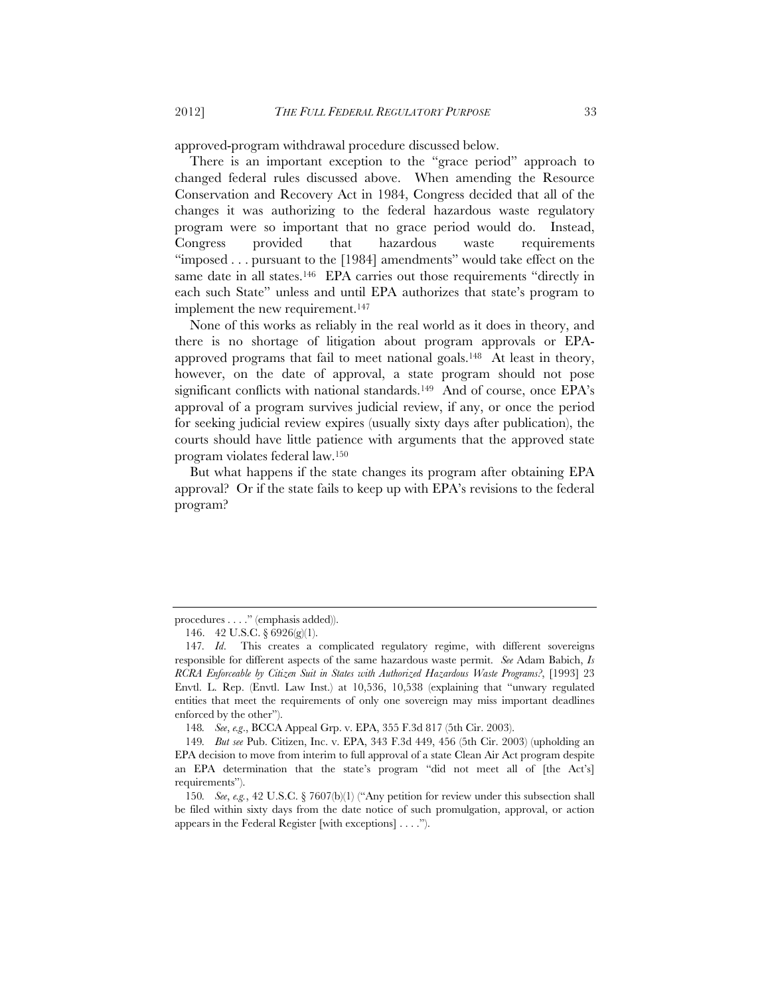approved-program withdrawal procedure discussed below.

There is an important exception to the "grace period" approach to changed federal rules discussed above. When amending the Resource Conservation and Recovery Act in 1984, Congress decided that all of the changes it was authorizing to the federal hazardous waste regulatory program were so important that no grace period would do. Instead, Congress provided that hazardous waste requirements "imposed . . . pursuant to the [1984] amendments" would take effect on the same date in all states.<sup>146</sup> EPA carries out those requirements "directly in each such State" unless and until EPA authorizes that state's program to implement the new requirement.<sup>147</sup>

None of this works as reliably in the real world as it does in theory, and there is no shortage of litigation about program approvals or EPAapproved programs that fail to meet national goals.<sup>148</sup> At least in theory, however, on the date of approval, a state program should not pose significant conflicts with national standards.<sup>149</sup> And of course, once EPA's approval of a program survives judicial review, if any, or once the period for seeking judicial review expires (usually sixty days after publication), the courts should have little patience with arguments that the approved state program violates federal law.150

But what happens if the state changes its program after obtaining EPA approval? Or if the state fails to keep up with EPA's revisions to the federal program?

148*. See*, *e.g*., BCCA Appeal Grp. v. EPA, 355 F.3d 817 (5th Cir. 2003).

procedures . . . ." (emphasis added)).

<sup>146. 42</sup> U.S.C.  $\frac{6926(g)(1)}{2}$ .

<sup>147</sup>*. Id*. This creates a complicated regulatory regime, with different sovereigns responsible for different aspects of the same hazardous waste permit. *See* Adam Babich, *Is RCRA Enforceable by Citizen Suit in States with Authorized Hazardous Waste Programs?*, [1993] 23 Envtl. L. Rep. (Envtl. Law Inst.) at 10,536, 10,538 (explaining that "unwary regulated entities that meet the requirements of only one sovereign may miss important deadlines enforced by the other").

<sup>149</sup>*. But see* Pub. Citizen, Inc. v. EPA, 343 F.3d 449, 456 (5th Cir. 2003) (upholding an EPA decision to move from interim to full approval of a state Clean Air Act program despite an EPA determination that the state's program "did not meet all of [the Act's] requirements").

<sup>150</sup>*. See*, *e.g.*, 42 U.S.C. § 7607(b)(1) ("Any petition for review under this subsection shall be filed within sixty days from the date notice of such promulgation, approval, or action appears in the Federal Register [with exceptions] . . . .").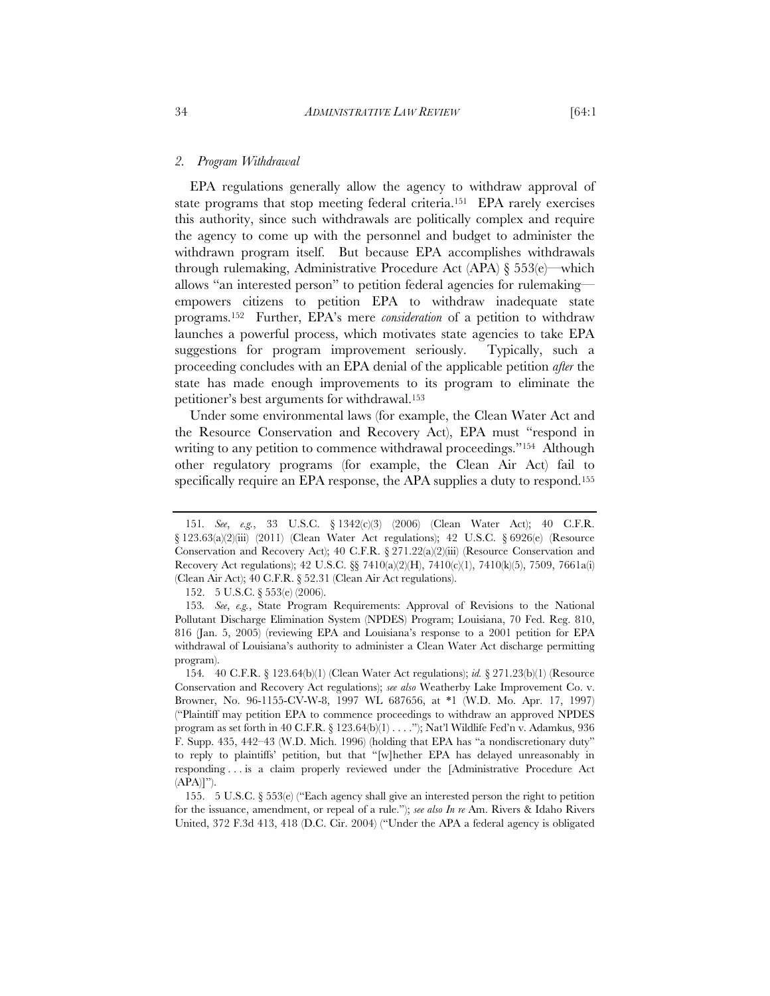*2. Program Withdrawal*

EPA regulations generally allow the agency to withdraw approval of state programs that stop meeting federal criteria.151 EPA rarely exercises this authority, since such withdrawals are politically complex and require the agency to come up with the personnel and budget to administer the withdrawn program itself. But because EPA accomplishes withdrawals through rulemaking, Administrative Procedure Act (APA) § 553(e)—which allows "an interested person" to petition federal agencies for rulemaking empowers citizens to petition EPA to withdraw inadequate state programs.152 Further, EPA's mere *consideration* of a petition to withdraw launches a powerful process, which motivates state agencies to take EPA suggestions for program improvement seriously. Typically, such a proceeding concludes with an EPA denial of the applicable petition *after* the state has made enough improvements to its program to eliminate the petitioner's best arguments for withdrawal.153

Under some environmental laws (for example, the Clean Water Act and the Resource Conservation and Recovery Act), EPA must "respond in writing to any petition to commence withdrawal proceedings."<sup>154</sup> Although other regulatory programs (for example, the Clean Air Act) fail to specifically require an EPA response, the APA supplies a duty to respond.<sup>155</sup>

<sup>151</sup>*. See*, *e.g.*, 33 U.S.C. § 1342(c)(3) (2006) (Clean Water Act); 40 C.F.R. § 123.63(a)(2)(iii) (2011) (Clean Water Act regulations); 42 U.S.C. § 6926(e) (Resource Conservation and Recovery Act); 40 C.F.R. § 271.22(a)(2)(iii) (Resource Conservation and Recovery Act regulations); 42 U.S.C. §§ 7410(a)(2)(H), 7410(c)(1), 7410(k)(5), 7509, 7661a(i) (Clean Air Act); 40 C.F.R. § 52.31 (Clean Air Act regulations).

<sup>152. 5</sup> U.S.C. § 553(e) (2006).

<sup>153</sup>*. See*, *e.g.*, State Program Requirements: Approval of Revisions to the National Pollutant Discharge Elimination System (NPDES) Program; Louisiana, 70 Fed. Reg. 810, 816 (Jan. 5, 2005) (reviewing EPA and Louisiana's response to a 2001 petition for EPA withdrawal of Louisiana's authority to administer a Clean Water Act discharge permitting program).

<sup>154</sup>*.* 40 C.F.R. § 123.64(b)(1) (Clean Water Act regulations); *id.* § 271.23(b)(1) (Resource Conservation and Recovery Act regulations); *see also* Weatherby Lake Improvement Co. v. Browner, No. 96-1155-CV-W-8, 1997 WL 687656, at \*1 (W.D. Mo. Apr. 17, 1997) ("Plaintiff may petition EPA to commence proceedings to withdraw an approved NPDES program as set forth in 40 C.F.R. § 123.64(b)(1) . . . ."); Nat'l Wildlife Fed'n v. Adamkus, 936 F. Supp. 435, 442–43 (W.D. Mich. 1996) (holding that EPA has "a nondiscretionary duty" to reply to plaintiffs' petition, but that "[w]hether EPA has delayed unreasonably in responding . . . is a claim properly reviewed under the [Administrative Procedure Act  $(APA)|"$ ).

 <sup>155. 5</sup> U.S.C. § 553(e) ("Each agency shall give an interested person the right to petition for the issuance, amendment, or repeal of a rule."); *see also In re* Am. Rivers & Idaho Rivers United, 372 F.3d 413, 418 (D.C. Cir. 2004) ("Under the APA a federal agency is obligated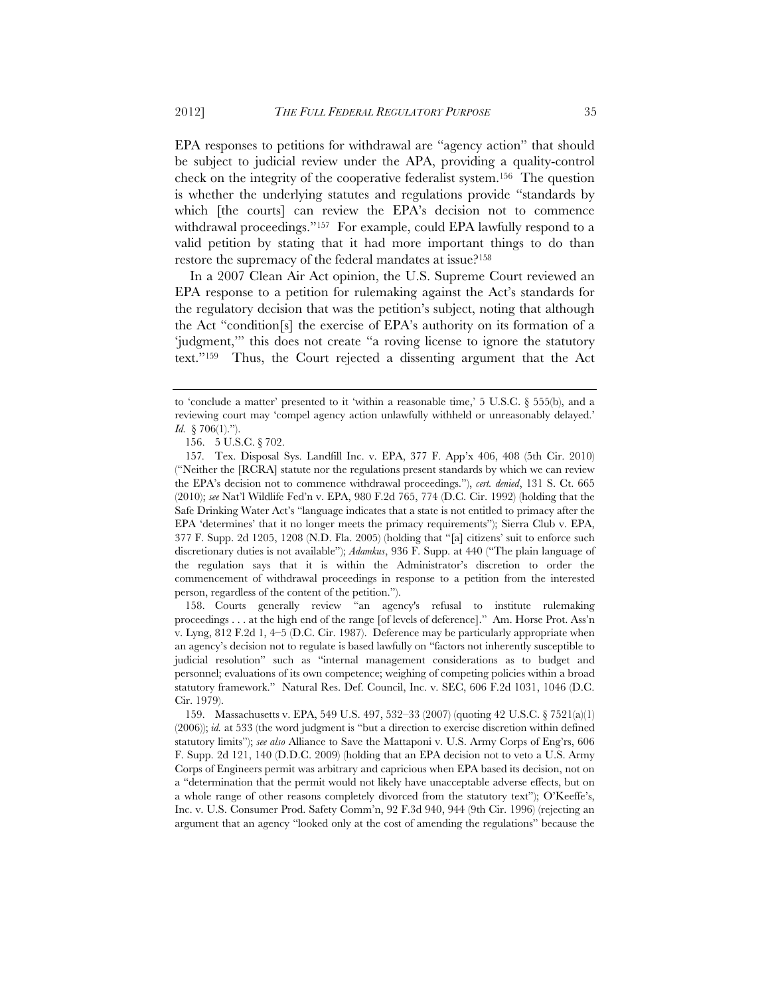EPA responses to petitions for withdrawal are "agency action" that should be subject to judicial review under the APA, providing a quality-control check on the integrity of the cooperative federalist system.156 The question is whether the underlying statutes and regulations provide "standards by which [the courts] can review the EPA's decision not to commence withdrawal proceedings."<sup>157</sup> For example, could EPA lawfully respond to a valid petition by stating that it had more important things to do than restore the supremacy of the federal mandates at issue?158

In a 2007 Clean Air Act opinion, the U.S. Supreme Court reviewed an EPA response to a petition for rulemaking against the Act's standards for the regulatory decision that was the petition's subject, noting that although the Act "condition[s] the exercise of EPA's authority on its formation of a 'judgment,'" this does not create "a roving license to ignore the statutory text."159 Thus, the Court rejected a dissenting argument that the Act

 158. Courts generally review "an agency's refusal to institute rulemaking proceedings . . . at the high end of the range [of levels of deference]." Am. Horse Prot. Ass'n v. Lyng, 812 F.2d 1, 4–5 (D.C. Cir. 1987). Deference may be particularly appropriate when an agency's decision not to regulate is based lawfully on "factors not inherently susceptible to judicial resolution" such as "internal management considerations as to budget and personnel; evaluations of its own competence; weighing of competing policies within a broad statutory framework." Natural Res. Def. Council, Inc. v. SEC, 606 F.2d 1031, 1046 (D.C. Cir. 1979).

to 'conclude a matter' presented to it 'within a reasonable time,'  $5 \text{ U.S.C.}$   $\&$  555(b), and a reviewing court may 'compel agency action unlawfully withheld or unreasonably delayed.' *Id.* § 706(1).").

 <sup>156. 5</sup> U.S.C. § 702.

<sup>157</sup>*.* Tex. Disposal Sys. Landfill Inc. v. EPA, 377 F. App'x 406, 408 (5th Cir. 2010) ("Neither the [RCRA] statute nor the regulations present standards by which we can review the EPA's decision not to commence withdrawal proceedings."), *cert. denied*, 131 S. Ct. 665 (2010); *see* Nat'l Wildlife Fed'n v. EPA, 980 F.2d 765, 774 (D.C. Cir. 1992) (holding that the Safe Drinking Water Act's "language indicates that a state is not entitled to primacy after the EPA 'determines' that it no longer meets the primacy requirements"); Sierra Club v. EPA, 377 F. Supp. 2d 1205, 1208 (N.D. Fla. 2005) (holding that "[a] citizens' suit to enforce such discretionary duties is not available"); *Adamkus*, 936 F. Supp. at 440 ("The plain language of the regulation says that it is within the Administrator's discretion to order the commencement of withdrawal proceedings in response to a petition from the interested person, regardless of the content of the petition.").

 <sup>159.</sup> Massachusetts v. EPA, 549 U.S. 497, 532–33 (2007) (quoting 42 U.S.C. § 7521(a)(1) (2006)); *id.* at 533 (the word judgment is "but a direction to exercise discretion within defined statutory limits"); *see also* Alliance to Save the Mattaponi v. U.S. Army Corps of Eng'rs, 606 F. Supp. 2d 121, 140 (D.D.C. 2009) (holding that an EPA decision not to veto a U.S. Army Corps of Engineers permit was arbitrary and capricious when EPA based its decision, not on a "determination that the permit would not likely have unacceptable adverse effects, but on a whole range of other reasons completely divorced from the statutory text"); O'Keeffe's, Inc. v. U.S. Consumer Prod. Safety Comm'n, 92 F.3d 940, 944 (9th Cir. 1996) (rejecting an argument that an agency "looked only at the cost of amending the regulations" because the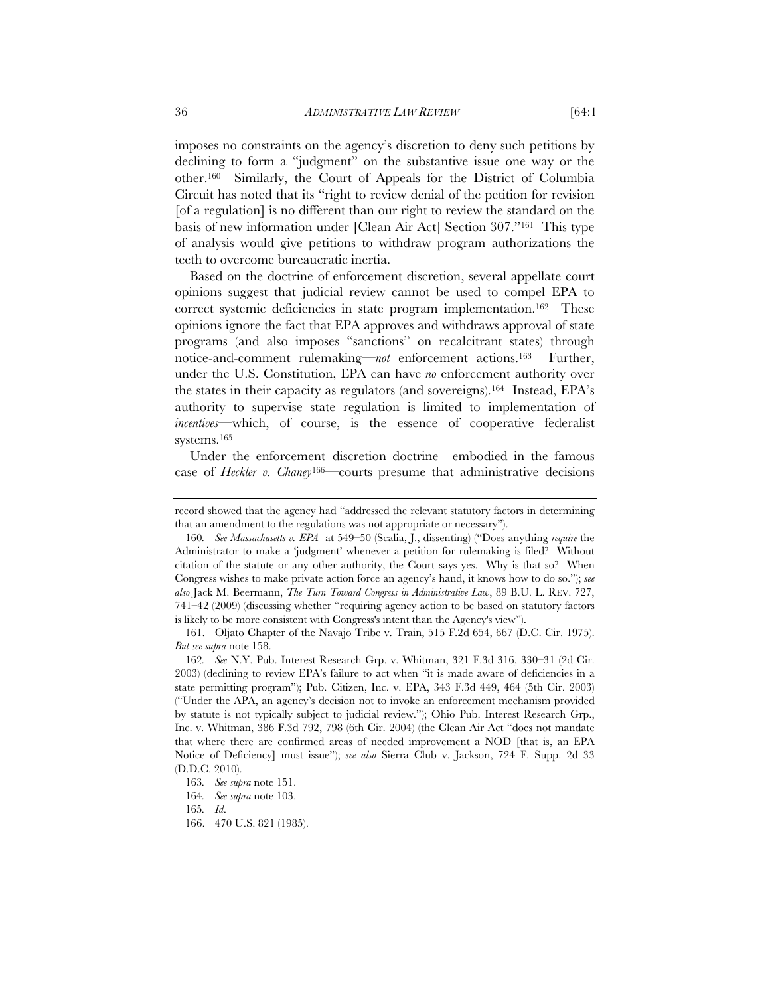imposes no constraints on the agency's discretion to deny such petitions by declining to form a "judgment" on the substantive issue one way or the other.160 Similarly, the Court of Appeals for the District of Columbia Circuit has noted that its "right to review denial of the petition for revision [of a regulation] is no different than our right to review the standard on the basis of new information under [Clean Air Act] Section 307."161 This type of analysis would give petitions to withdraw program authorizations the teeth to overcome bureaucratic inertia.

Based on the doctrine of enforcement discretion, several appellate court opinions suggest that judicial review cannot be used to compel EPA to correct systemic deficiencies in state program implementation.<sup>162</sup> These opinions ignore the fact that EPA approves and withdraws approval of state programs (and also imposes "sanctions" on recalcitrant states) through notice-and-comment rulemaking—*not* enforcement actions.163 Further, under the U.S. Constitution, EPA can have *no* enforcement authority over the states in their capacity as regulators (and sovereigns).164 Instead, EPA's authority to supervise state regulation is limited to implementation of *incentives*—which, of course, is the essence of cooperative federalist systems.165

Under the enforcement–discretion doctrine—embodied in the famous case of *Heckler v. Chaney*166—courts presume that administrative decisions

 161. Oljato Chapter of the Navajo Tribe v. Train, 515 F.2d 654, 667 (D.C. Cir. 1975). *But see supra* note 158.

162*. See* N.Y. Pub. Interest Research Grp. v. Whitman, 321 F.3d 316, 330–31 (2d Cir. 2003) (declining to review EPA's failure to act when "it is made aware of deficiencies in a state permitting program"); Pub. Citizen, Inc. v. EPA, 343 F.3d 449, 464 (5th Cir. 2003) ("Under the APA, an agency's decision not to invoke an enforcement mechanism provided by statute is not typically subject to judicial review."); Ohio Pub. Interest Research Grp., Inc. v. Whitman, 386 F.3d 792, 798 (6th Cir. 2004) (the Clean Air Act "does not mandate that where there are confirmed areas of needed improvement a NOD [that is, an EPA Notice of Deficiency] must issue"); *see also* Sierra Club v. Jackson, 724 F. Supp. 2d 33 (D.D.C. 2010).

record showed that the agency had "addressed the relevant statutory factors in determining that an amendment to the regulations was not appropriate or necessary").

<sup>160</sup>*. See Massachusetts v. EPA* at 549–50 (Scalia, J., dissenting) ("Does anything *require* the Administrator to make a 'judgment' whenever a petition for rulemaking is filed? Without citation of the statute or any other authority, the Court says yes. Why is that so? When Congress wishes to make private action force an agency's hand, it knows how to do so."); *see also* Jack M. Beermann, *The Turn Toward Congress in Administrative Law*, 89 B.U. L. REV. 727, 741–42 (2009) (discussing whether "requiring agency action to be based on statutory factors is likely to be more consistent with Congress's intent than the Agency's view").

<sup>163</sup>*. See supra* note 151.

<sup>164</sup>*. See supra* note 103.

<sup>165</sup>*. Id*.

<sup>166. 470</sup> U.S. 821 (1985).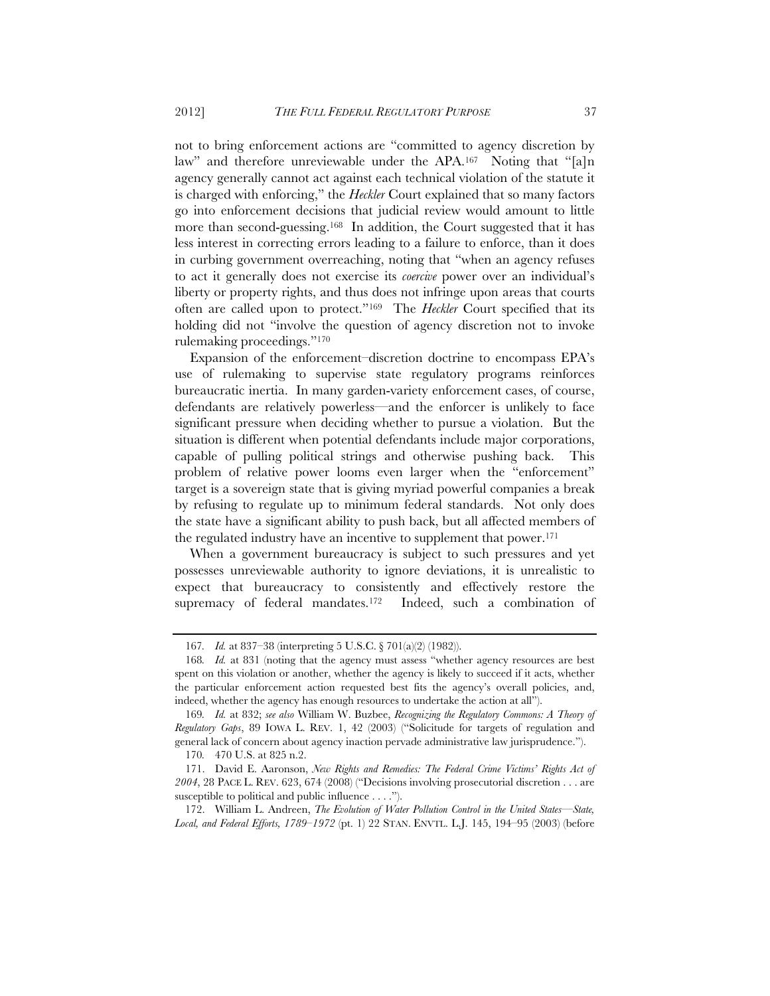not to bring enforcement actions are "committed to agency discretion by law" and therefore unreviewable under the APA.<sup>167</sup> Noting that "[a]n agency generally cannot act against each technical violation of the statute it is charged with enforcing," the *Heckler* Court explained that so many factors go into enforcement decisions that judicial review would amount to little more than second-guessing.168 In addition, the Court suggested that it has less interest in correcting errors leading to a failure to enforce, than it does in curbing government overreaching, noting that "when an agency refuses to act it generally does not exercise its *coercive* power over an individual's liberty or property rights, and thus does not infringe upon areas that courts often are called upon to protect."169 The *Heckler* Court specified that its holding did not "involve the question of agency discretion not to invoke rulemaking proceedings."170

Expansion of the enforcement–discretion doctrine to encompass EPA's use of rulemaking to supervise state regulatory programs reinforces bureaucratic inertia. In many garden-variety enforcement cases, of course, defendants are relatively powerless—and the enforcer is unlikely to face significant pressure when deciding whether to pursue a violation. But the situation is different when potential defendants include major corporations, capable of pulling political strings and otherwise pushing back. This problem of relative power looms even larger when the "enforcement" target is a sovereign state that is giving myriad powerful companies a break by refusing to regulate up to minimum federal standards. Not only does the state have a significant ability to push back, but all affected members of the regulated industry have an incentive to supplement that power.171

When a government bureaucracy is subject to such pressures and yet possesses unreviewable authority to ignore deviations, it is unrealistic to expect that bureaucracy to consistently and effectively restore the supremacy of federal mandates.172 Indeed, such a combination of

<sup>167</sup>*. Id.* at 837–38 (interpreting 5 U.S.C. § 701(a)(2) (1982)).

<sup>168</sup>*. Id.* at 831 (noting that the agency must assess "whether agency resources are best spent on this violation or another, whether the agency is likely to succeed if it acts, whether the particular enforcement action requested best fits the agency's overall policies, and, indeed, whether the agency has enough resources to undertake the action at all").

<sup>169</sup>*. Id.* at 832; *see also* William W. Buzbee, *Recognizing the Regulatory Commons: A Theory of Regulatory Gaps*, 89 IOWA L. REV. 1, 42 (2003) ("Solicitude for targets of regulation and general lack of concern about agency inaction pervade administrative law jurisprudence.").

<sup>170</sup>*.* 470 U.S. at 825 n.2.

 <sup>171.</sup> David E. Aaronson, *New Rights and Remedies: The Federal Crime Victims' Rights Act of 2004*, 28 PACE L. REV. 623, 674 (2008) ("Decisions involving prosecutorial discretion . . . are susceptible to political and public influence . . . .").

<sup>172.</sup> William L. Andreen, *The Evolution of Water Pollution Control in the United States—State, Local, and Federal Efforts, 1789–1972* (pt. 1) 22 STAN. ENVTL. L.J. 145, 194–95 (2003) (before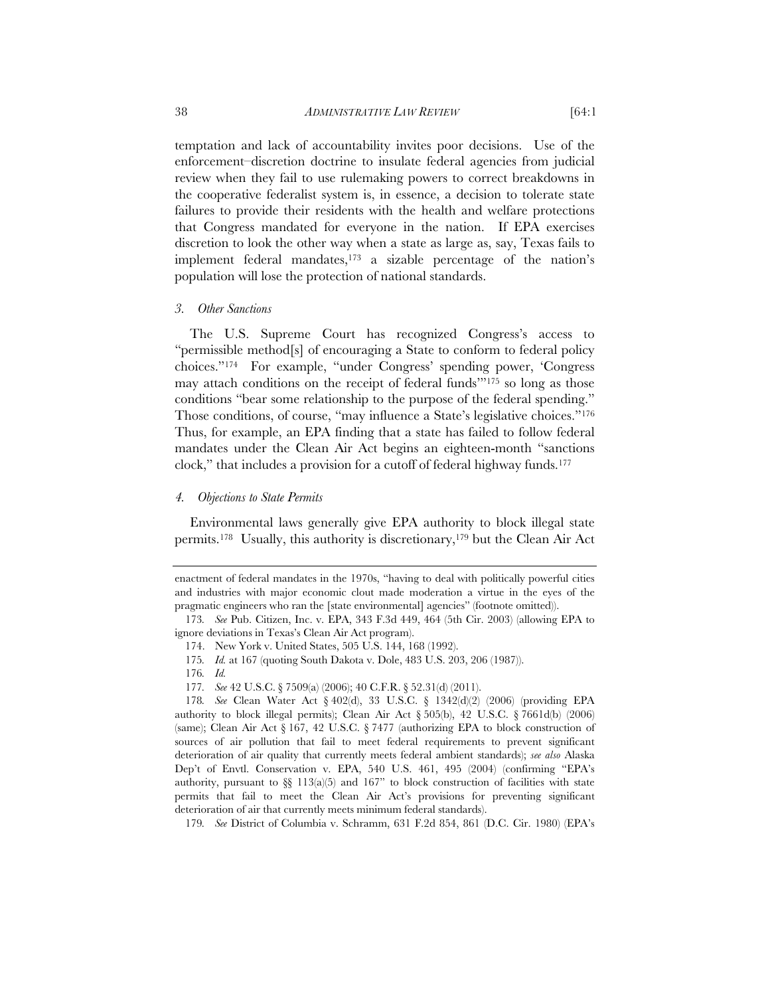temptation and lack of accountability invites poor decisions. Use of the enforcement–discretion doctrine to insulate federal agencies from judicial review when they fail to use rulemaking powers to correct breakdowns in the cooperative federalist system is, in essence, a decision to tolerate state failures to provide their residents with the health and welfare protections that Congress mandated for everyone in the nation. If EPA exercises discretion to look the other way when a state as large as, say, Texas fails to implement federal mandates,  $173$  a sizable percentage of the nation's population will lose the protection of national standards.

#### *3. Other Sanctions*

The U.S. Supreme Court has recognized Congress's access to "permissible method[s] of encouraging a State to conform to federal policy choices."174 For example, "under Congress' spending power, 'Congress may attach conditions on the receipt of federal funds'"175 so long as those conditions "bear some relationship to the purpose of the federal spending." Those conditions, of course, "may influence a State's legislative choices."<sup>176</sup> Thus, for example, an EPA finding that a state has failed to follow federal mandates under the Clean Air Act begins an eighteen-month "sanctions clock," that includes a provision for a cutoff of federal highway funds.177

#### *4. Objections to State Permits*

Environmental laws generally give EPA authority to block illegal state permits.178 Usually, this authority is discretionary,179 but the Clean Air Act

176*. Id.*

179*. See* District of Columbia v. Schramm, 631 F.2d 854, 861 (D.C. Cir. 1980) (EPA's

enactment of federal mandates in the 1970s, "having to deal with politically powerful cities and industries with major economic clout made moderation a virtue in the eyes of the pragmatic engineers who ran the [state environmental] agencies" (footnote omitted)).

<sup>173</sup>*. See* Pub. Citizen, Inc. v. EPA, 343 F.3d 449, 464 (5th Cir. 2003) (allowing EPA to ignore deviations in Texas's Clean Air Act program).

<sup>174.</sup> New York v. United States, 505 U.S. 144, 168 (1992).

<sup>175</sup>*. Id.* at 167 (quoting South Dakota v. Dole, 483 U.S. 203, 206 (1987)).

<sup>177</sup>*. See* 42 U.S.C. § 7509(a) (2006); 40 C.F.R. § 52.31(d) (2011).

<sup>178</sup>*. See* Clean Water Act § 402(d), 33 U.S.C. § 1342(d)(2) (2006) (providing EPA authority to block illegal permits); Clean Air Act  $\S 505(b)$ , 42 U.S.C.  $\S 7661d(b)$  (2006) (same); Clean Air Act § 167, 42 U.S.C. § 7477 (authorizing EPA to block construction of sources of air pollution that fail to meet federal requirements to prevent significant deterioration of air quality that currently meets federal ambient standards); *see also* Alaska Dep't of Envtl. Conservation v. EPA, 540 U.S. 461, 495 (2004) (confirming "EPA's authority, pursuant to  $\S$   $113(a)$  $(5)$  and  $167$ " to block construction of facilities with state permits that fail to meet the Clean Air Act's provisions for preventing significant deterioration of air that currently meets minimum federal standards).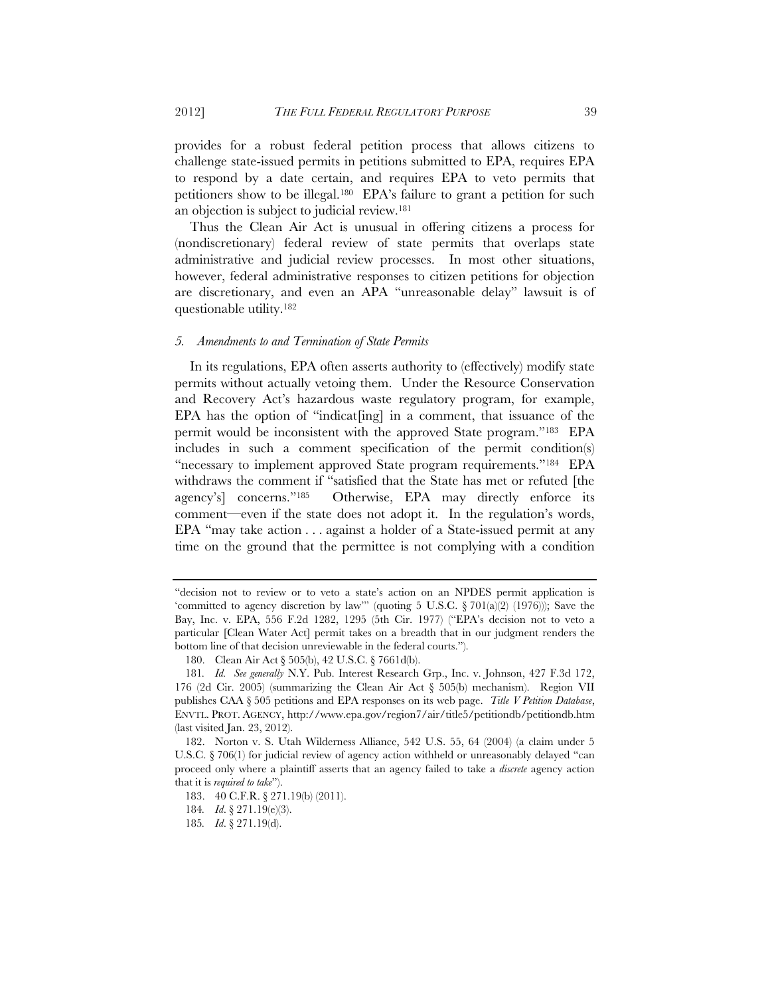provides for a robust federal petition process that allows citizens to challenge state-issued permits in petitions submitted to EPA, requires EPA to respond by a date certain, and requires EPA to veto permits that petitioners show to be illegal.180 EPA's failure to grant a petition for such an objection is subject to judicial review.181

Thus the Clean Air Act is unusual in offering citizens a process for (nondiscretionary) federal review of state permits that overlaps state administrative and judicial review processes. In most other situations, however, federal administrative responses to citizen petitions for objection are discretionary, and even an APA "unreasonable delay" lawsuit is of questionable utility.182

#### *5. Amendments to and Termination of State Permits*

In its regulations, EPA often asserts authority to (effectively) modify state permits without actually vetoing them. Under the Resource Conservation and Recovery Act's hazardous waste regulatory program, for example, EPA has the option of "indicat<sup>[ing]</sup> in a comment, that issuance of the permit would be inconsistent with the approved State program."183 EPA includes in such a comment specification of the permit condition(s) "necessary to implement approved State program requirements."184 EPA withdraws the comment if "satisfied that the State has met or refuted [the agency's] concerns."185 Otherwise, EPA may directly enforce its comment—even if the state does not adopt it. In the regulation's words, EPA "may take action . . . against a holder of a State-issued permit at any time on the ground that the permittee is not complying with a condition

<sup>&</sup>quot;decision not to review or to veto a state's action on an NPDES permit application is 'committed to agency discretion by law'" (quoting 5 U.S.C.  $\S 701(a)(2)$  (1976))); Save the Bay, Inc. v. EPA, 556 F.2d 1282, 1295 (5th Cir. 1977) ("EPA's decision not to veto a particular [Clean Water Act] permit takes on a breadth that in our judgment renders the bottom line of that decision unreviewable in the federal courts.").

<sup>180.</sup> Clean Air Act § 505(b), 42 U.S.C. § 7661d(b).

<sup>181</sup>*. Id. See generally* N.Y. Pub. Interest Research Grp., Inc. v. Johnson, 427 F.3d 172, 176 (2d Cir. 2005) (summarizing the Clean Air Act § 505(b) mechanism). Region VII publishes CAA § 505 petitions and EPA responses on its web page. *Title V Petition Database*, ENVTL. PROT. AGENCY, http://www.epa.gov/region7/air/title5/petitiondb/petitiondb.htm (last visited Jan. 23, 2012).

<sup>182.</sup> Norton v. S. Utah Wilderness Alliance, 542 U.S. 55, 64 (2004) (a claim under 5 U.S.C.  $\S 706(1)$  for judicial review of agency action withheld or unreasonably delayed "can proceed only where a plaintiff asserts that an agency failed to take a *discrete* agency action that it is *required to take*").

<sup>183. 40</sup> C.F.R. § 271.19(b) (2011).

<sup>184</sup>*. Id*. § 271.19(e)(3).

<sup>185</sup>*. Id*. § 271.19(d).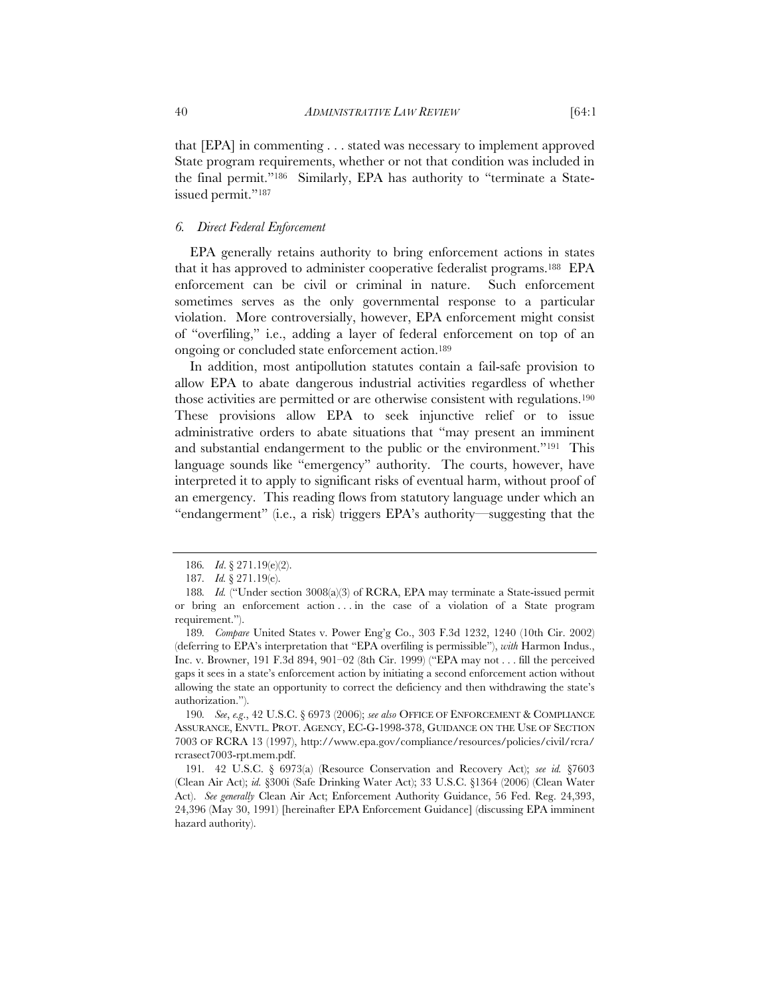that [EPA] in commenting . . . stated was necessary to implement approved State program requirements, whether or not that condition was included in the final permit."186 Similarly, EPA has authority to "terminate a Stateissued permit."<sup>187</sup>

# *6. Direct Federal Enforcement*

EPA generally retains authority to bring enforcement actions in states that it has approved to administer cooperative federalist programs.188 EPA enforcement can be civil or criminal in nature. Such enforcement sometimes serves as the only governmental response to a particular violation. More controversially, however, EPA enforcement might consist of "overfiling," i.e., adding a layer of federal enforcement on top of an ongoing or concluded state enforcement action.189

In addition, most antipollution statutes contain a fail-safe provision to allow EPA to abate dangerous industrial activities regardless of whether those activities are permitted or are otherwise consistent with regulations.190 These provisions allow EPA to seek injunctive relief or to issue administrative orders to abate situations that "may present an imminent and substantial endangerment to the public or the environment."191 This language sounds like "emergency" authority. The courts, however, have interpreted it to apply to significant risks of eventual harm, without proof of an emergency. This reading flows from statutory language under which an "endangerment" (i.e., a risk) triggers EPA's authority—suggesting that the

<sup>186</sup>*. Id*. § 271.19(e)(2).

<sup>187</sup>*. Id.* § 271.19(e).

<sup>188.</sup> Id. ("Under section 3008(a)(3) of RCRA, EPA may terminate a State-issued permit or bring an enforcement action . . . in the case of a violation of a State program requirement.").

<sup>189</sup>*. Compare* United States v. Power Eng'g Co., 303 F.3d 1232, 1240 (10th Cir. 2002) (deferring to EPA's interpretation that "EPA overfiling is permissible"), *with* Harmon Indus., Inc. v. Browner, 191 F.3d 894, 901–02 (8th Cir. 1999) ("EPA may not . . . fill the perceived gaps it sees in a state's enforcement action by initiating a second enforcement action without allowing the state an opportunity to correct the deficiency and then withdrawing the state's authorization.").

<sup>190</sup>*. See*, *e.g*., 42 U.S.C. § 6973 (2006); *see also* OFFICE OF ENFORCEMENT & COMPLIANCE ASSURANCE, ENVTL. PROT. AGENCY, EC-G-1998-378, GUIDANCE ON THE USE OF SECTION 7003 OF RCRA 13 (1997), http://www.epa.gov/compliance/resources/policies/civil/rcra/ rcrasect7003-rpt.mem.pdf.

<sup>191</sup>*.* 42 U.S.C. § 6973(a) (Resource Conservation and Recovery Act); *see id.* §7603 (Clean Air Act); *id.* §300i (Safe Drinking Water Act); 33 U.S.C. §1364 (2006) (Clean Water Act). *See generally* Clean Air Act; Enforcement Authority Guidance, 56 Fed. Reg. 24,393, 24,396 (May 30, 1991) [hereinafter EPA Enforcement Guidance] (discussing EPA imminent hazard authority).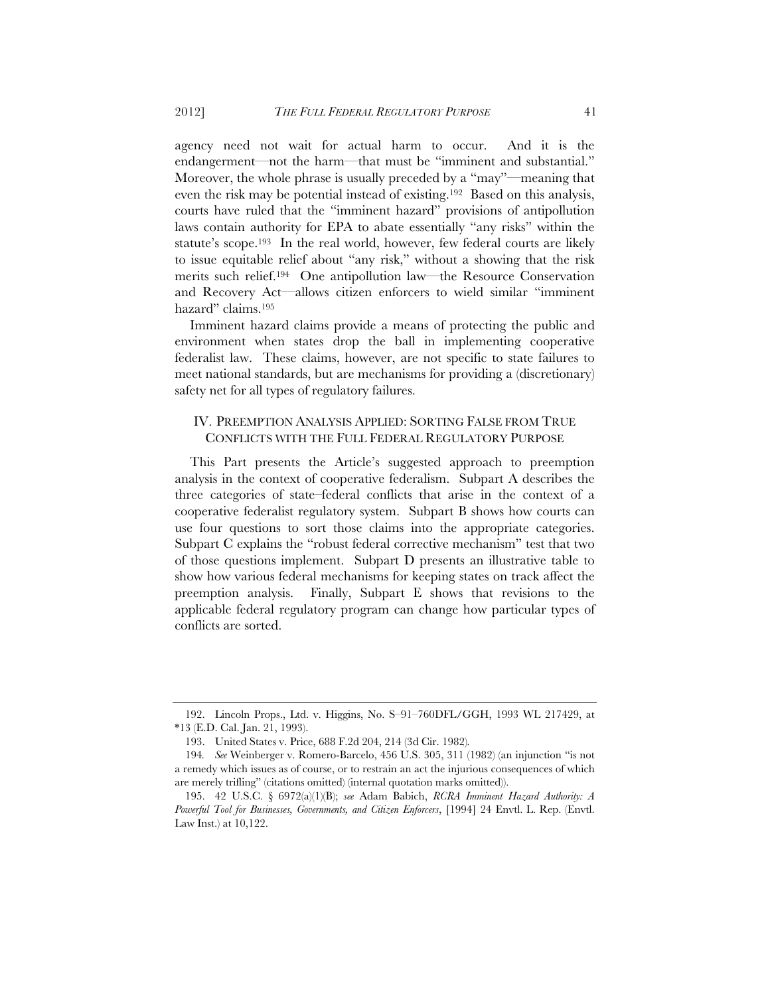agency need not wait for actual harm to occur. And it is the endangerment—not the harm—that must be "imminent and substantial." Moreover, the whole phrase is usually preceded by a "may"—meaning that even the risk may be potential instead of existing.192 Based on this analysis, courts have ruled that the "imminent hazard" provisions of antipollution laws contain authority for EPA to abate essentially "any risks" within the statute's scope.193 In the real world, however, few federal courts are likely to issue equitable relief about "any risk," without a showing that the risk merits such relief.194 One antipollution law—the Resource Conservation and Recovery Act—allows citizen enforcers to wield similar "imminent hazard" claims.<sup>195</sup>

Imminent hazard claims provide a means of protecting the public and environment when states drop the ball in implementing cooperative federalist law. These claims, however, are not specific to state failures to meet national standards, but are mechanisms for providing a (discretionary) safety net for all types of regulatory failures.

# IV. PREEMPTION ANALYSIS APPLIED: SORTING FALSE FROM TRUE CONFLICTS WITH THE FULL FEDERAL REGULATORY PURPOSE

This Part presents the Article's suggested approach to preemption analysis in the context of cooperative federalism. Subpart A describes the three categories of state–federal conflicts that arise in the context of a cooperative federalist regulatory system. Subpart B shows how courts can use four questions to sort those claims into the appropriate categories. Subpart C explains the "robust federal corrective mechanism" test that two of those questions implement. Subpart D presents an illustrative table to show how various federal mechanisms for keeping states on track affect the preemption analysis. Finally, Subpart E shows that revisions to the applicable federal regulatory program can change how particular types of conflicts are sorted.

<sup>192.</sup> Lincoln Props., Ltd. v. Higgins, No. S–91–760DFL/GGH, 1993 WL 217429, at \*13 (E.D. Cal. Jan. 21, 1993).

<sup>193.</sup> United States v. Price, 688 F.2d 204, 214 (3d Cir. 1982)*.*

<sup>194</sup>*. See* Weinberger v. Romero-Barcelo, 456 U.S. 305, 311 (1982) (an injunction "is not a remedy which issues as of course, or to restrain an act the injurious consequences of which are merely trifling" (citations omitted) (internal quotation marks omitted)).

<sup>195. 42</sup> U.S.C. § 6972(a)(1)(B); *see* Adam Babich, *RCRA Imminent Hazard Authority: A Powerful Tool for Businesses, Governments, and Citizen Enforcers*, [1994] 24 Envtl. L. Rep. (Envtl. Law Inst.) at 10,122.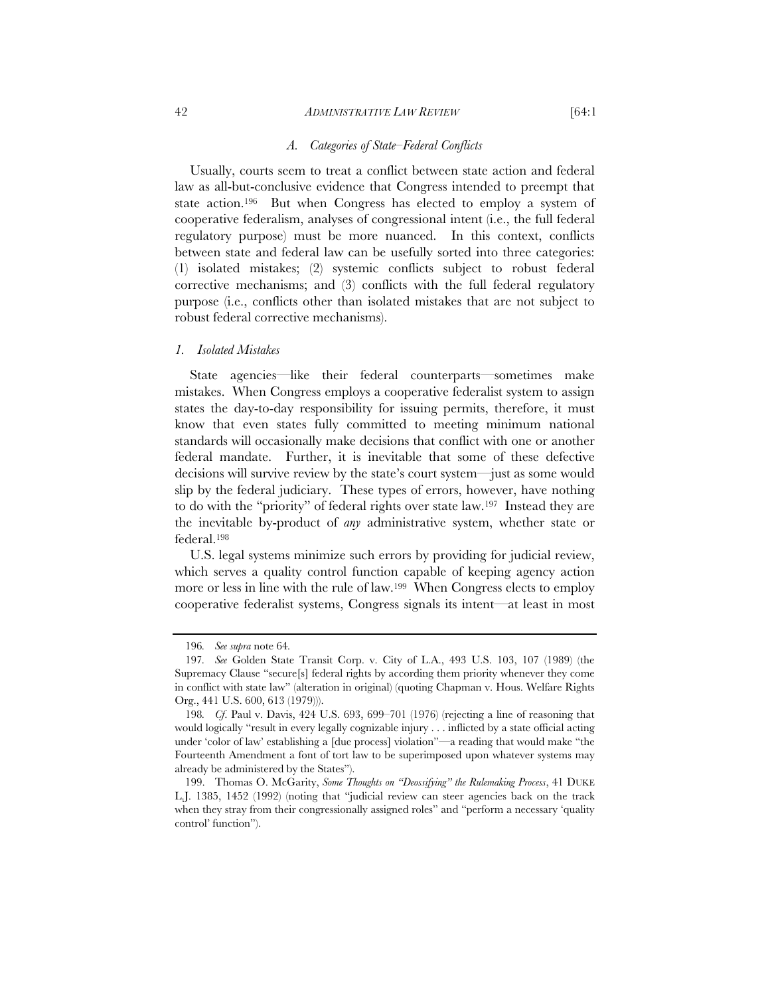#### 42 *ADMINISTRATIVE LAW REVIEW* [64:1

Usually, courts seem to treat a conflict between state action and federal law as all-but-conclusive evidence that Congress intended to preempt that state action.<sup>196</sup> But when Congress has elected to employ a system of cooperative federalism, analyses of congressional intent (i.e., the full federal regulatory purpose) must be more nuanced. In this context, conflicts between state and federal law can be usefully sorted into three categories: (1) isolated mistakes; (2) systemic conflicts subject to robust federal corrective mechanisms; and (3) conflicts with the full federal regulatory purpose (i.e., conflicts other than isolated mistakes that are not subject to robust federal corrective mechanisms).

#### *1. Isolated Mistakes*

State agencies—like their federal counterparts—sometimes make mistakes. When Congress employs a cooperative federalist system to assign states the day-to-day responsibility for issuing permits, therefore, it must know that even states fully committed to meeting minimum national standards will occasionally make decisions that conflict with one or another federal mandate. Further, it is inevitable that some of these defective decisions will survive review by the state's court system—just as some would slip by the federal judiciary. These types of errors, however, have nothing to do with the "priority" of federal rights over state law.197 Instead they are the inevitable by-product of *any* administrative system, whether state or federal.198

U.S. legal systems minimize such errors by providing for judicial review, which serves a quality control function capable of keeping agency action more or less in line with the rule of law.199 When Congress elects to employ cooperative federalist systems, Congress signals its intent—at least in most

<sup>196</sup>*. See supra* note 64*.*

<sup>197</sup>*. See* Golden State Transit Corp. v. City of L.A., 493 U.S. 103, 107 (1989) (the Supremacy Clause "secure[s] federal rights by according them priority whenever they come in conflict with state law" (alteration in original) (quoting Chapman v. Hous. Welfare Rights Org., 441 U.S. 600, 613 (1979))).

<sup>198</sup>*. Cf*. Paul v. Davis, 424 U.S. 693, 699–701 (1976) (rejecting a line of reasoning that would logically "result in every legally cognizable injury . . . inflicted by a state official acting under 'color of law' establishing a [due process] violation"—a reading that would make "the Fourteenth Amendment a font of tort law to be superimposed upon whatever systems may already be administered by the States").

 <sup>199.</sup> Thomas O. McGarity, *Some Thoughts on "Deossifying" the Rulemaking Process*, 41 DUKE L.J. 1385, 1452 (1992) (noting that "judicial review can steer agencies back on the track when they stray from their congressionally assigned roles" and "perform a necessary 'quality control' function").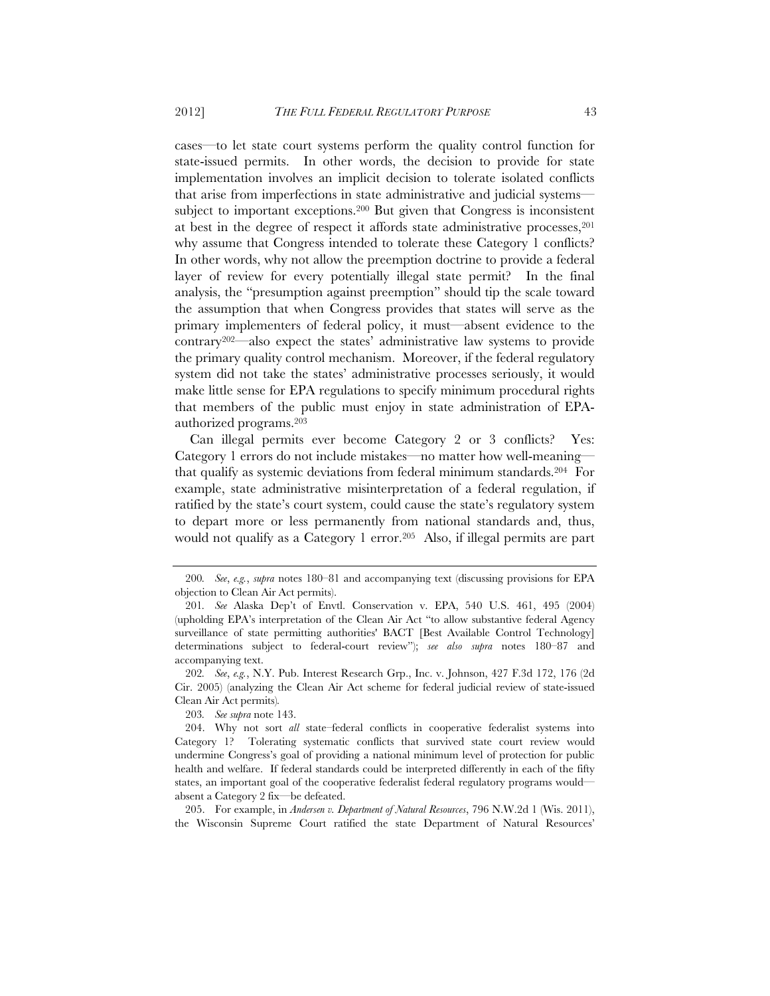cases—to let state court systems perform the quality control function for state-issued permits. In other words, the decision to provide for state implementation involves an implicit decision to tolerate isolated conflicts that arise from imperfections in state administrative and judicial systems subject to important exceptions.<sup>200</sup> But given that Congress is inconsistent at best in the degree of respect it affords state administrative processes,201 why assume that Congress intended to tolerate these Category 1 conflicts? In other words, why not allow the preemption doctrine to provide a federal layer of review for every potentially illegal state permit? In the final analysis, the "presumption against preemption" should tip the scale toward the assumption that when Congress provides that states will serve as the primary implementers of federal policy, it must—absent evidence to the contrary202—also expect the states' administrative law systems to provide the primary quality control mechanism. Moreover, if the federal regulatory system did not take the states' administrative processes seriously, it would make little sense for EPA regulations to specify minimum procedural rights that members of the public must enjoy in state administration of EPAauthorized programs.203

Can illegal permits ever become Category 2 or 3 conflicts? Yes: Category 1 errors do not include mistakes—no matter how well-meaning that qualify as systemic deviations from federal minimum standards.204 For example, state administrative misinterpretation of a federal regulation, if ratified by the state's court system, could cause the state's regulatory system to depart more or less permanently from national standards and, thus, would not qualify as a Category 1 error.205 Also, if illegal permits are part

205. For example, in *Andersen v. Department of Natural Resources*, 796 N.W.2d 1 (Wis. 2011), the Wisconsin Supreme Court ratified the state Department of Natural Resources'

<sup>200</sup>*. See*, *e.g.*, *supra* notes 180–81 and accompanying text (discussing provisions for EPA objection to Clean Air Act permits).

<sup>201</sup>*. See* Alaska Dep't of Envtl. Conservation v. EPA, 540 U.S. 461, 495 (2004) (upholding EPA's interpretation of the Clean Air Act "to allow substantive federal Agency surveillance of state permitting authorities' BACT [Best Available Control Technology] determinations subject to federal-court review"); *see also supra* notes 180–87 and accompanying text.

<sup>202</sup>*. See*, *e.g.*, N.Y. Pub. Interest Research Grp., Inc. v. Johnson, 427 F.3d 172, 176 (2d Cir. 2005) (analyzing the Clean Air Act scheme for federal judicial review of state-issued Clean Air Act permits)*.*

<sup>203</sup>*. See supra* note 143.

 <sup>204.</sup> Why not sort *all* state–federal conflicts in cooperative federalist systems into Category 1? Tolerating systematic conflicts that survived state court review would undermine Congress's goal of providing a national minimum level of protection for public health and welfare. If federal standards could be interpreted differently in each of the fifty states, an important goal of the cooperative federalist federal regulatory programs would absent a Category 2 fix—be defeated.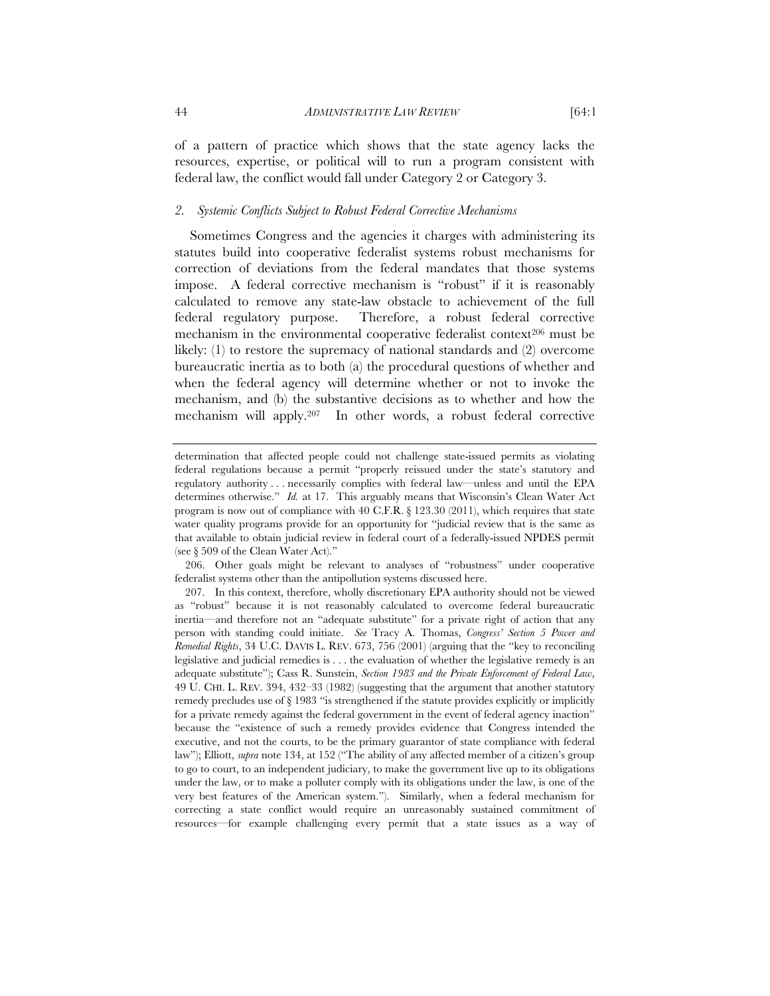of a pattern of practice which shows that the state agency lacks the resources, expertise, or political will to run a program consistent with federal law, the conflict would fall under Category 2 or Category 3.

#### *2. Systemic Conflicts Subject to Robust Federal Corrective Mechanisms*

Sometimes Congress and the agencies it charges with administering its statutes build into cooperative federalist systems robust mechanisms for correction of deviations from the federal mandates that those systems impose. A federal corrective mechanism is "robust" if it is reasonably calculated to remove any state-law obstacle to achievement of the full federal regulatory purpose. Therefore, a robust federal corrective mechanism in the environmental cooperative federalist context<sup>206</sup> must be likely: (1) to restore the supremacy of national standards and (2) overcome bureaucratic inertia as to both (a) the procedural questions of whether and when the federal agency will determine whether or not to invoke the mechanism, and (b) the substantive decisions as to whether and how the mechanism will apply.207 In other words, a robust federal corrective

 206. Other goals might be relevant to analyses of "robustness" under cooperative federalist systems other than the antipollution systems discussed here.

determination that affected people could not challenge state-issued permits as violating federal regulations because a permit "properly reissued under the state's statutory and regulatory authority . . . necessarily complies with federal law—unless and until the EPA determines otherwise." *Id.* at 17. This arguably means that Wisconsin's Clean Water Act program is now out of compliance with 40 C.F.R. § 123.30 (2011), which requires that state water quality programs provide for an opportunity for "judicial review that is the same as that available to obtain judicial review in federal court of a federally-issued NPDES permit (see § 509 of the Clean Water Act)."

 <sup>207.</sup> In this context, therefore, wholly discretionary EPA authority should not be viewed as "robust" because it is not reasonably calculated to overcome federal bureaucratic inertia—and therefore not an "adequate substitute" for a private right of action that any person with standing could initiate. *See* Tracy A. Thomas, *Congress' Section 5 Power and Remedial Rights*, 34 U.C. DAVIS L. REV. 673, 756 (2001) (arguing that the "key to reconciling legislative and judicial remedies is . . . the evaluation of whether the legislative remedy is an adequate substitute"); Cass R. Sunstein, *Section 1983 and the Private Enforcement of Federal Law*, 49 U. CHI. L. REV. 394, 432–33 (1982) (suggesting that the argument that another statutory remedy precludes use of § 1983 "is strengthened if the statute provides explicitly or implicitly for a private remedy against the federal government in the event of federal agency inaction" because the "existence of such a remedy provides evidence that Congress intended the executive, and not the courts, to be the primary guarantor of state compliance with federal law"); Elliott, *supra* note 134, at 152 ("The ability of any affected member of a citizen's group to go to court, to an independent judiciary, to make the government live up to its obligations under the law, or to make a polluter comply with its obligations under the law, is one of the very best features of the American system."). Similarly, when a federal mechanism for correcting a state conflict would require an unreasonably sustained commitment of resources—for example challenging every permit that a state issues as a way of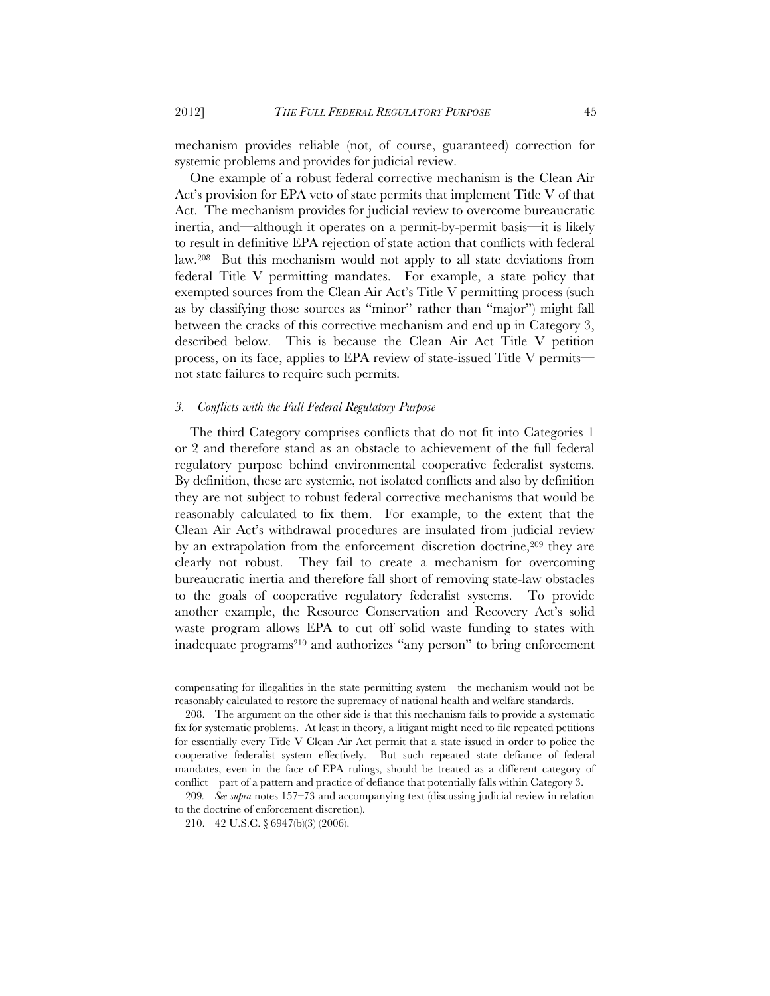mechanism provides reliable (not, of course, guaranteed) correction for systemic problems and provides for judicial review.

One example of a robust federal corrective mechanism is the Clean Air Act's provision for EPA veto of state permits that implement Title V of that Act. The mechanism provides for judicial review to overcome bureaucratic inertia, and—although it operates on a permit-by-permit basis—it is likely to result in definitive EPA rejection of state action that conflicts with federal law.208 But this mechanism would not apply to all state deviations from federal Title V permitting mandates. For example, a state policy that exempted sources from the Clean Air Act's Title V permitting process (such as by classifying those sources as "minor" rather than "major") might fall between the cracks of this corrective mechanism and end up in Category 3, described below. This is because the Clean Air Act Title V petition process, on its face, applies to EPA review of state-issued Title V permits not state failures to require such permits.

#### *3. Conflicts with the Full Federal Regulatory Purpose*

The third Category comprises conflicts that do not fit into Categories 1 or 2 and therefore stand as an obstacle to achievement of the full federal regulatory purpose behind environmental cooperative federalist systems. By definition, these are systemic, not isolated conflicts and also by definition they are not subject to robust federal corrective mechanisms that would be reasonably calculated to fix them. For example, to the extent that the Clean Air Act's withdrawal procedures are insulated from judicial review by an extrapolation from the enforcement–discretion doctrine,209 they are clearly not robust. They fail to create a mechanism for overcoming bureaucratic inertia and therefore fall short of removing state-law obstacles to the goals of cooperative regulatory federalist systems. To provide another example, the Resource Conservation and Recovery Act's solid waste program allows EPA to cut off solid waste funding to states with inadequate programs210 and authorizes "any person" to bring enforcement

compensating for illegalities in the state permitting system—the mechanism would not be reasonably calculated to restore the supremacy of national health and welfare standards.

 <sup>208.</sup> The argument on the other side is that this mechanism fails to provide a systematic fix for systematic problems. At least in theory, a litigant might need to file repeated petitions for essentially every Title V Clean Air Act permit that a state issued in order to police the cooperative federalist system effectively. But such repeated state defiance of federal mandates, even in the face of EPA rulings, should be treated as a different category of conflict—part of a pattern and practice of defiance that potentially falls within Category 3.

<sup>209</sup>*. See supra* notes 157–73 and accompanying text (discussing judicial review in relation to the doctrine of enforcement discretion).

<sup>210. 42</sup> U.S.C. § 6947(b)(3) (2006).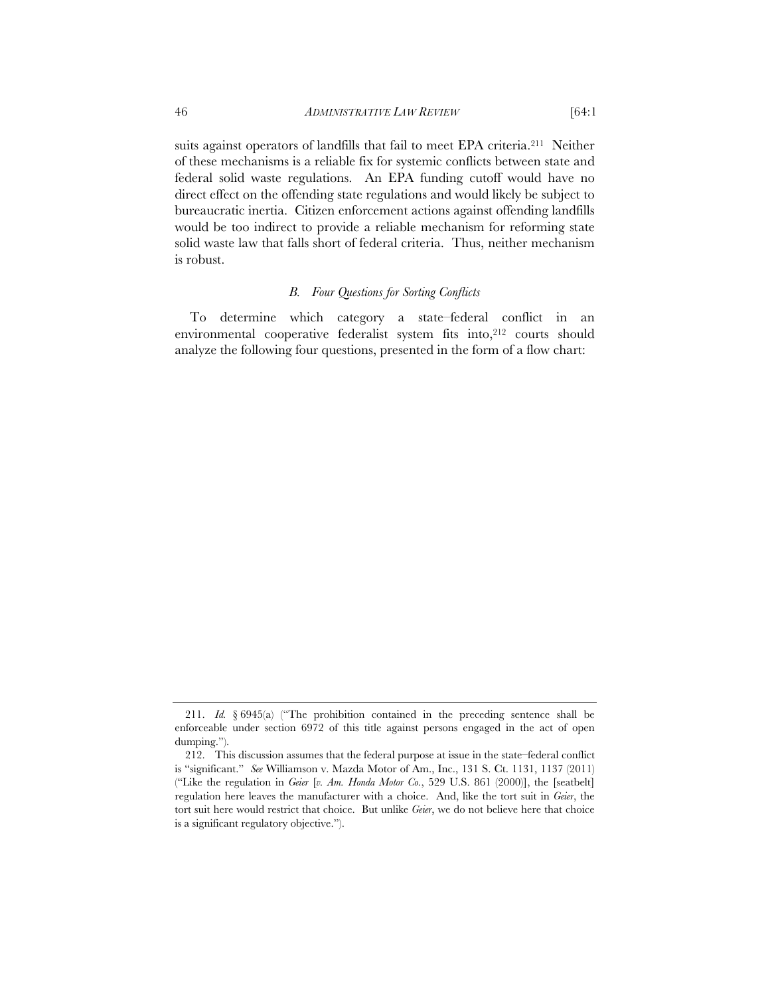suits against operators of landfills that fail to meet EPA criteria.211 Neither of these mechanisms is a reliable fix for systemic conflicts between state and federal solid waste regulations. An EPA funding cutoff would have no direct effect on the offending state regulations and would likely be subject to bureaucratic inertia. Citizen enforcement actions against offending landfills would be too indirect to provide a reliable mechanism for reforming state solid waste law that falls short of federal criteria. Thus, neither mechanism is robust.

# *B. Four Questions for Sorting Conflicts*

To determine which category a state–federal conflict in an environmental cooperative federalist system fits into,<sup>212</sup> courts should analyze the following four questions, presented in the form of a flow chart:

 <sup>211.</sup> *Id.* § 6945(a) ("The prohibition contained in the preceding sentence shall be enforceable under section 6972 of this title against persons engaged in the act of open dumping.").

 <sup>212.</sup> This discussion assumes that the federal purpose at issue in the state–federal conflict is "significant." *See* Williamson v. Mazda Motor of Am., Inc., 131 S. Ct. 1131, 1137 (2011) ("Like the regulation in *Geier* [*v. Am. Honda Motor Co.*, 529 U.S. 861 (2000)], the [seatbelt] regulation here leaves the manufacturer with a choice. And, like the tort suit in *Geier*, the tort suit here would restrict that choice. But unlike *Geier*, we do not believe here that choice is a significant regulatory objective.").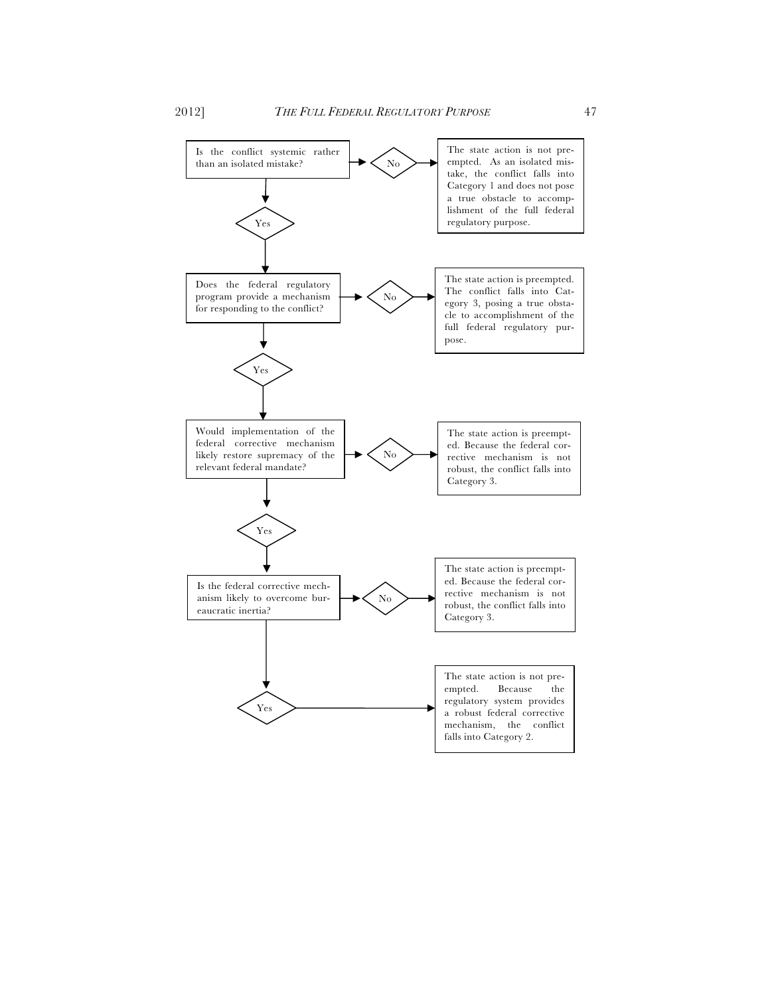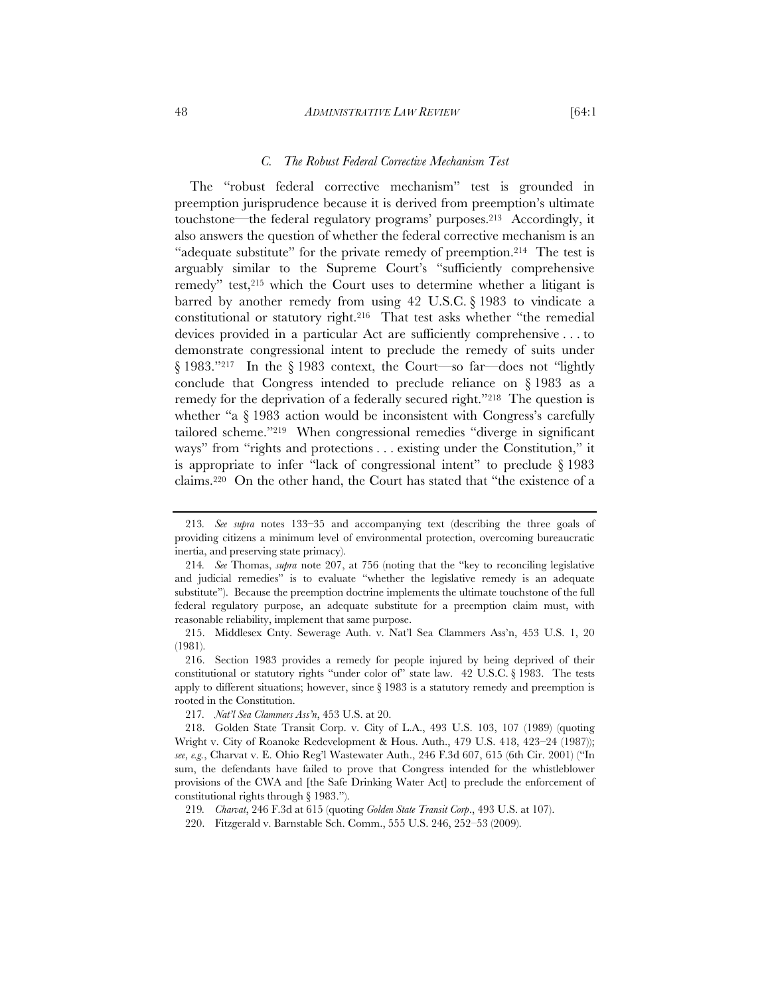#### 48 *ADMINISTRATIVE LAW REVIEW* [64:1

The "robust federal corrective mechanism" test is grounded in preemption jurisprudence because it is derived from preemption's ultimate touchstone—the federal regulatory programs' purposes.213 Accordingly, it also answers the question of whether the federal corrective mechanism is an "adequate substitute" for the private remedy of preemption.214 The test is arguably similar to the Supreme Court's "sufficiently comprehensive remedy" test,<sup>215</sup> which the Court uses to determine whether a litigant is barred by another remedy from using 42 U.S.C. § 1983 to vindicate a constitutional or statutory right.216 That test asks whether "the remedial devices provided in a particular Act are sufficiently comprehensive . . . to demonstrate congressional intent to preclude the remedy of suits under § 1983."217 In the § 1983 context, the Court—so far—does not "lightly conclude that Congress intended to preclude reliance on § 1983 as a remedy for the deprivation of a federally secured right."<sup>218</sup> The question is whether "a § 1983 action would be inconsistent with Congress's carefully tailored scheme."219 When congressional remedies "diverge in significant ways" from "rights and protections . . . existing under the Constitution," it is appropriate to infer "lack of congressional intent" to preclude § 1983 claims.220 On the other hand, the Court has stated that "the existence of a

<sup>213</sup>*. See supra* notes 133–35 and accompanying text (describing the three goals of providing citizens a minimum level of environmental protection, overcoming bureaucratic inertia, and preserving state primacy).

<sup>214</sup>*. See* Thomas, *supra* note 207, at 756 (noting that the "key to reconciling legislative and judicial remedies" is to evaluate "whether the legislative remedy is an adequate substitute"). Because the preemption doctrine implements the ultimate touchstone of the full federal regulatory purpose, an adequate substitute for a preemption claim must, with reasonable reliability, implement that same purpose.

 <sup>215.</sup> Middlesex Cnty. Sewerage Auth. v. Nat'l Sea Clammers Ass'n, 453 U.S. 1, 20 (1981).

 <sup>216.</sup> Section 1983 provides a remedy for people injured by being deprived of their constitutional or statutory rights "under color of" state law. 42 U.S.C. § 1983. The tests apply to different situations; however, since § 1983 is a statutory remedy and preemption is rooted in the Constitution.

<sup>217</sup>*. Nat'l Sea Clammers Ass'n*, 453 U.S. at 20.

 <sup>218.</sup> Golden State Transit Corp. v. City of L.A., 493 U.S. 103, 107 (1989) (quoting Wright v. City of Roanoke Redevelopment & Hous. Auth., 479 U.S. 418, 423–24 (1987)); *see*, *e.g.*, Charvat v. E. Ohio Reg'l Wastewater Auth., 246 F.3d 607, 615 (6th Cir. 2001) ("In sum, the defendants have failed to prove that Congress intended for the whistleblower provisions of the CWA and [the Safe Drinking Water Act] to preclude the enforcement of constitutional rights through § 1983.").

<sup>219</sup>*. Charvat*, 246 F.3d at 615 (quoting *Golden State Transit Corp*., 493 U.S. at 107).

<sup>220.</sup> Fitzgerald v. Barnstable Sch. Comm., 555 U.S. 246, 252–53 (2009).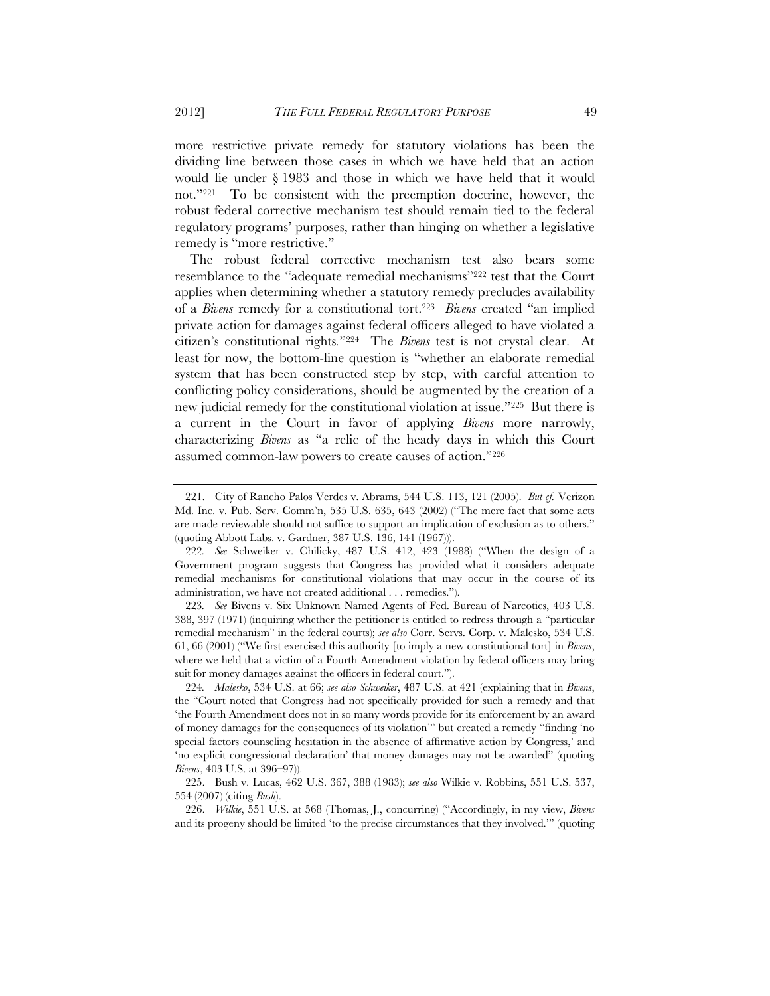more restrictive private remedy for statutory violations has been the dividing line between those cases in which we have held that an action would lie under § 1983 and those in which we have held that it would not."221 To be consistent with the preemption doctrine, however, the robust federal corrective mechanism test should remain tied to the federal regulatory programs' purposes, rather than hinging on whether a legislative remedy is "more restrictive."

The robust federal corrective mechanism test also bears some resemblance to the "adequate remedial mechanisms"222 test that the Court applies when determining whether a statutory remedy precludes availability of a *Bivens* remedy for a constitutional tort.223 *Bivens* created "an implied private action for damages against federal officers alleged to have violated a citizen's constitutional rights*.*"224 The *Bivens* test is not crystal clear. At least for now, the bottom-line question is "whether an elaborate remedial system that has been constructed step by step, with careful attention to conflicting policy considerations, should be augmented by the creation of a new judicial remedy for the constitutional violation at issue."225 But there is a current in the Court in favor of applying *Bivens* more narrowly, characterizing *Bivens* as "a relic of the heady days in which this Court assumed common-law powers to create causes of action."226

223*. See* Bivens v. Six Unknown Named Agents of Fed. Bureau of Narcotics, 403 U.S. 388, 397 (1971) (inquiring whether the petitioner is entitled to redress through a "particular remedial mechanism" in the federal courts); *see also* Corr. Servs. Corp. v. Malesko, 534 U.S. 61, 66 (2001) ("We first exercised this authority [to imply a new constitutional tort] in *Bivens*, where we held that a victim of a Fourth Amendment violation by federal officers may bring suit for money damages against the officers in federal court.").

224*. Malesko*, 534 U.S. at 66; *see also Schweiker*, 487 U.S. at 421 (explaining that in *Bivens*, the "Court noted that Congress had not specifically provided for such a remedy and that 'the Fourth Amendment does not in so many words provide for its enforcement by an award of money damages for the consequences of its violation'" but created a remedy "finding 'no special factors counseling hesitation in the absence of affirmative action by Congress,' and 'no explicit congressional declaration' that money damages may not be awarded" (quoting *Bivens*, 403 U.S. at 396–97)).

 <sup>221.</sup> City of Rancho Palos Verdes v. Abrams, 544 U.S. 113, 121 (2005). *But cf.* Verizon Md. Inc. v. Pub. Serv. Comm'n, 535 U.S. 635, 643 (2002) ("The mere fact that some acts are made reviewable should not suffice to support an implication of exclusion as to others." (quoting Abbott Labs. v. Gardner, 387 U.S. 136, 141 (1967))).

<sup>222</sup>*. See* Schweiker v. Chilicky, 487 U.S. 412, 423 (1988) ("When the design of a Government program suggests that Congress has provided what it considers adequate remedial mechanisms for constitutional violations that may occur in the course of its administration, we have not created additional . . . remedies.").

 <sup>225.</sup> Bush v. Lucas, 462 U.S. 367, 388 (1983); *see also* Wilkie v. Robbins, 551 U.S. 537, 554 (2007) (citing *Bush*).

 <sup>226.</sup> *Wilkie*, 551 U.S. at 568 (Thomas, J., concurring) ("Accordingly, in my view, *Bivens* and its progeny should be limited 'to the precise circumstances that they involved.'" (quoting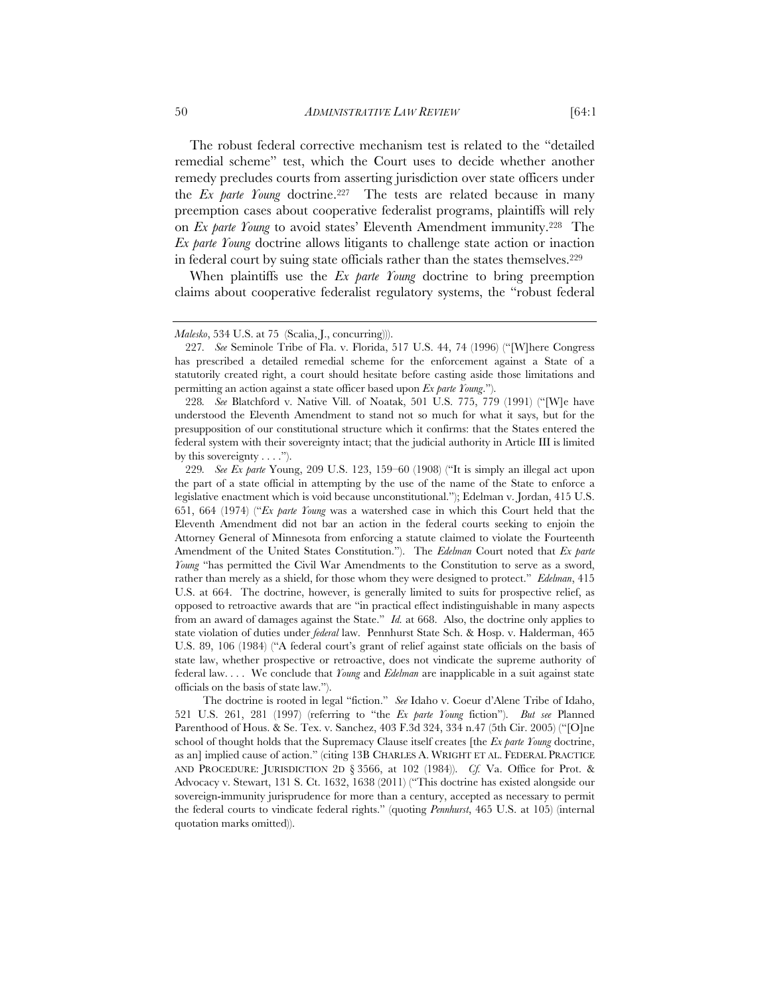The robust federal corrective mechanism test is related to the "detailed remedial scheme" test, which the Court uses to decide whether another remedy precludes courts from asserting jurisdiction over state officers under the *Ex parte Young* doctrine.227 The tests are related because in many preemption cases about cooperative federalist programs, plaintiffs will rely on *Ex parte Young* to avoid states' Eleventh Amendment immunity.228 The *Ex parte Young* doctrine allows litigants to challenge state action or inaction in federal court by suing state officials rather than the states themselves.229

When plaintiffs use the *Ex parte Young* doctrine to bring preemption claims about cooperative federalist regulatory systems, the "robust federal

The doctrine is rooted in legal "fiction." *See* Idaho v. Coeur d'Alene Tribe of Idaho, 521 U.S. 261, 281 (1997) (referring to "the *Ex parte Young* fiction"). *But see* Planned Parenthood of Hous. & Se. Tex. v. Sanchez, 403 F.3d 324, 334 n.47 (5th Cir. 2005) ("[O]ne school of thought holds that the Supremacy Clause itself creates [the *Ex parte Young* doctrine, as an] implied cause of action." (citing 13B CHARLES A. WRIGHT ET AL. FEDERAL PRACTICE AND PROCEDURE: JURISDICTION 2D § 3566, at 102 (1984)). *Cf.* Va. Office for Prot. & Advocacy v. Stewart, 131 S. Ct. 1632, 1638 (2011) ("This doctrine has existed alongside our sovereign-immunity jurisprudence for more than a century, accepted as necessary to permit the federal courts to vindicate federal rights." (quoting *Pennhurst*, 465 U.S. at 105) (internal quotation marks omitted)).

*Malesko*, 534 U.S. at 75 (Scalia, J., concurring))).

<sup>227</sup>*. See* Seminole Tribe of Fla. v. Florida, 517 U.S. 44, 74 (1996) ("[W]here Congress has prescribed a detailed remedial scheme for the enforcement against a State of a statutorily created right, a court should hesitate before casting aside those limitations and permitting an action against a state officer based upon *Ex parte Young*.").

<sup>228</sup>*. See* Blatchford v. Native Vill. of Noatak, 501 U.S. 775, 779 (1991) ("[W]e have understood the Eleventh Amendment to stand not so much for what it says, but for the presupposition of our constitutional structure which it confirms: that the States entered the federal system with their sovereignty intact; that the judicial authority in Article III is limited by this sovereignty . . . .").

<sup>229</sup>*. See Ex parte* Young, 209 U.S. 123, 159–60 (1908) ("It is simply an illegal act upon the part of a state official in attempting by the use of the name of the State to enforce a legislative enactment which is void because unconstitutional."); Edelman v. Jordan, 415 U.S. 651, 664 (1974) ("*Ex parte Young* was a watershed case in which this Court held that the Eleventh Amendment did not bar an action in the federal courts seeking to enjoin the Attorney General of Minnesota from enforcing a statute claimed to violate the Fourteenth Amendment of the United States Constitution."). The *Edelman* Court noted that *Ex parte Young* "has permitted the Civil War Amendments to the Constitution to serve as a sword, rather than merely as a shield, for those whom they were designed to protect." *Edelman*, 415 U.S. at 664. The doctrine, however, is generally limited to suits for prospective relief, as opposed to retroactive awards that are "in practical effect indistinguishable in many aspects from an award of damages against the State." *Id.* at 668. Also, the doctrine only applies to state violation of duties under *federal* law. Pennhurst State Sch. & Hosp. v. Halderman, 465 U.S. 89, 106 (1984) ("A federal court's grant of relief against state officials on the basis of state law, whether prospective or retroactive, does not vindicate the supreme authority of federal law. . . . We conclude that *Young* and *Edelman* are inapplicable in a suit against state officials on the basis of state law.").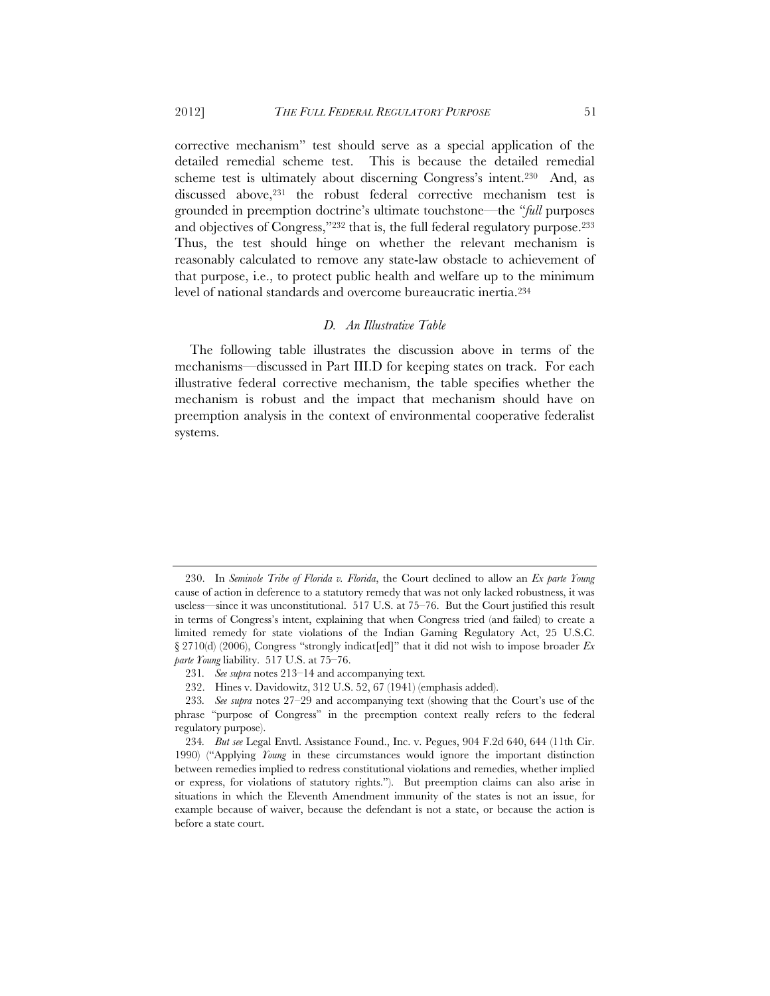corrective mechanism" test should serve as a special application of the detailed remedial scheme test. This is because the detailed remedial scheme test is ultimately about discerning Congress's intent.230 And, as discussed above,<sup>231</sup> the robust federal corrective mechanism test is grounded in preemption doctrine's ultimate touchstone—the "*full* purposes and objectives of Congress,"232 that is, the full federal regulatory purpose.233 Thus, the test should hinge on whether the relevant mechanism is reasonably calculated to remove any state-law obstacle to achievement of that purpose, i.e., to protect public health and welfare up to the minimum level of national standards and overcome bureaucratic inertia.234

# *D. An Illustrative Table*

The following table illustrates the discussion above in terms of the mechanisms—discussed in Part III.D for keeping states on track. For each illustrative federal corrective mechanism, the table specifies whether the mechanism is robust and the impact that mechanism should have on preemption analysis in the context of environmental cooperative federalist systems.

 <sup>230.</sup> In *Seminole Tribe of Florida v. Florida*, the Court declined to allow an *Ex parte Young* cause of action in deference to a statutory remedy that was not only lacked robustness, it was useless—since it was unconstitutional. 517 U.S. at 75–76. But the Court justified this result in terms of Congress's intent, explaining that when Congress tried (and failed) to create a limited remedy for state violations of the Indian Gaming Regulatory Act, 25 U.S.C. § 2710(d) (2006), Congress "strongly indicat[ed]" that it did not wish to impose broader *Ex parte Young* liability. 517 U.S. at 75–76.

<sup>231</sup>*. See supra* notes 213–14 and accompanying text*.*

<sup>232.</sup> Hines v. Davidowitz, 312 U.S. 52, 67 (1941) (emphasis added).

<sup>233</sup>*. See supra* notes 27–29 and accompanying text (showing that the Court's use of the phrase "purpose of Congress" in the preemption context really refers to the federal regulatory purpose).

<sup>234</sup>*. But see* Legal Envtl. Assistance Found., Inc. v. Pegues, 904 F.2d 640, 644 (11th Cir. 1990) ("Applying *Young* in these circumstances would ignore the important distinction between remedies implied to redress constitutional violations and remedies, whether implied or express, for violations of statutory rights."). But preemption claims can also arise in situations in which the Eleventh Amendment immunity of the states is not an issue, for example because of waiver, because the defendant is not a state, or because the action is before a state court.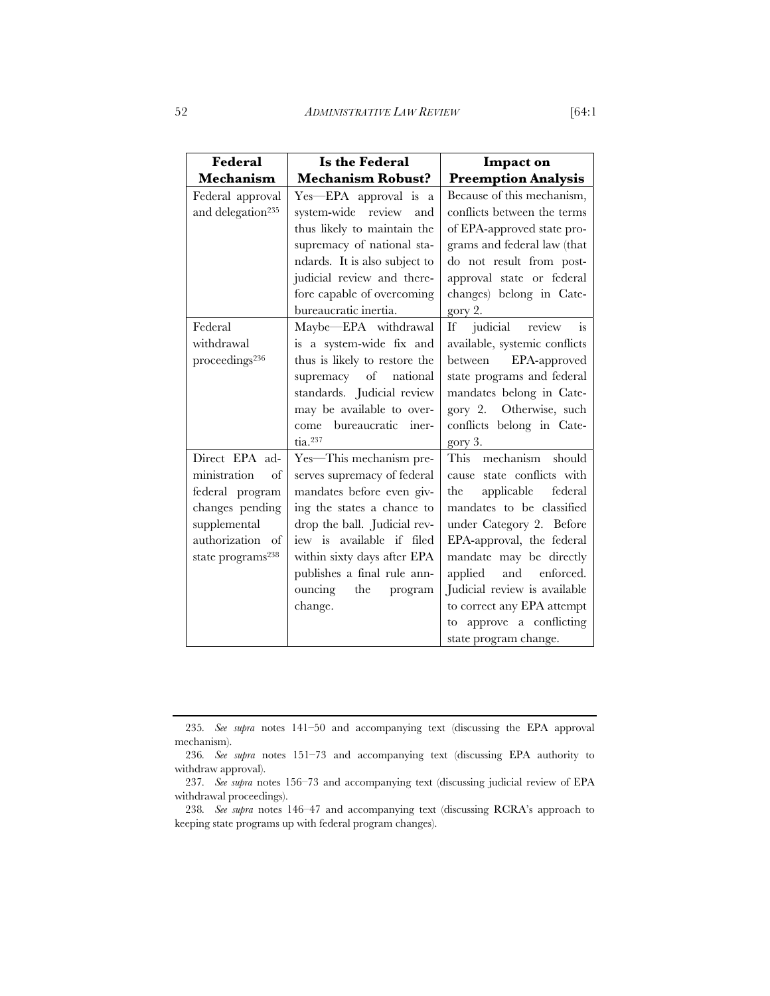| Federal                       | Is the Federal                | Impact on                           |
|-------------------------------|-------------------------------|-------------------------------------|
| Mechanism                     | <b>Mechanism Robust?</b>      | <b>Preemption Analysis</b>          |
| Federal approval              | Yes-EPA approval is a         | Because of this mechanism,          |
| and delegation <sup>235</sup> | system-wide review<br>and     | conflicts between the terms         |
|                               | thus likely to maintain the   | of EPA-approved state pro-          |
|                               | supremacy of national sta-    | grams and federal law (that         |
|                               | ndards. It is also subject to | do not result from post-            |
|                               | judicial review and there-    | approval state or federal           |
|                               | fore capable of overcoming    | changes) belong in Cate-            |
|                               | bureaucratic inertia.         | gory 2.                             |
| Federal                       | Maybe-EPA withdrawal          | $\frac{1}{1}$<br>If judicial review |
| withdrawal                    | is a system-wide fix and      | available, systemic conflicts       |
| proceedings <sup>236</sup>    | thus is likely to restore the | between EPA-approved                |
|                               | supremacy of national         | state programs and federal          |
|                               | standards. Judicial review    | mandates belong in Cate-            |
|                               | may be available to over-     | gory 2. Otherwise, such             |
|                               | come bureaucratic iner-       | conflicts belong in Cate-           |
|                               | $\text{tia}.^{237}$           | gory 3.                             |
| Direct EPA ad-                | Yes-This mechanism pre-       | This mechanism<br>should            |
| ministration<br>of            | serves supremacy of federal   | cause state conflicts with          |
| federal program               | mandates before even giv-     | applicable<br>federal<br>the        |
| changes pending               | ing the states a chance to    | mandates to be classified           |
| supplemental                  | drop the ball. Judicial rev-  | under Category 2. Before            |
| authorization of              | iew is available if filed     | EPA-approval, the federal           |
| state programs <sup>238</sup> | within sixty days after EPA   | mandate may be directly             |
|                               | publishes a final rule ann-   | applied and enforced.               |
|                               | ouncing the program           | Judicial review is available        |
|                               | change.                       | to correct any EPA attempt          |
|                               |                               | approve a conflicting<br>to         |
|                               |                               | state program change.               |

<sup>235</sup>*. See supra* notes 141–50 and accompanying text (discussing the EPA approval mechanism).

<sup>236</sup>*. See supra* notes 151–73 and accompanying text (discussing EPA authority to withdraw approval).

<sup>237</sup>*. See supra* notes 156–73 and accompanying text (discussing judicial review of EPA withdrawal proceedings).

<sup>238</sup>*. See supra* notes 146–47 and accompanying text (discussing RCRA's approach to keeping state programs up with federal program changes).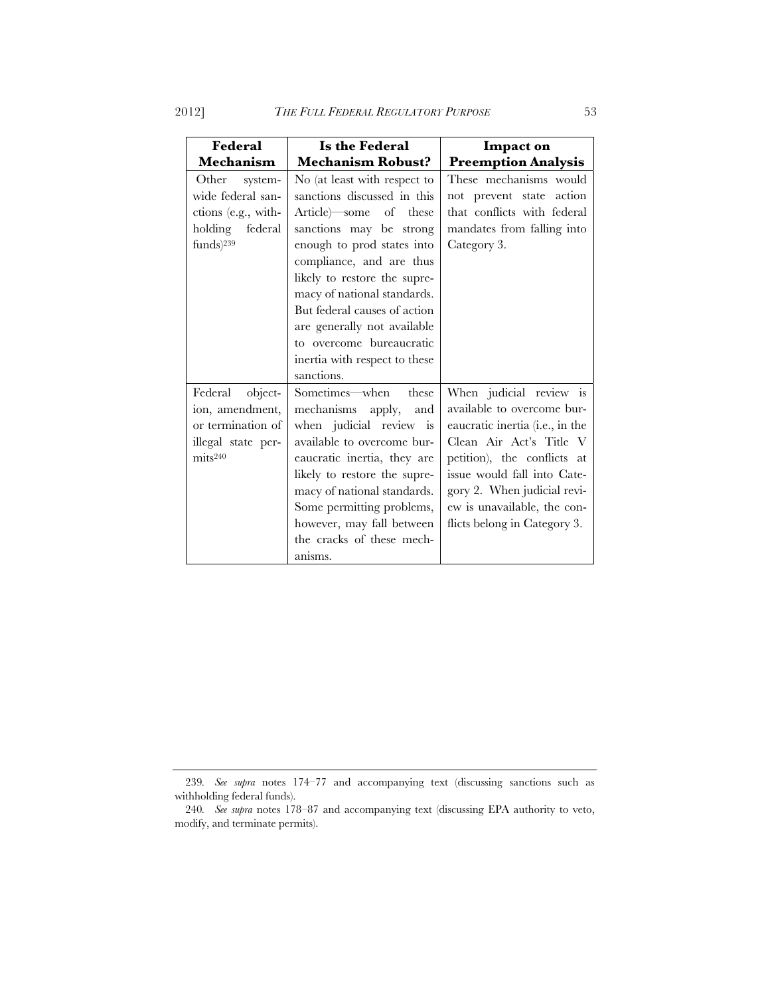| Federal                                                                                                 | Is the Federal                                                                                                                                                                                                                                                                                                                                                                     | Impact on                                                                                                                                                                                                                                                                       |
|---------------------------------------------------------------------------------------------------------|------------------------------------------------------------------------------------------------------------------------------------------------------------------------------------------------------------------------------------------------------------------------------------------------------------------------------------------------------------------------------------|---------------------------------------------------------------------------------------------------------------------------------------------------------------------------------------------------------------------------------------------------------------------------------|
| <b>Mechanism</b>                                                                                        | <b>Mechanism Robust?</b>                                                                                                                                                                                                                                                                                                                                                           | <b>Preemption Analysis</b>                                                                                                                                                                                                                                                      |
| Other system-<br>wide federal san-<br>ctions (e.g., with-<br>holding federal<br>$funds)$ <sup>239</sup> | No (at least with respect to<br>sanctions discussed in this<br>Article some of these<br>sanctions may be strong<br>enough to prod states into<br>compliance, and are thus<br>likely to restore the supre-<br>macy of national standards.<br>But federal causes of action<br>are generally not available<br>to overcome bureaucratic<br>inertia with respect to these<br>sanctions. | These mechanisms would<br>not prevent state action<br>that conflicts with federal<br>mandates from falling into<br>Category 3.                                                                                                                                                  |
| Federal object-<br>ion, amendment,<br>or termination of<br>illegal state per-<br>mits <sup>240</sup>    | Sometimes—when these<br>mechanisms apply, and<br>when judicial review is<br>available to overcome bur-<br>eaucratic inertia, they are<br>likely to restore the supre-<br>macy of national standards.<br>Some permitting problems,<br>however, may fall between<br>the cracks of these mech-<br>anisms.                                                                             | When judicial review is<br>available to overcome bur-<br>eaucratic inertia (i.e., in the<br>Clean Air Act's Title V<br>petition), the conflicts at<br>issue would fall into Cate-<br>gory 2. When judicial revi-<br>ew is unavailable, the con-<br>flicts belong in Category 3. |

<sup>239</sup>*. See supra* notes 174–77 and accompanying text (discussing sanctions such as withholding federal funds).

<sup>240</sup>*. See supra* notes 178–87 and accompanying text (discussing EPA authority to veto, modify, and terminate permits).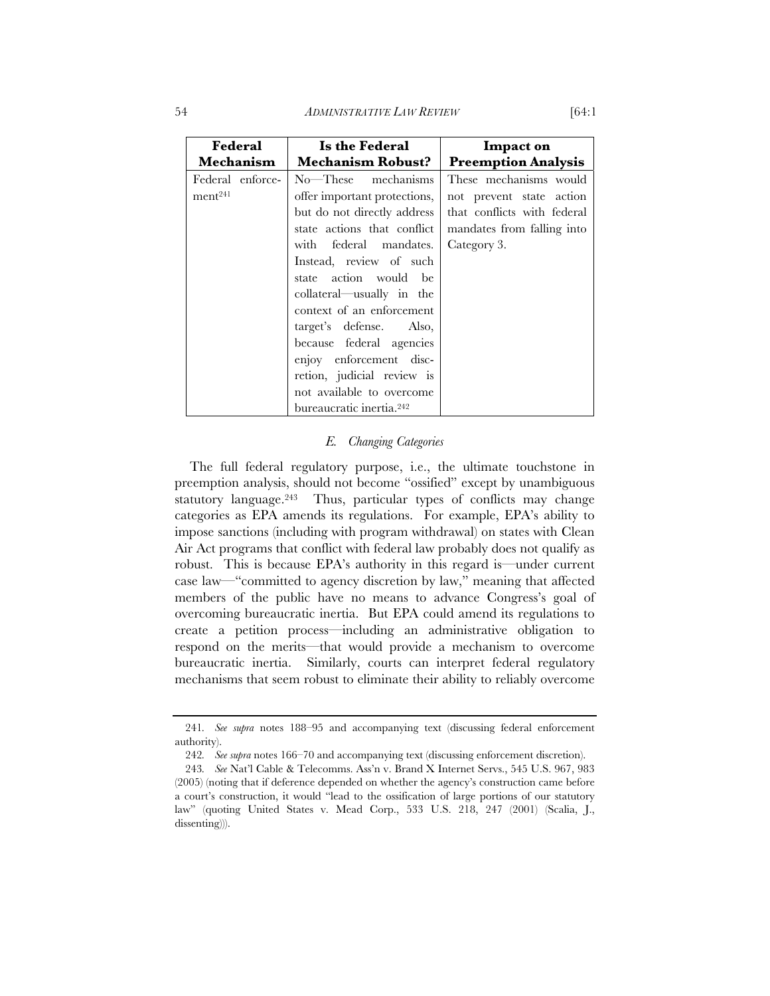54 *ADMINISTRATIVE LAW REVIEW* [64:1

| Federal                                 | Is the Federal                                                                                                                                                                                                                                                                                                                                                               | Impact on                                                                                                                      |
|-----------------------------------------|------------------------------------------------------------------------------------------------------------------------------------------------------------------------------------------------------------------------------------------------------------------------------------------------------------------------------------------------------------------------------|--------------------------------------------------------------------------------------------------------------------------------|
| <b>Mechanism</b>                        | <b>Mechanism Robust?</b>                                                                                                                                                                                                                                                                                                                                                     | <b>Preemption Analysis</b>                                                                                                     |
| Federal enforce-<br>ment <sup>241</sup> | $No$ —These mechanisms<br>offer important protections,<br>but do not directly address<br>state actions that conflict<br>with federal mandates.<br>Instead, review of such<br>state action would be<br>collateral—usually in the<br>context of an enforcement<br>target's defense. Also,<br>because federal agencies<br>enjoy enforcement disc-<br>retion, judicial review is | These mechanisms would<br>not prevent state action<br>that conflicts with federal<br>mandates from falling into<br>Category 3. |
|                                         | not available to overcome<br>bureaucratic inertia. <sup>242</sup>                                                                                                                                                                                                                                                                                                            |                                                                                                                                |

# *E. Changing Categories*

The full federal regulatory purpose, i.e., the ultimate touchstone in preemption analysis, should not become "ossified" except by unambiguous statutory language.<sup>243</sup> Thus, particular types of conflicts may change categories as EPA amends its regulations. For example, EPA's ability to impose sanctions (including with program withdrawal) on states with Clean Air Act programs that conflict with federal law probably does not qualify as robust. This is because EPA's authority in this regard is—under current case law—"committed to agency discretion by law," meaning that affected members of the public have no means to advance Congress's goal of overcoming bureaucratic inertia. But EPA could amend its regulations to create a petition process—including an administrative obligation to respond on the merits—that would provide a mechanism to overcome bureaucratic inertia. Similarly, courts can interpret federal regulatory mechanisms that seem robust to eliminate their ability to reliably overcome

<sup>241</sup>*. See supra* notes 188–95 and accompanying text (discussing federal enforcement authority).

<sup>242</sup>*. See supra* notes 166–70 and accompanying text (discussing enforcement discretion).

<sup>243</sup>*. See* Nat'l Cable & Telecomms. Ass'n v. Brand X Internet Servs., 545 U.S. 967, 983 (2005) (noting that if deference depended on whether the agency's construction came before a court's construction, it would "lead to the ossification of large portions of our statutory law" (quoting United States v. Mead Corp., 533 U.S. 218, 247 (2001) (Scalia, J., dissenting))).